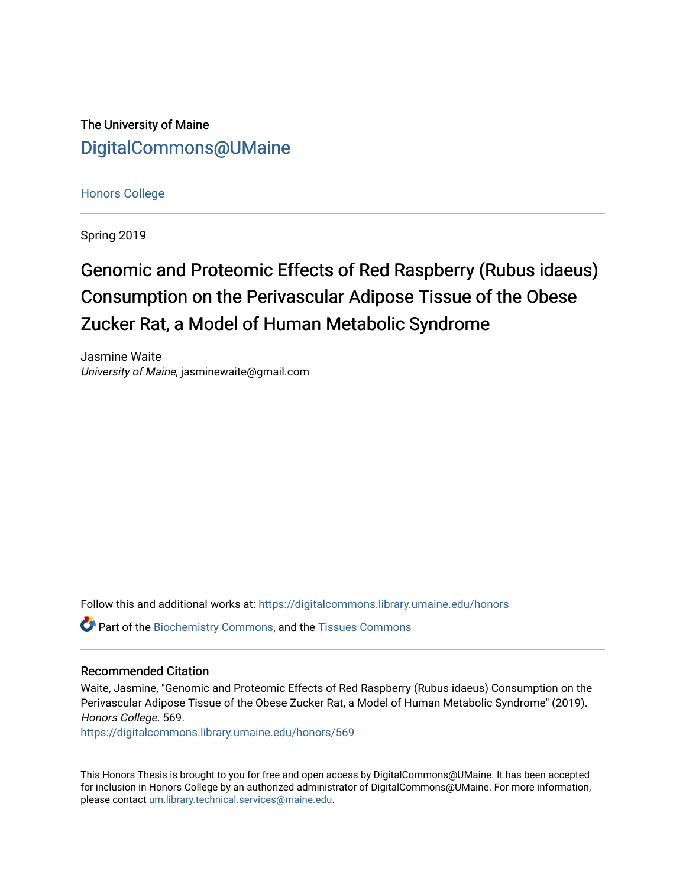The University of Maine [DigitalCommons@UMaine](https://digitalcommons.library.umaine.edu/)

[Honors College](https://digitalcommons.library.umaine.edu/honors)

Spring 2019

# Genomic and Proteomic Effects of Red Raspberry (Rubus idaeus) Consumption on the Perivascular Adipose Tissue of the Obese Zucker Rat, a Model of Human Metabolic Syndrome

Jasmine Waite University of Maine, jasminewaite@gmail.com

Follow this and additional works at: [https://digitalcommons.library.umaine.edu/honors](https://digitalcommons.library.umaine.edu/honors?utm_source=digitalcommons.library.umaine.edu%2Fhonors%2F569&utm_medium=PDF&utm_campaign=PDFCoverPages) 

Part of the [Biochemistry Commons](http://network.bepress.com/hgg/discipline/2?utm_source=digitalcommons.library.umaine.edu%2Fhonors%2F569&utm_medium=PDF&utm_campaign=PDFCoverPages), and the [Tissues Commons](http://network.bepress.com/hgg/discipline/1005?utm_source=digitalcommons.library.umaine.edu%2Fhonors%2F569&utm_medium=PDF&utm_campaign=PDFCoverPages)

#### Recommended Citation

Waite, Jasmine, "Genomic and Proteomic Effects of Red Raspberry (Rubus idaeus) Consumption on the Perivascular Adipose Tissue of the Obese Zucker Rat, a Model of Human Metabolic Syndrome" (2019). Honors College. 569.

[https://digitalcommons.library.umaine.edu/honors/569](https://digitalcommons.library.umaine.edu/honors/569?utm_source=digitalcommons.library.umaine.edu%2Fhonors%2F569&utm_medium=PDF&utm_campaign=PDFCoverPages) 

This Honors Thesis is brought to you for free and open access by DigitalCommons@UMaine. It has been accepted for inclusion in Honors College by an authorized administrator of DigitalCommons@UMaine. For more information, please contact [um.library.technical.services@maine.edu.](mailto:um.library.technical.services@maine.edu)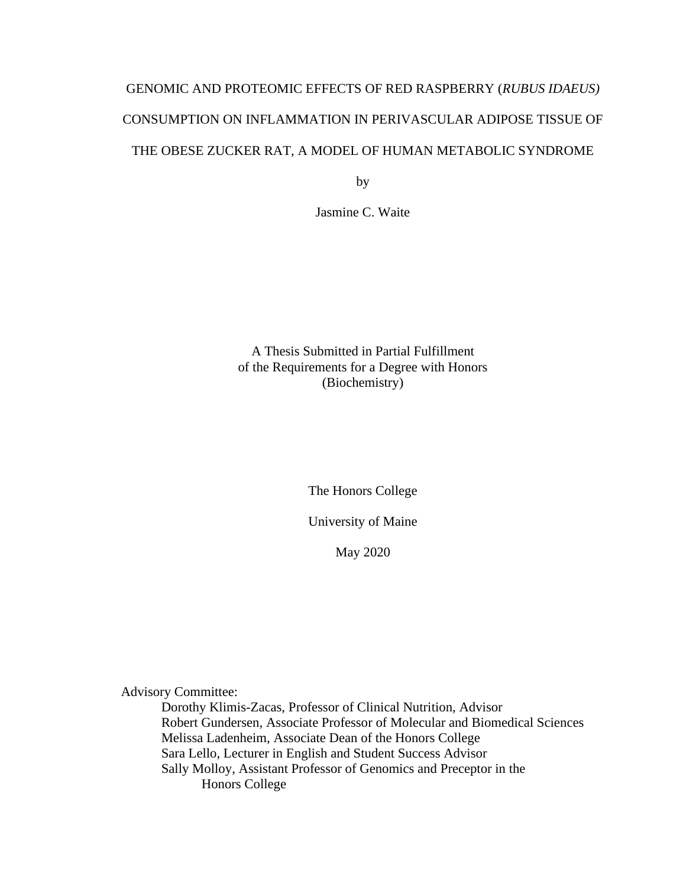# GENOMIC AND PROTEOMIC EFFECTS OF RED RASPBERRY (*RUBUS IDAEUS)*  CONSUMPTION ON INFLAMMATION IN PERIVASCULAR ADIPOSE TISSUE OF THE OBESE ZUCKER RAT, A MODEL OF HUMAN METABOLIC SYNDROME

by

Jasmine C. Waite

A Thesis Submitted in Partial Fulfillment of the Requirements for a Degree with Honors (Biochemistry)

The Honors College

University of Maine

May 2020

Advisory Committee:

Dorothy Klimis-Zacas, Professor of Clinical Nutrition, Advisor Robert Gundersen, Associate Professor of Molecular and Biomedical Sciences Melissa Ladenheim, Associate Dean of the Honors College Sara Lello, Lecturer in English and Student Success Advisor Sally Molloy, Assistant Professor of Genomics and Preceptor in the Honors College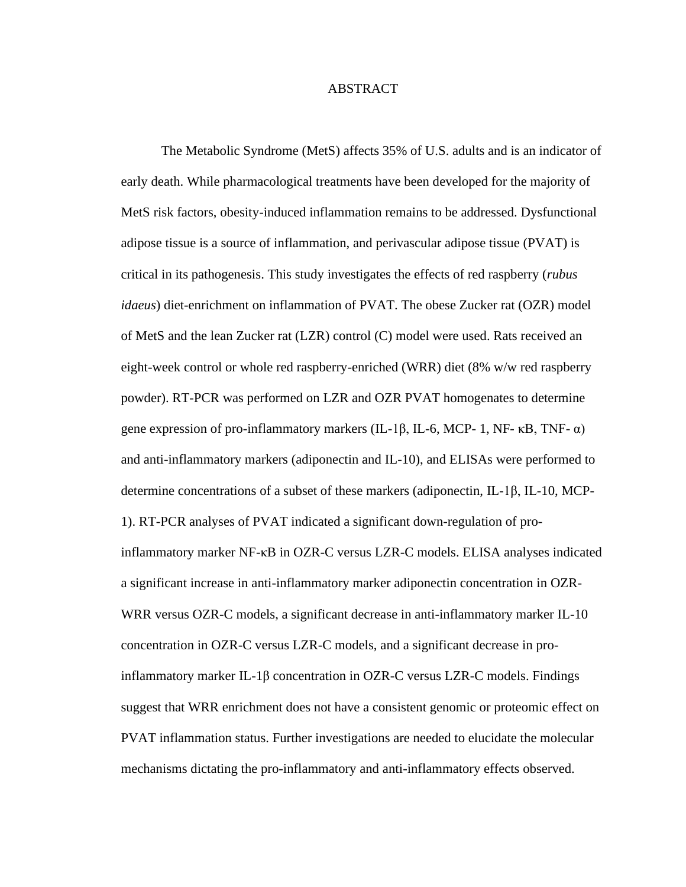#### ABSTRACT

The Metabolic Syndrome (MetS) affects 35% of U.S. adults and is an indicator of early death. While pharmacological treatments have been developed for the majority of MetS risk factors, obesity-induced inflammation remains to be addressed. Dysfunctional adipose tissue is a source of inflammation, and perivascular adipose tissue (PVAT) is critical in its pathogenesis. This study investigates the effects of red raspberry (*rubus idaeus*) diet-enrichment on inflammation of PVAT. The obese Zucker rat (OZR) model of MetS and the lean Zucker rat (LZR) control (C) model were used. Rats received an eight-week control or whole red raspberry-enriched (WRR) diet (8% w/w red raspberry powder). RT-PCR was performed on LZR and OZR PVAT homogenates to determine gene expression of pro-inflammatory markers (IL-1β, IL-6, MCP- 1, NF-  $\kappa$ B, TNF-  $\alpha$ ) and anti-inflammatory markers (adiponectin and IL-10), and ELISAs were performed to determine concentrations of a subset of these markers (adiponectin, IL-1β, IL-10, MCP-1). RT-PCR analyses of PVAT indicated a significant down-regulation of proinflammatory marker NF-κB in OZR-C versus LZR-C models. ELISA analyses indicated a significant increase in anti-inflammatory marker adiponectin concentration in OZR-WRR versus OZR-C models, a significant decrease in anti-inflammatory marker IL-10 concentration in OZR-C versus LZR-C models, and a significant decrease in proinflammatory marker IL-1β concentration in OZR-C versus LZR-C models. Findings suggest that WRR enrichment does not have a consistent genomic or proteomic effect on PVAT inflammation status. Further investigations are needed to elucidate the molecular mechanisms dictating the pro-inflammatory and anti-inflammatory effects observed.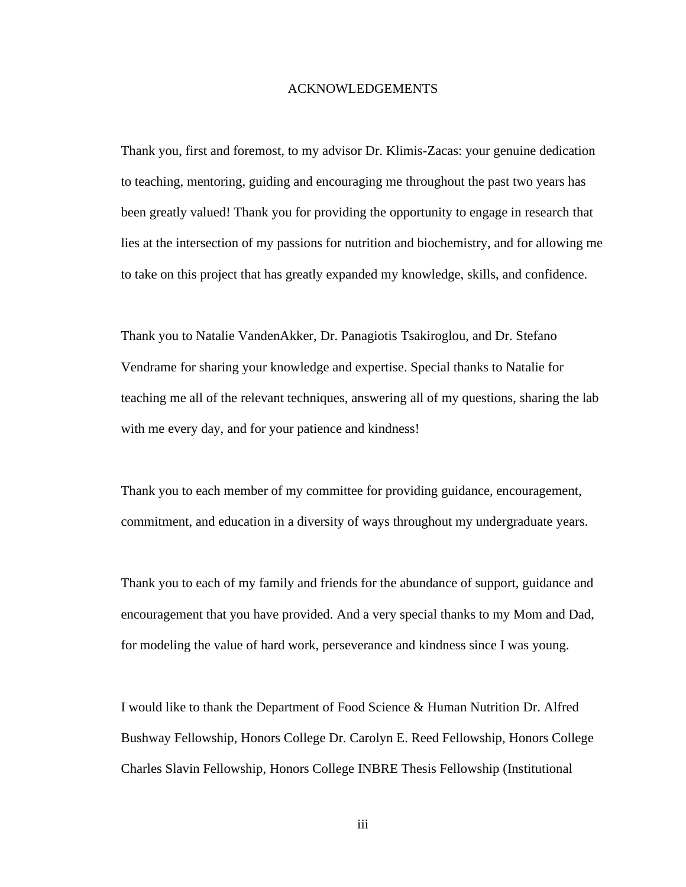#### ACKNOWLEDGEMENTS

Thank you, first and foremost, to my advisor Dr. Klimis-Zacas: your genuine dedication to teaching, mentoring, guiding and encouraging me throughout the past two years has been greatly valued! Thank you for providing the opportunity to engage in research that lies at the intersection of my passions for nutrition and biochemistry, and for allowing me to take on this project that has greatly expanded my knowledge, skills, and confidence.

Thank you to Natalie VandenAkker, Dr. Panagiotis Tsakiroglou, and Dr. Stefano Vendrame for sharing your knowledge and expertise. Special thanks to Natalie for teaching me all of the relevant techniques, answering all of my questions, sharing the lab with me every day, and for your patience and kindness!

Thank you to each member of my committee for providing guidance, encouragement, commitment, and education in a diversity of ways throughout my undergraduate years.

Thank you to each of my family and friends for the abundance of support, guidance and encouragement that you have provided. And a very special thanks to my Mom and Dad, for modeling the value of hard work, perseverance and kindness since I was young.

I would like to thank the Department of Food Science & Human Nutrition Dr. Alfred Bushway Fellowship, Honors College Dr. Carolyn E. Reed Fellowship, Honors College Charles Slavin Fellowship, Honors College INBRE Thesis Fellowship (Institutional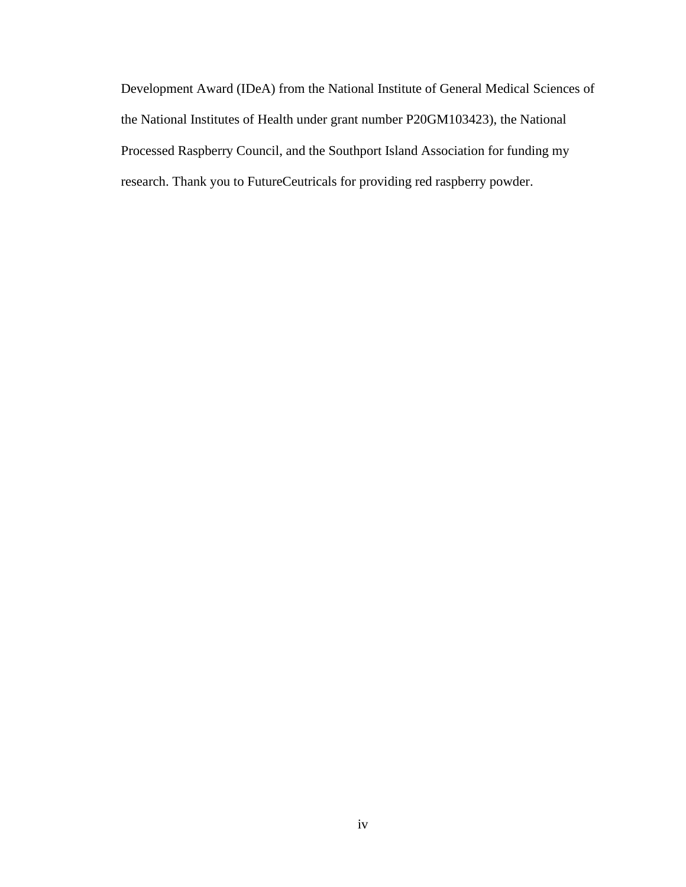Development Award (IDeA) from the National Institute of General Medical Sciences of the National Institutes of Health under grant number P20GM103423), the National Processed Raspberry Council, and the Southport Island Association for funding my research. Thank you to FutureCeutricals for providing red raspberry powder.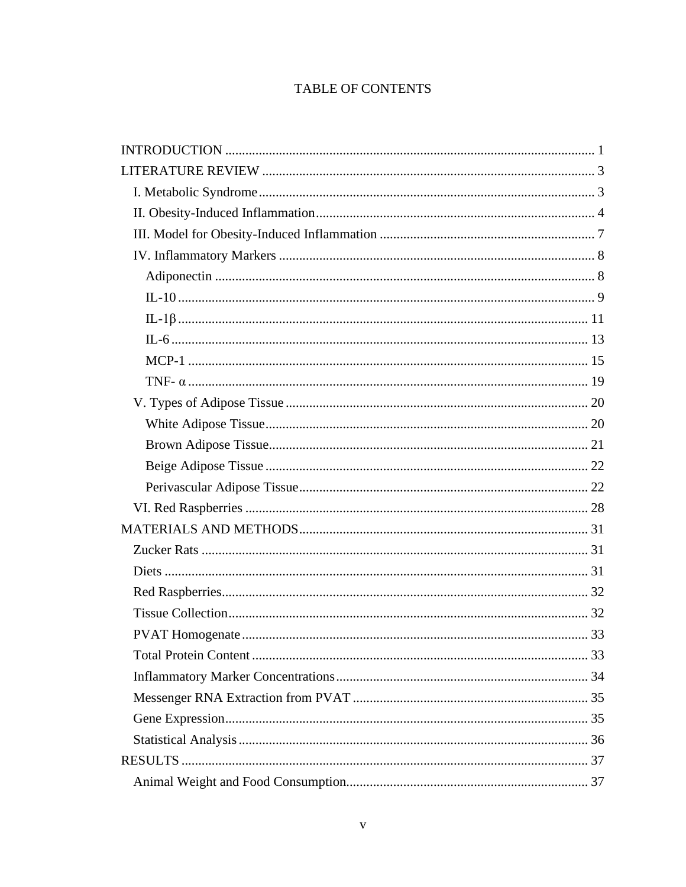# TABLE OF CONTENTS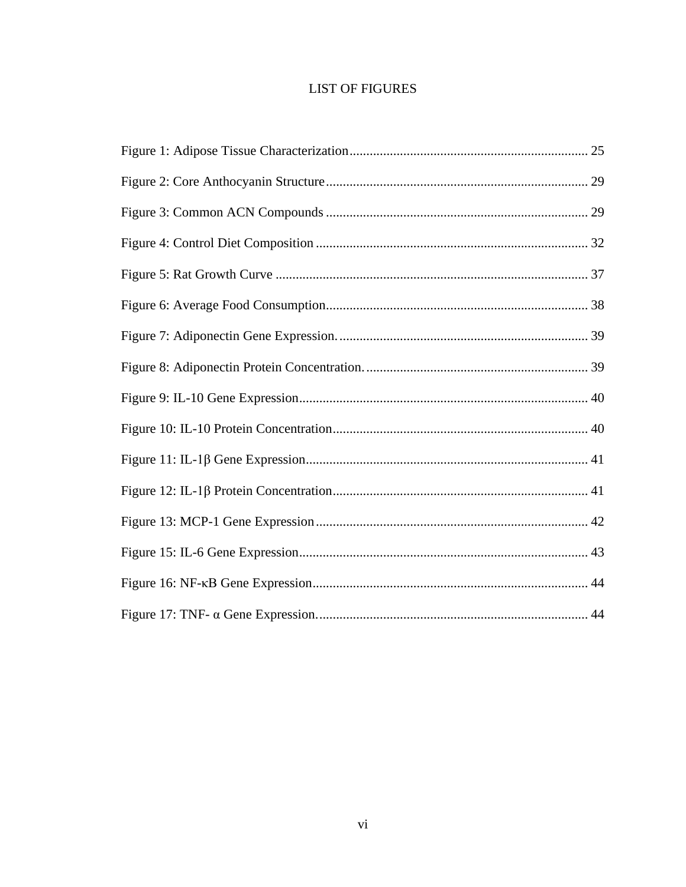# **LIST OF FIGURES**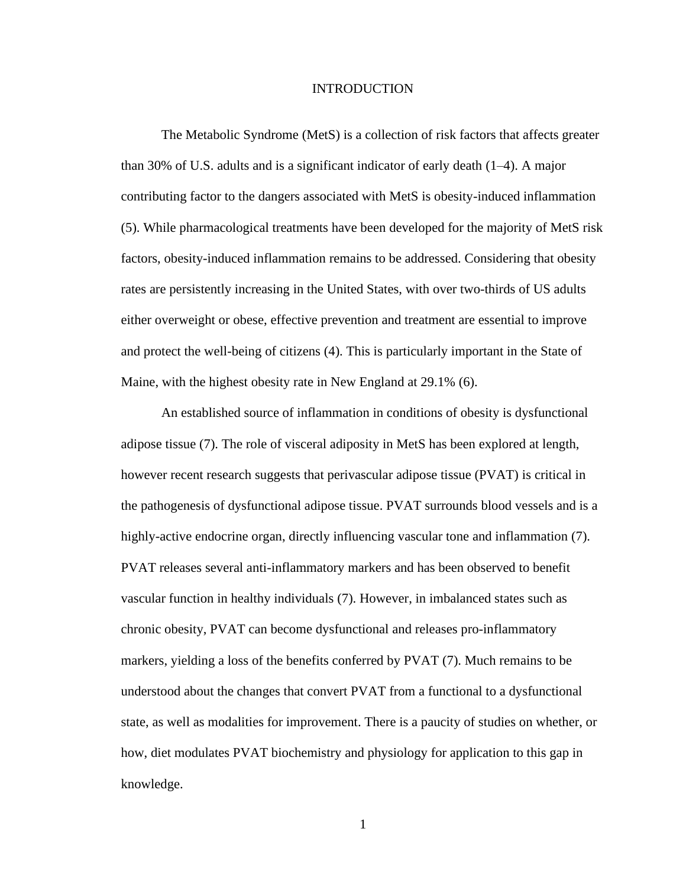#### INTRODUCTION

<span id="page-8-0"></span>The Metabolic Syndrome (MetS) is a collection of risk factors that affects greater than 30% of U.S. adults and is a significant indicator of early death (1–4). A major contributing factor to the dangers associated with MetS is obesity-induced inflammation (5). While pharmacological treatments have been developed for the majority of MetS risk factors, obesity-induced inflammation remains to be addressed. Considering that obesity rates are persistently increasing in the United States, with over two-thirds of US adults either overweight or obese, effective prevention and treatment are essential to improve and protect the well-being of citizens (4). This is particularly important in the State of Maine, with the highest obesity rate in New England at 29.1% (6).

An established source of inflammation in conditions of obesity is dysfunctional adipose tissue (7). The role of visceral adiposity in MetS has been explored at length, however recent research suggests that perivascular adipose tissue (PVAT) is critical in the pathogenesis of dysfunctional adipose tissue. PVAT surrounds blood vessels and is a highly-active endocrine organ, directly influencing vascular tone and inflammation (7). PVAT releases several anti-inflammatory markers and has been observed to benefit vascular function in healthy individuals (7). However, in imbalanced states such as chronic obesity, PVAT can become dysfunctional and releases pro-inflammatory markers, yielding a loss of the benefits conferred by PVAT (7). Much remains to be understood about the changes that convert PVAT from a functional to a dysfunctional state, as well as modalities for improvement. There is a paucity of studies on whether, or how, diet modulates PVAT biochemistry and physiology for application to this gap in knowledge.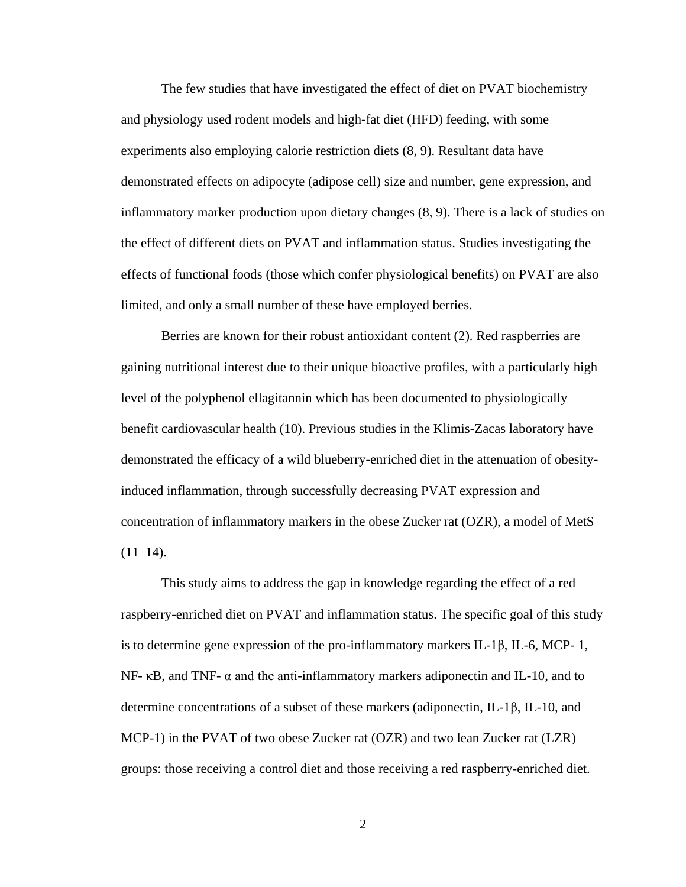The few studies that have investigated the effect of diet on PVAT biochemistry and physiology used rodent models and high-fat diet (HFD) feeding, with some experiments also employing calorie restriction diets (8, 9). Resultant data have demonstrated effects on adipocyte (adipose cell) size and number, gene expression, and inflammatory marker production upon dietary changes (8, 9). There is a lack of studies on the effect of different diets on PVAT and inflammation status. Studies investigating the effects of functional foods (those which confer physiological benefits) on PVAT are also limited, and only a small number of these have employed berries.

Berries are known for their robust antioxidant content (2). Red raspberries are gaining nutritional interest due to their unique bioactive profiles, with a particularly high level of the polyphenol ellagitannin which has been documented to physiologically benefit cardiovascular health (10). Previous studies in the Klimis-Zacas laboratory have demonstrated the efficacy of a wild blueberry-enriched diet in the attenuation of obesityinduced inflammation, through successfully decreasing PVAT expression and concentration of inflammatory markers in the obese Zucker rat (OZR), a model of MetS  $(11-14)$ .

<span id="page-9-0"></span>This study aims to address the gap in knowledge regarding the effect of a red raspberry-enriched diet on PVAT and inflammation status. The specific goal of this study is to determine gene expression of the pro-inflammatory markers IL-1β, IL-6, MCP- 1, NF- κB, and TNF-  $\alpha$  and the anti-inflammatory markers adiponectin and IL-10, and to determine concentrations of a subset of these markers (adiponectin, IL-1β, IL-10, and MCP-1) in the PVAT of two obese Zucker rat (OZR) and two lean Zucker rat (LZR) groups: those receiving a control diet and those receiving a red raspberry-enriched diet.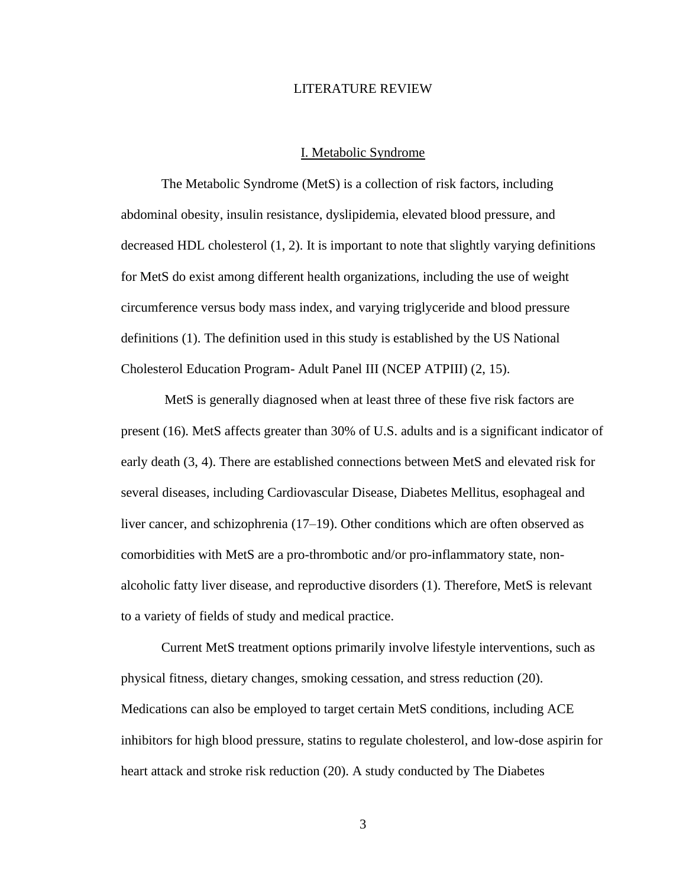#### LITERATURE REVIEW

#### I. Metabolic Syndrome

<span id="page-10-0"></span>The Metabolic Syndrome (MetS) is a collection of risk factors, including abdominal obesity, insulin resistance, dyslipidemia, elevated blood pressure, and decreased HDL cholesterol (1, 2). It is important to note that slightly varying definitions for MetS do exist among different health organizations, including the use of weight circumference versus body mass index, and varying triglyceride and blood pressure definitions (1). The definition used in this study is established by the US National Cholesterol Education Program- Adult Panel III (NCEP ATPIII) (2, 15).

MetS is generally diagnosed when at least three of these five risk factors are present (16). MetS affects greater than 30% of U.S. adults and is a significant indicator of early death (3, 4). There are established connections between MetS and elevated risk for several diseases, including Cardiovascular Disease, Diabetes Mellitus, esophageal and liver cancer, and schizophrenia (17–19). Other conditions which are often observed as comorbidities with MetS are a pro-thrombotic and/or pro-inflammatory state, nonalcoholic fatty liver disease, and reproductive disorders (1). Therefore, MetS is relevant to a variety of fields of study and medical practice.

Current MetS treatment options primarily involve lifestyle interventions, such as physical fitness, dietary changes, smoking cessation, and stress reduction (20). Medications can also be employed to target certain MetS conditions, including ACE inhibitors for high blood pressure, statins to regulate cholesterol, and low-dose aspirin for heart attack and stroke risk reduction (20). A study conducted by The Diabetes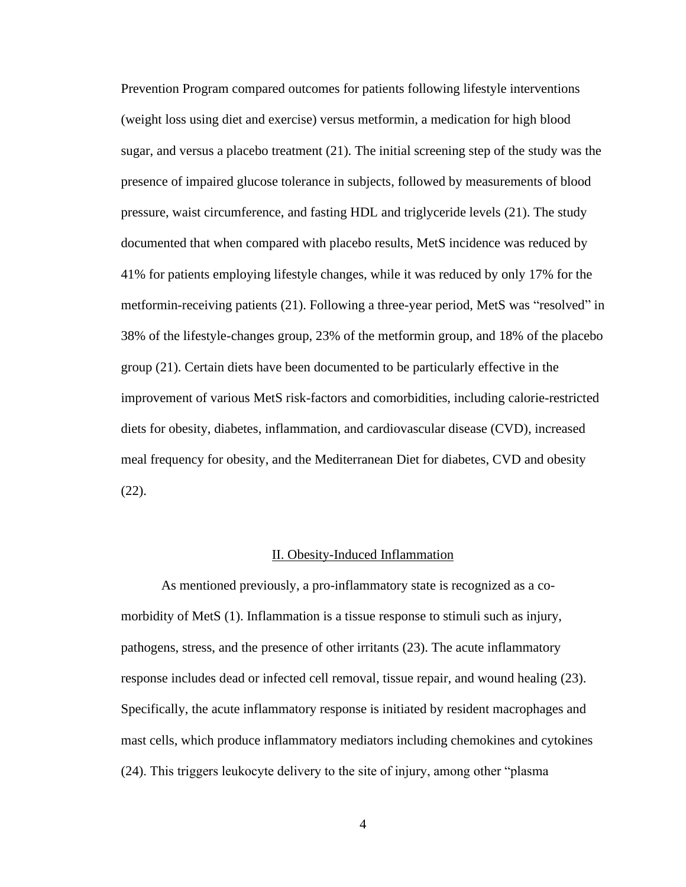Prevention Program compared outcomes for patients following lifestyle interventions (weight loss using diet and exercise) versus metformin, a medication for high blood sugar, and versus a placebo treatment (21). The initial screening step of the study was the presence of impaired glucose tolerance in subjects, followed by measurements of blood pressure, waist circumference, and fasting HDL and triglyceride levels (21). The study documented that when compared with placebo results, MetS incidence was reduced by 41% for patients employing lifestyle changes, while it was reduced by only 17% for the metformin-receiving patients (21). Following a three-year period, MetS was "resolved" in 38% of the lifestyle-changes group, 23% of the metformin group, and 18% of the placebo group (21). Certain diets have been documented to be particularly effective in the improvement of various MetS risk-factors and comorbidities, including calorie-restricted diets for obesity, diabetes, inflammation, and cardiovascular disease (CVD), increased meal frequency for obesity, and the Mediterranean Diet for diabetes, CVD and obesity (22).

#### II. Obesity-Induced Inflammation

<span id="page-11-0"></span>As mentioned previously, a pro-inflammatory state is recognized as a comorbidity of MetS (1). Inflammation is a tissue response to stimuli such as injury, pathogens, stress, and the presence of other irritants (23). The acute inflammatory response includes dead or infected cell removal, tissue repair, and wound healing (23). Specifically, the acute inflammatory response is initiated by resident macrophages and mast cells, which produce inflammatory mediators including chemokines and cytokines (24). This triggers leukocyte delivery to the site of injury, among other "plasma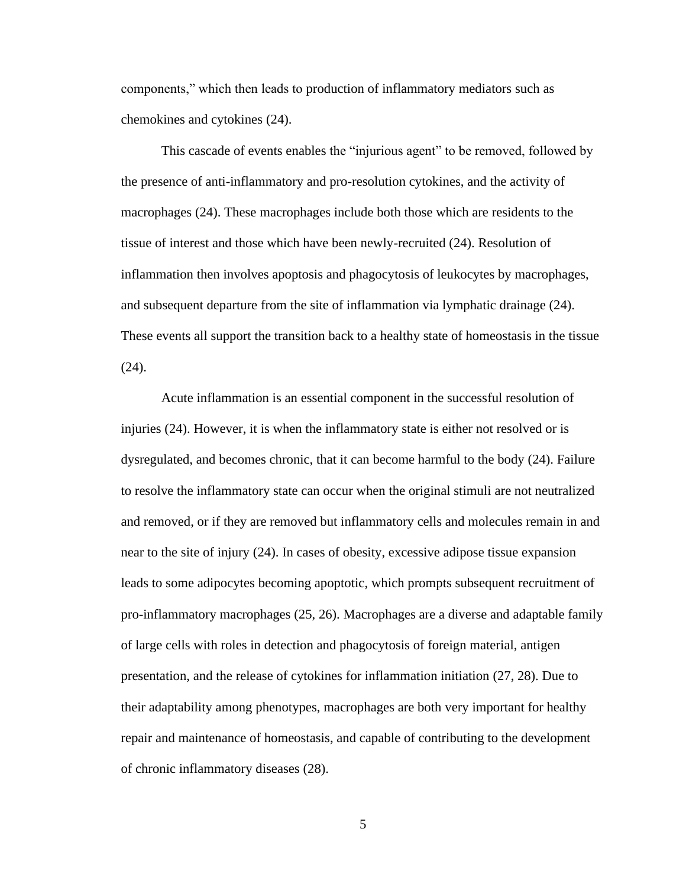components," which then leads to production of inflammatory mediators such as chemokines and cytokines (24).

This cascade of events enables the "injurious agent" to be removed, followed by the presence of anti-inflammatory and pro-resolution cytokines, and the activity of macrophages (24). These macrophages include both those which are residents to the tissue of interest and those which have been newly-recruited (24). Resolution of inflammation then involves apoptosis and phagocytosis of leukocytes by macrophages, and subsequent departure from the site of inflammation via lymphatic drainage (24). These events all support the transition back to a healthy state of homeostasis in the tissue (24).

Acute inflammation is an essential component in the successful resolution of injuries (24). However, it is when the inflammatory state is either not resolved or is dysregulated, and becomes chronic, that it can become harmful to the body (24). Failure to resolve the inflammatory state can occur when the original stimuli are not neutralized and removed, or if they are removed but inflammatory cells and molecules remain in and near to the site of injury (24). In cases of obesity, excessive adipose tissue expansion leads to some adipocytes becoming apoptotic, which prompts subsequent recruitment of pro-inflammatory macrophages (25, 26). Macrophages are a diverse and adaptable family of large cells with roles in detection and phagocytosis of foreign material, antigen presentation, and the release of cytokines for inflammation initiation (27, 28). Due to their adaptability among phenotypes, macrophages are both very important for healthy repair and maintenance of homeostasis, and capable of contributing to the development of chronic inflammatory diseases (28).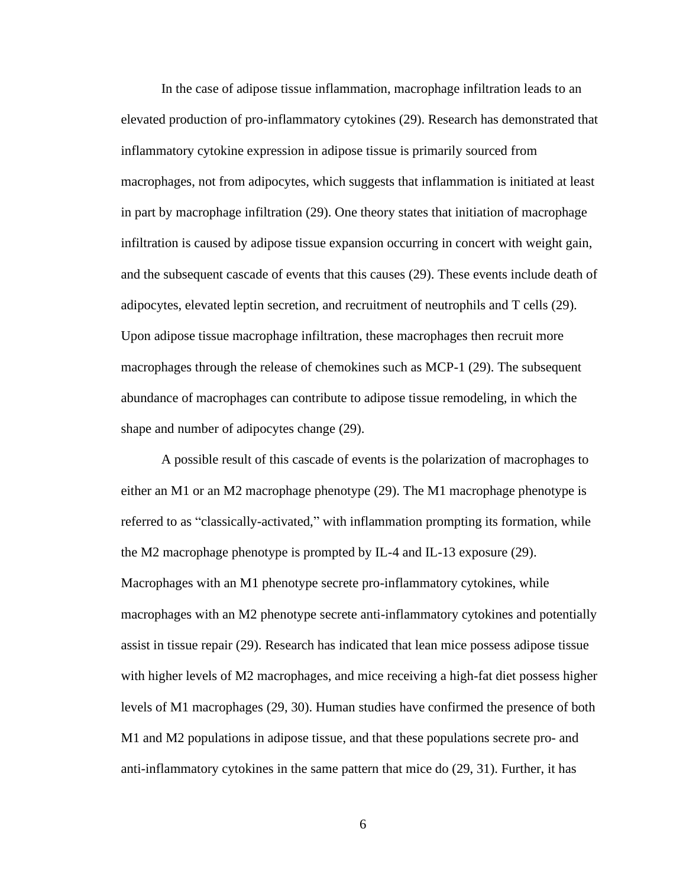In the case of adipose tissue inflammation, macrophage infiltration leads to an elevated production of pro-inflammatory cytokines (29). Research has demonstrated that inflammatory cytokine expression in adipose tissue is primarily sourced from macrophages, not from adipocytes, which suggests that inflammation is initiated at least in part by macrophage infiltration (29). One theory states that initiation of macrophage infiltration is caused by adipose tissue expansion occurring in concert with weight gain, and the subsequent cascade of events that this causes (29). These events include death of adipocytes, elevated leptin secretion, and recruitment of neutrophils and T cells (29). Upon adipose tissue macrophage infiltration, these macrophages then recruit more macrophages through the release of chemokines such as MCP-1 (29). The subsequent abundance of macrophages can contribute to adipose tissue remodeling, in which the shape and number of adipocytes change (29).

A possible result of this cascade of events is the polarization of macrophages to either an M1 or an M2 macrophage phenotype (29). The M1 macrophage phenotype is referred to as "classically-activated," with inflammation prompting its formation, while the M2 macrophage phenotype is prompted by IL-4 and IL-13 exposure (29). Macrophages with an M1 phenotype secrete pro-inflammatory cytokines, while macrophages with an M2 phenotype secrete anti-inflammatory cytokines and potentially assist in tissue repair (29). Research has indicated that lean mice possess adipose tissue with higher levels of M2 macrophages, and mice receiving a high-fat diet possess higher levels of M1 macrophages (29, 30). Human studies have confirmed the presence of both M1 and M2 populations in adipose tissue, and that these populations secrete pro- and anti-inflammatory cytokines in the same pattern that mice do (29, 31). Further, it has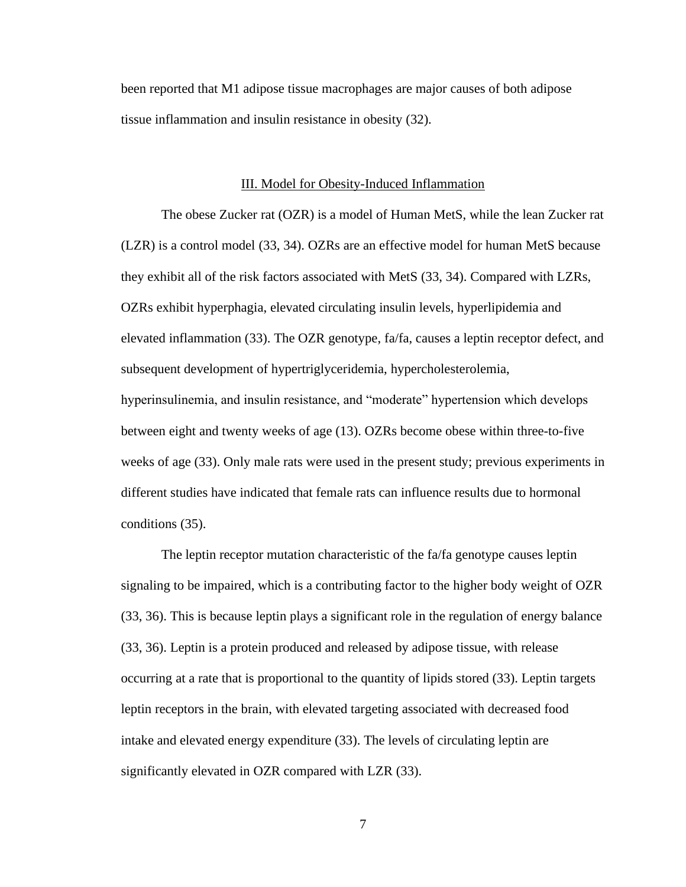been reported that M1 adipose tissue macrophages are major causes of both adipose tissue inflammation and insulin resistance in obesity (32).

#### III. Model for Obesity-Induced Inflammation

<span id="page-14-0"></span>The obese Zucker rat (OZR) is a model of Human MetS, while the lean Zucker rat (LZR) is a control model (33, 34). OZRs are an effective model for human MetS because they exhibit all of the risk factors associated with MetS (33, 34). Compared with LZRs, OZRs exhibit hyperphagia, elevated circulating insulin levels, hyperlipidemia and elevated inflammation (33). The OZR genotype, fa/fa, causes a leptin receptor defect, and subsequent development of hypertriglyceridemia, hypercholesterolemia, hyperinsulinemia, and insulin resistance, and "moderate" hypertension which develops between eight and twenty weeks of age (13). OZRs become obese within three-to-five weeks of age (33). Only male rats were used in the present study; previous experiments in different studies have indicated that female rats can influence results due to hormonal conditions (35).

The leptin receptor mutation characteristic of the fa/fa genotype causes leptin signaling to be impaired, which is a contributing factor to the higher body weight of OZR (33, 36). This is because leptin plays a significant role in the regulation of energy balance (33, 36). Leptin is a protein produced and released by adipose tissue, with release occurring at a rate that is proportional to the quantity of lipids stored (33). Leptin targets leptin receptors in the brain, with elevated targeting associated with decreased food intake and elevated energy expenditure (33). The levels of circulating leptin are significantly elevated in OZR compared with LZR (33).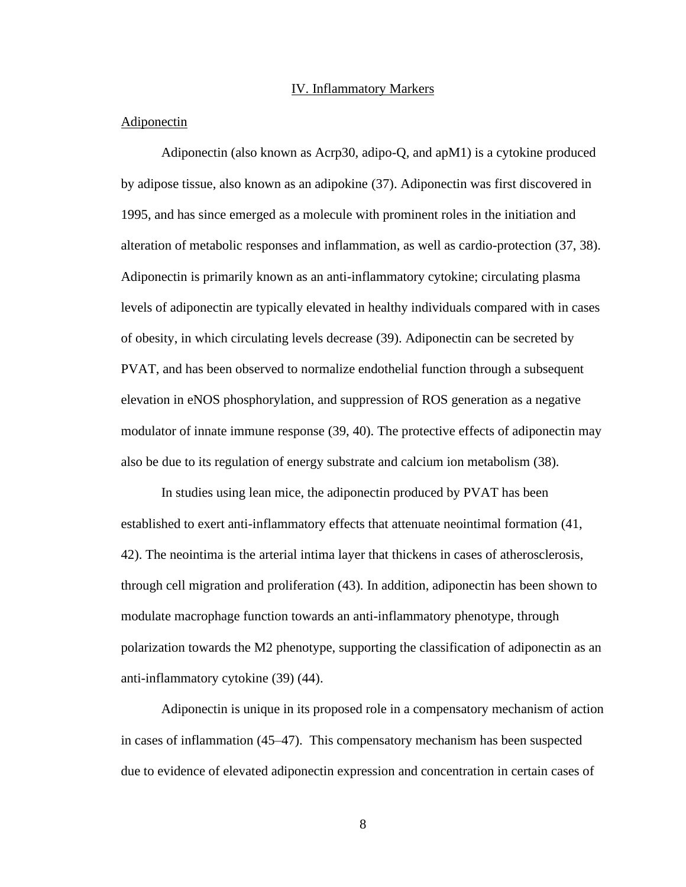#### IV. Inflammatory Markers

#### <span id="page-15-1"></span><span id="page-15-0"></span>Adiponectin

Adiponectin (also known as Acrp30, adipo-Q, and apM1) is a cytokine produced by adipose tissue, also known as an adipokine (37). Adiponectin was first discovered in 1995, and has since emerged as a molecule with prominent roles in the initiation and alteration of metabolic responses and inflammation, as well as cardio-protection (37, 38). Adiponectin is primarily known as an anti-inflammatory cytokine; circulating plasma levels of adiponectin are typically elevated in healthy individuals compared with in cases of obesity, in which circulating levels decrease (39). Adiponectin can be secreted by PVAT, and has been observed to normalize endothelial function through a subsequent elevation in eNOS phosphorylation, and suppression of ROS generation as a negative modulator of innate immune response (39, 40). The protective effects of adiponectin may also be due to its regulation of energy substrate and calcium ion metabolism (38).

In studies using lean mice, the adiponectin produced by PVAT has been established to exert anti-inflammatory effects that attenuate neointimal formation (41, 42). The neointima is the arterial intima layer that thickens in cases of atherosclerosis, through cell migration and proliferation (43). In addition, adiponectin has been shown to modulate macrophage function towards an anti-inflammatory phenotype, through polarization towards the M2 phenotype, supporting the classification of adiponectin as an anti-inflammatory cytokine (39) (44).

Adiponectin is unique in its proposed role in a compensatory mechanism of action in cases of inflammation (45–47). This compensatory mechanism has been suspected due to evidence of elevated adiponectin expression and concentration in certain cases of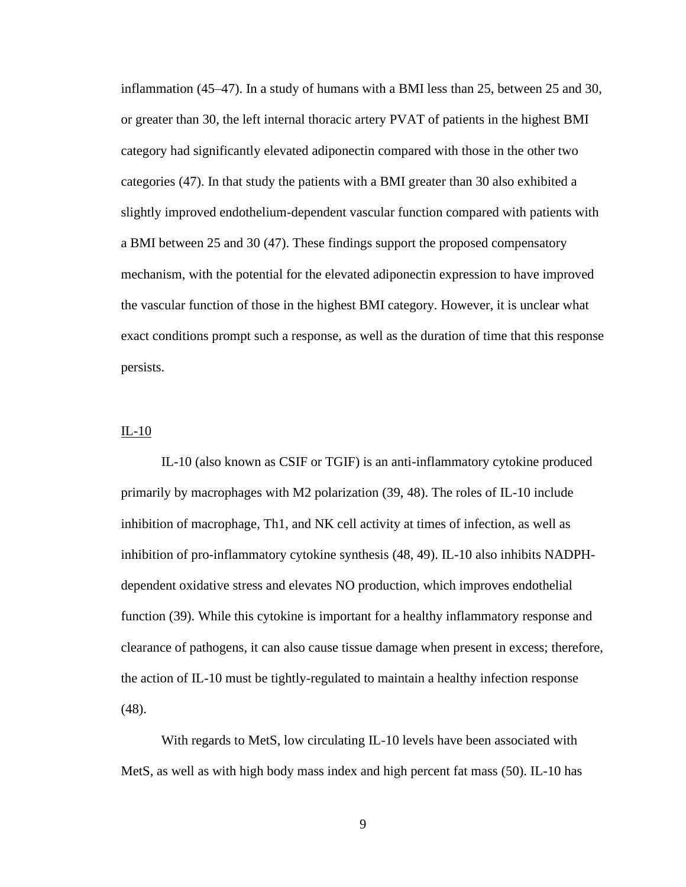inflammation (45–47). In a study of humans with a BMI less than 25, between 25 and 30, or greater than 30, the left internal thoracic artery PVAT of patients in the highest BMI category had significantly elevated adiponectin compared with those in the other two categories (47). In that study the patients with a BMI greater than 30 also exhibited a slightly improved endothelium-dependent vascular function compared with patients with a BMI between 25 and 30 (47). These findings support the proposed compensatory mechanism, with the potential for the elevated adiponectin expression to have improved the vascular function of those in the highest BMI category. However, it is unclear what exact conditions prompt such a response, as well as the duration of time that this response persists.

## <span id="page-16-0"></span>IL-10

IL-10 (also known as CSIF or TGIF) is an anti-inflammatory cytokine produced primarily by macrophages with M2 polarization (39, 48). The roles of IL-10 include inhibition of macrophage, Th1, and NK cell activity at times of infection, as well as inhibition of pro-inflammatory cytokine synthesis (48, 49). IL-10 also inhibits NADPHdependent oxidative stress and elevates NO production, which improves endothelial function (39). While this cytokine is important for a healthy inflammatory response and clearance of pathogens, it can also cause tissue damage when present in excess; therefore, the action of IL-10 must be tightly-regulated to maintain a healthy infection response (48).

With regards to MetS, low circulating IL-10 levels have been associated with MetS, as well as with high body mass index and high percent fat mass (50). IL-10 has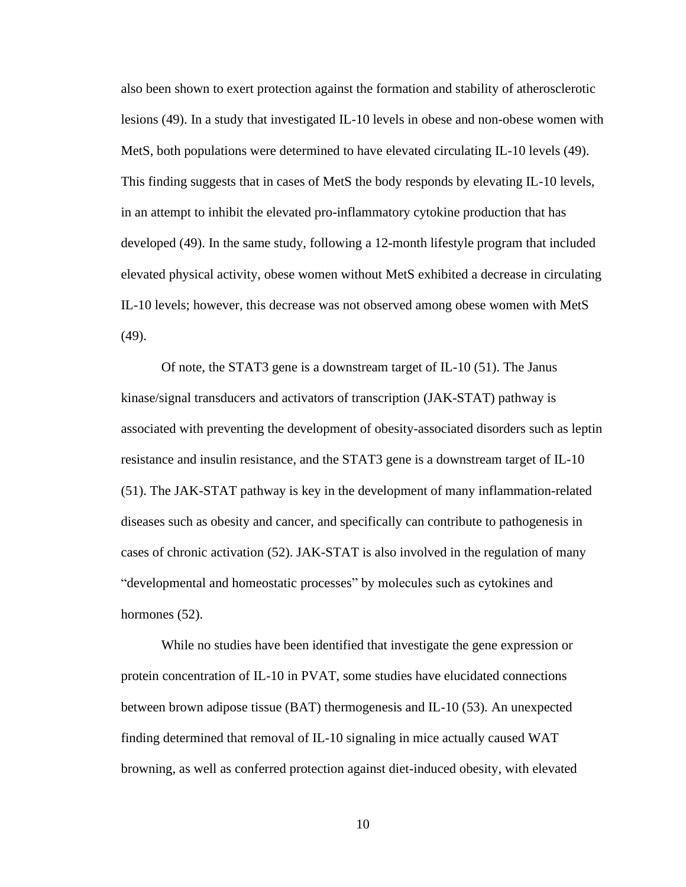also been shown to exert protection against the formation and stability of atherosclerotic lesions (49). In a study that investigated IL-10 levels in obese and non-obese women with MetS, both populations were determined to have elevated circulating IL-10 levels (49). This finding suggests that in cases of MetS the body responds by elevating IL-10 levels, in an attempt to inhibit the elevated pro-inflammatory cytokine production that has developed (49). In the same study, following a 12-month lifestyle program that included elevated physical activity, obese women without MetS exhibited a decrease in circulating IL-10 levels; however, this decrease was not observed among obese women with MetS (49).

Of note, the STAT3 gene is a downstream target of IL-10 (51). The Janus kinase/signal transducers and activators of transcription (JAK-STAT) pathway is associated with preventing the development of obesity-associated disorders such as leptin resistance and insulin resistance, and the STAT3 gene is a downstream target of IL-10 (51). The JAK-STAT pathway is key in the development of many inflammation-related diseases such as obesity and cancer, and specifically can contribute to pathogenesis in cases of chronic activation (52). JAK-STAT is also involved in the regulation of many "developmental and homeostatic processes" by molecules such as cytokines and hormones  $(52)$ .

While no studies have been identified that investigate the gene expression or protein concentration of IL-10 in PVAT, some studies have elucidated connections between brown adipose tissue (BAT) thermogenesis and IL-10 (53). An unexpected finding determined that removal of IL-10 signaling in mice actually caused WAT browning, as well as conferred protection against diet-induced obesity, with elevated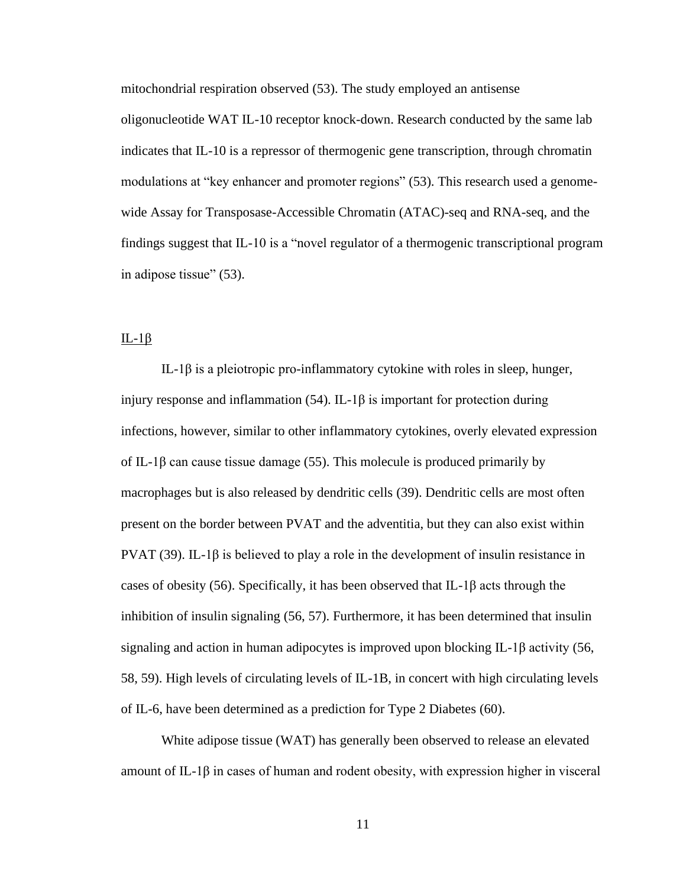mitochondrial respiration observed (53). The study employed an antisense

oligonucleotide WAT IL-10 receptor knock-down. Research conducted by the same lab indicates that IL-10 is a repressor of thermogenic gene transcription, through chromatin modulations at "key enhancer and promoter regions" (53). This research used a genomewide Assay for Transposase-Accessible Chromatin (ATAC)-seq and RNA-seq, and the findings suggest that IL-10 is a "novel regulator of a thermogenic transcriptional program in adipose tissue" (53).

### <span id="page-18-0"></span> $IL-1\beta$

IL-1β is a pleiotropic pro-inflammatory cytokine with roles in sleep, hunger, injury response and inflammation (54). IL-1 $\beta$  is important for protection during infections, however, similar to other inflammatory cytokines, overly elevated expression of IL-1 $\beta$  can cause tissue damage (55). This molecule is produced primarily by macrophages but is also released by dendritic cells (39). Dendritic cells are most often present on the border between PVAT and the adventitia, but they can also exist within PVAT (39). IL-1β is believed to play a role in the development of insulin resistance in cases of obesity (56). Specifically, it has been observed that IL-1β acts through the inhibition of insulin signaling (56, 57). Furthermore, it has been determined that insulin signaling and action in human adipocytes is improved upon blocking IL-1β activity (56, 58, 59). High levels of circulating levels of IL-1B, in concert with high circulating levels of IL-6, have been determined as a prediction for Type 2 Diabetes (60).

White adipose tissue (WAT) has generally been observed to release an elevated amount of IL-1 $\beta$  in cases of human and rodent obesity, with expression higher in visceral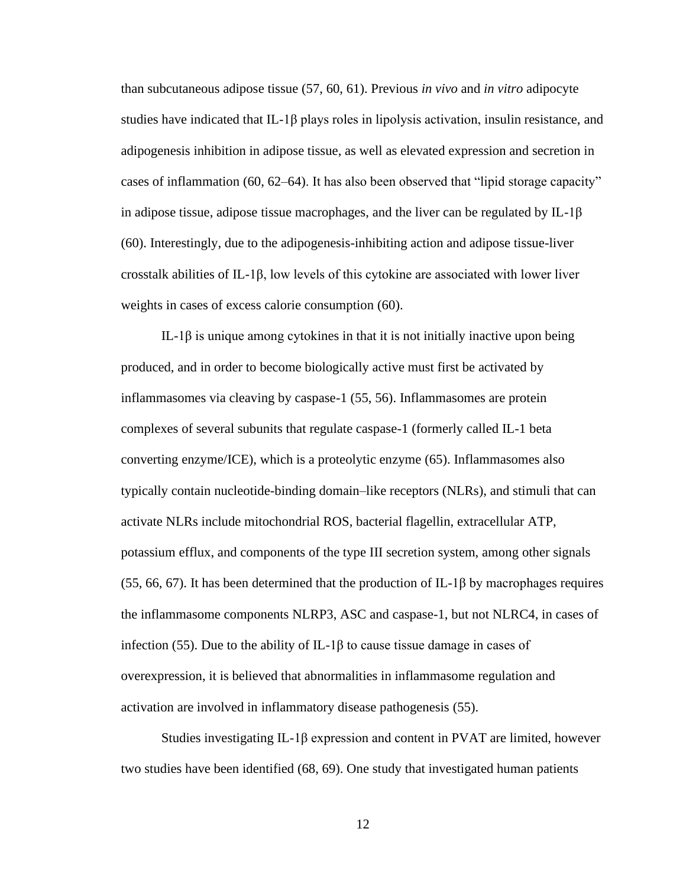than subcutaneous adipose tissue (57, 60, 61). Previous *in vivo* and *in vitro* adipocyte studies have indicated that  $IL-1\beta$  plays roles in lipolysis activation, insulin resistance, and adipogenesis inhibition in adipose tissue, as well as elevated expression and secretion in cases of inflammation (60, 62–64). It has also been observed that "lipid storage capacity" in adipose tissue, adipose tissue macrophages, and the liver can be regulated by  $IL-1\beta$ (60). Interestingly, due to the adipogenesis-inhibiting action and adipose tissue-liver crosstalk abilities of IL-1β, low levels of this cytokine are associated with lower liver weights in cases of excess calorie consumption (60).

IL-1β is unique among cytokines in that it is not initially inactive upon being produced, and in order to become biologically active must first be activated by inflammasomes via cleaving by caspase-1 (55, 56). Inflammasomes are protein complexes of several subunits that regulate caspase-1 (formerly called IL-1 beta converting enzyme/ICE), which is a proteolytic enzyme (65). Inflammasomes also typically contain nucleotide-binding domain–like receptors (NLRs), and stimuli that can activate NLRs include mitochondrial ROS, bacterial flagellin, extracellular ATP, potassium efflux, and components of the type III secretion system, among other signals (55, 66, 67). It has been determined that the production of IL-1 $\beta$  by macrophages requires the inflammasome components NLRP3, ASC and caspase-1, but not NLRC4, in cases of infection (55). Due to the ability of IL-1β to cause tissue damage in cases of overexpression, it is believed that abnormalities in inflammasome regulation and activation are involved in inflammatory disease pathogenesis (55).

Studies investigating IL-1β expression and content in PVAT are limited, however two studies have been identified (68, 69). One study that investigated human patients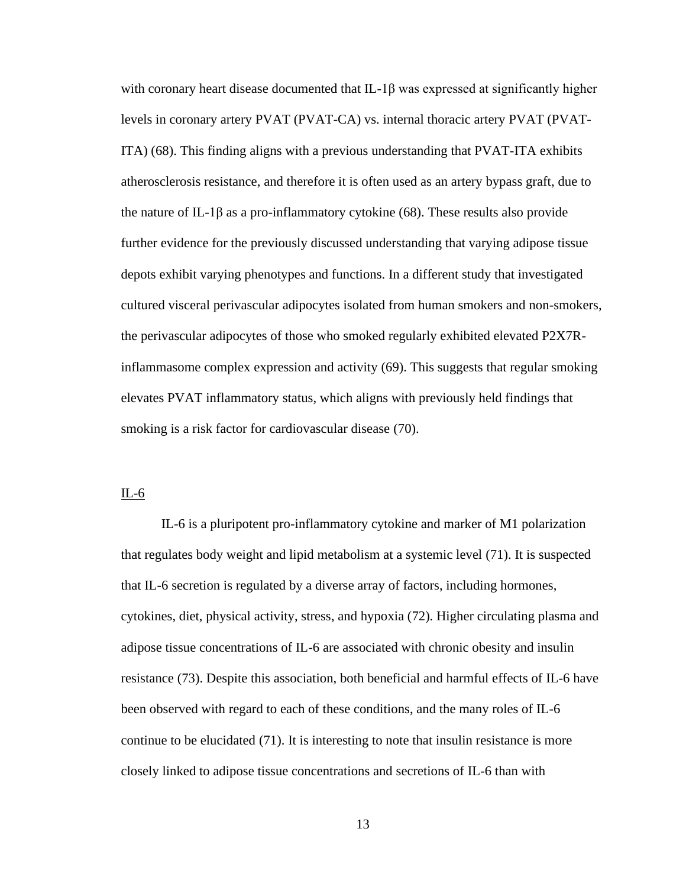with coronary heart disease documented that IL-1β was expressed at significantly higher levels in coronary artery PVAT (PVAT-CA) vs. internal thoracic artery PVAT (PVAT-ITA) (68). This finding aligns with a previous understanding that PVAT-ITA exhibits atherosclerosis resistance, and therefore it is often used as an artery bypass graft, due to the nature of IL-1 $\beta$  as a pro-inflammatory cytokine (68). These results also provide further evidence for the previously discussed understanding that varying adipose tissue depots exhibit varying phenotypes and functions. In a different study that investigated cultured visceral perivascular adipocytes isolated from human smokers and non-smokers, the perivascular adipocytes of those who smoked regularly exhibited elevated P2X7Rinflammasome complex expression and activity (69). This suggests that regular smoking elevates PVAT inflammatory status, which aligns with previously held findings that smoking is a risk factor for cardiovascular disease (70).

# <span id="page-20-0"></span>IL-6

IL-6 is a pluripotent pro-inflammatory cytokine and marker of M1 polarization that regulates body weight and lipid metabolism at a systemic level (71). It is suspected that IL-6 secretion is regulated by a diverse array of factors, including hormones, cytokines, diet, physical activity, stress, and hypoxia (72). Higher circulating plasma and adipose tissue concentrations of IL-6 are associated with chronic obesity and insulin resistance (73). Despite this association, both beneficial and harmful effects of IL-6 have been observed with regard to each of these conditions, and the many roles of IL-6 continue to be elucidated (71). It is interesting to note that insulin resistance is more closely linked to adipose tissue concentrations and secretions of IL-6 than with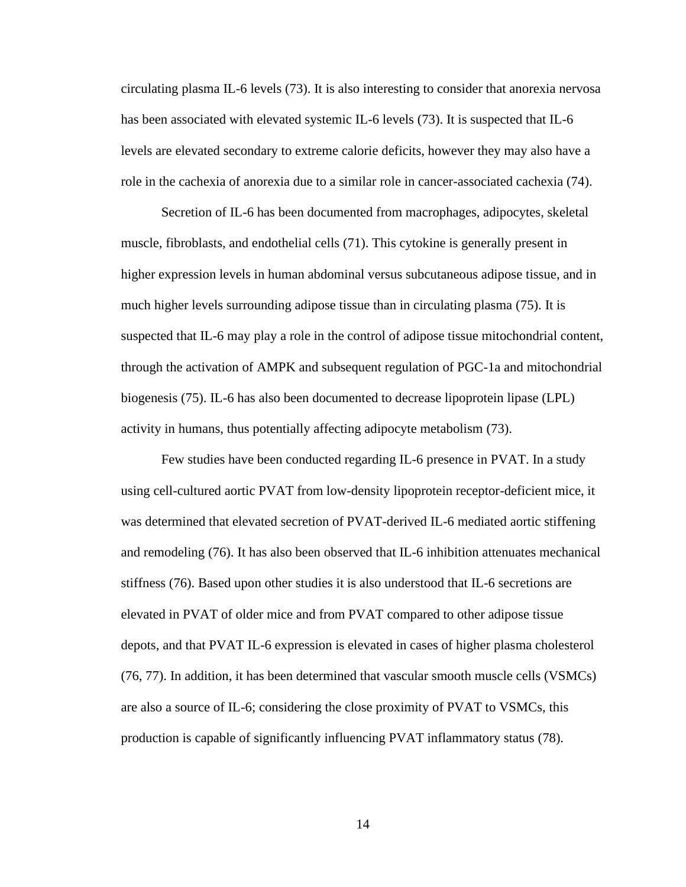circulating plasma IL-6 levels (73). It is also interesting to consider that anorexia nervosa has been associated with elevated systemic IL-6 levels (73). It is suspected that IL-6 levels are elevated secondary to extreme calorie deficits, however they may also have a role in the cachexia of anorexia due to a similar role in cancer-associated cachexia (74).

Secretion of IL-6 has been documented from macrophages, adipocytes, skeletal muscle, fibroblasts, and endothelial cells (71). This cytokine is generally present in higher expression levels in human abdominal versus subcutaneous adipose tissue, and in much higher levels surrounding adipose tissue than in circulating plasma (75). It is suspected that IL-6 may play a role in the control of adipose tissue mitochondrial content, through the activation of AMPK and subsequent regulation of PGC-1a and mitochondrial biogenesis (75). IL-6 has also been documented to decrease lipoprotein lipase (LPL) activity in humans, thus potentially affecting adipocyte metabolism (73).

Few studies have been conducted regarding IL-6 presence in PVAT. In a study using cell-cultured aortic PVAT from low-density lipoprotein receptor-deficient mice, it was determined that elevated secretion of PVAT-derived IL-6 mediated aortic stiffening and remodeling (76). It has also been observed that IL-6 inhibition attenuates mechanical stiffness (76). Based upon other studies it is also understood that IL-6 secretions are elevated in PVAT of older mice and from PVAT compared to other adipose tissue depots, and that PVAT IL-6 expression is elevated in cases of higher plasma cholesterol (76, 77). In addition, it has been determined that vascular smooth muscle cells (VSMCs) are also a source of IL-6; considering the close proximity of PVAT to VSMCs, this production is capable of significantly influencing PVAT inflammatory status (78).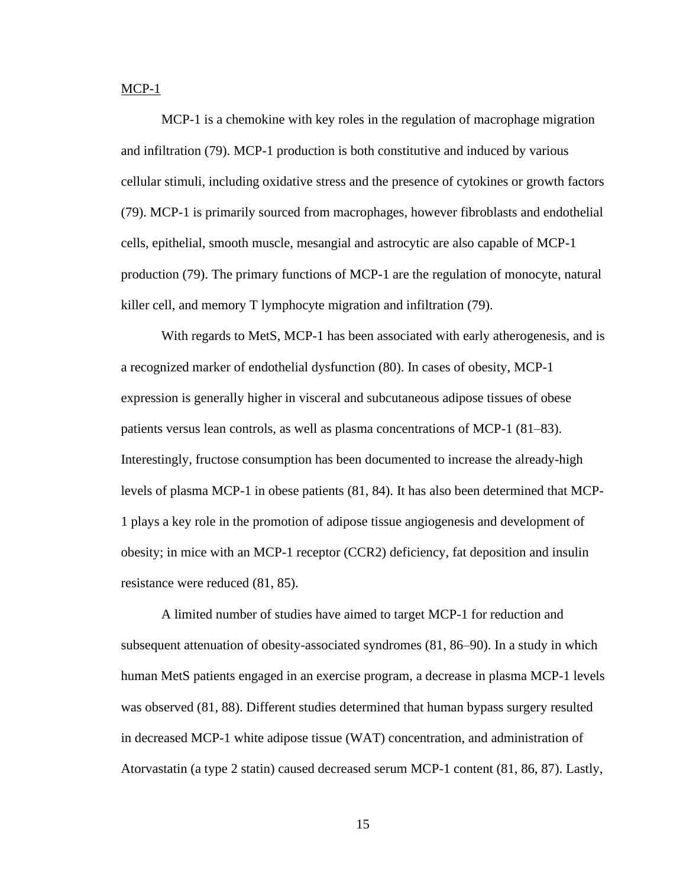<span id="page-22-0"></span> $MCP-1$ 

MCP-1 is a chemokine with key roles in the regulation of macrophage migration and infiltration (79). MCP-1 production is both constitutive and induced by various cellular stimuli, including oxidative stress and the presence of cytokines or growth factors (79). MCP-1 is primarily sourced from macrophages, however fibroblasts and endothelial cells, epithelial, smooth muscle, mesangial and astrocytic are also capable of MCP-1 production (79). The primary functions of MCP-1 are the regulation of monocyte, natural killer cell, and memory T lymphocyte migration and infiltration (79).

With regards to MetS, MCP-1 has been associated with early atherogenesis, and is a recognized marker of endothelial dysfunction (80). In cases of obesity, MCP-1 expression is generally higher in visceral and subcutaneous adipose tissues of obese patients versus lean controls, as well as plasma concentrations of MCP-1 (81–83). Interestingly, fructose consumption has been documented to increase the already-high levels of plasma MCP-1 in obese patients (81, 84). It has also been determined that MCP-1 plays a key role in the promotion of adipose tissue angiogenesis and development of obesity; in mice with an MCP-1 receptor (CCR2) deficiency, fat deposition and insulin resistance were reduced (81, 85).

A limited number of studies have aimed to target MCP-1 for reduction and subsequent attenuation of obesity-associated syndromes (81, 86–90). In a study in which human MetS patients engaged in an exercise program, a decrease in plasma MCP-1 levels was observed (81, 88). Different studies determined that human bypass surgery resulted in decreased MCP-1 white adipose tissue (WAT) concentration, and administration of Atorvastatin (a type 2 statin) caused decreased serum MCP-1 content (81, 86, 87). Lastly,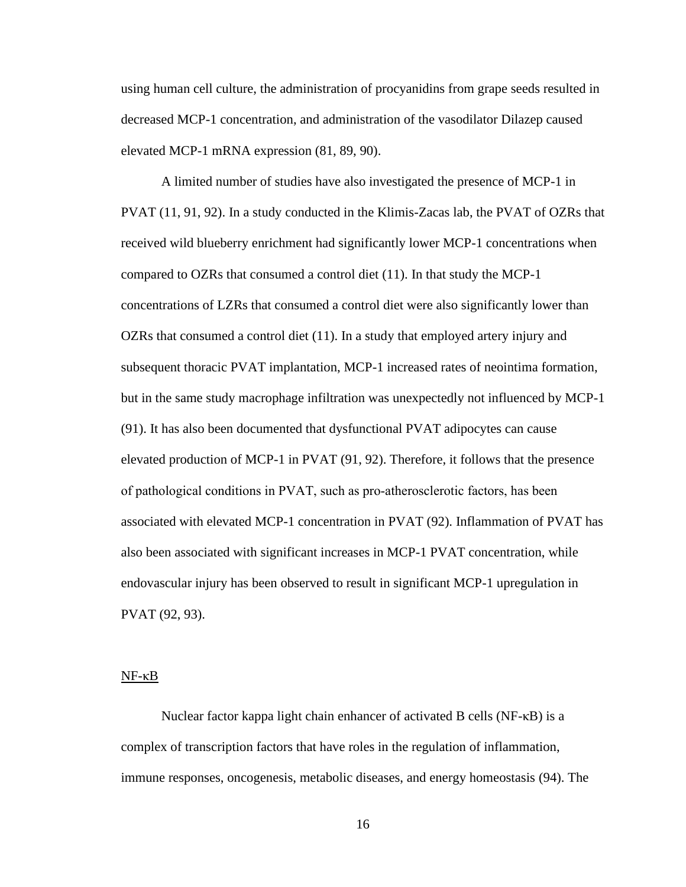using human cell culture, the administration of procyanidins from grape seeds resulted in decreased MCP-1 concentration, and administration of the vasodilator Dilazep caused elevated MCP-1 mRNA expression (81, 89, 90).

A limited number of studies have also investigated the presence of MCP-1 in PVAT (11, 91, 92). In a study conducted in the Klimis-Zacas lab, the PVAT of OZRs that received wild blueberry enrichment had significantly lower MCP-1 concentrations when compared to OZRs that consumed a control diet (11). In that study the MCP-1 concentrations of LZRs that consumed a control diet were also significantly lower than OZRs that consumed a control diet (11). In a study that employed artery injury and subsequent thoracic PVAT implantation, MCP-1 increased rates of neointima formation, but in the same study macrophage infiltration was unexpectedly not influenced by MCP-1 (91). It has also been documented that dysfunctional PVAT adipocytes can cause elevated production of MCP-1 in PVAT (91, 92). Therefore, it follows that the presence of pathological conditions in PVAT, such as pro‐atherosclerotic factors, has been associated with elevated MCP-1 concentration in PVAT (92). Inflammation of PVAT has also been associated with significant increases in MCP-1 PVAT concentration, while endovascular injury has been observed to result in significant MCP-1 upregulation in PVAT (92, 93).

#### NF-κB

Nuclear factor kappa light chain enhancer of activated B cells (NF-κB) is a complex of transcription factors that have roles in the regulation of inflammation, immune responses, oncogenesis, metabolic diseases, and energy homeostasis (94). The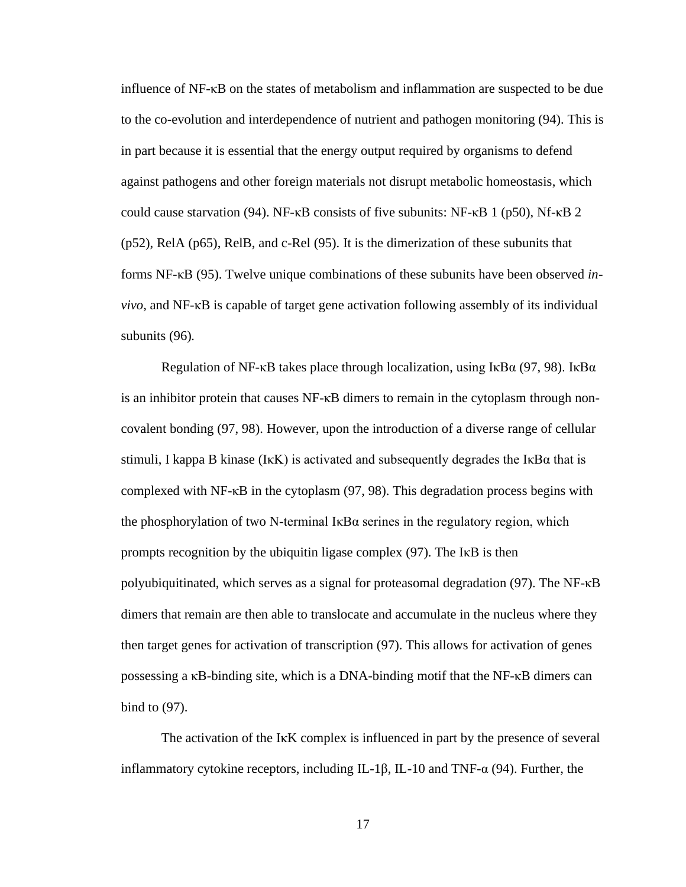influence of NF-κB on the states of metabolism and inflammation are suspected to be due to the co-evolution and interdependence of nutrient and pathogen monitoring (94). This is in part because it is essential that the energy output required by organisms to defend against pathogens and other foreign materials not disrupt metabolic homeostasis, which could cause starvation (94). NF- $\kappa$ B consists of five subunits: NF- $\kappa$ B 1 (p50), Nf- $\kappa$ B 2 (p52), RelA (p65), RelB, and c-Rel (95). It is the dimerization of these subunits that forms NF-κB (95). Twelve unique combinations of these subunits have been observed *invivo*, and NF-κB is capable of target gene activation following assembly of its individual subunits (96)*.*

Regulation of NF- $\kappa$ B takes place through localization, using I $\kappa$ B $\alpha$  (97, 98). I $\kappa$ B $\alpha$ is an inhibitor protein that causes NF-κB dimers to remain in the cytoplasm through noncovalent bonding (97, 98). However, upon the introduction of a diverse range of cellular stimuli, I kappa B kinase (I<sub>KK</sub>) is activated and subsequently degrades the I<sub>KB</sub> $\alpha$  that is complexed with NF-κB in the cytoplasm (97, 98). This degradation process begins with the phosphorylation of two N-terminal  $I \kappa B\alpha$  serines in the regulatory region, which prompts recognition by the ubiquitin ligase complex (97). The IκB is then polyubiquitinated, which serves as a signal for proteasomal degradation (97). The NF-κB dimers that remain are then able to translocate and accumulate in the nucleus where they then target genes for activation of transcription (97). This allows for activation of genes possessing a  $\kappa$ B-binding site, which is a DNA-binding motif that the NF- $\kappa$ B dimers can bind to (97).

The activation of the I<sub>K</sub>K complex is influenced in part by the presence of several inflammatory cytokine receptors, including IL-1β, IL-10 and TNF-α (94). Further, the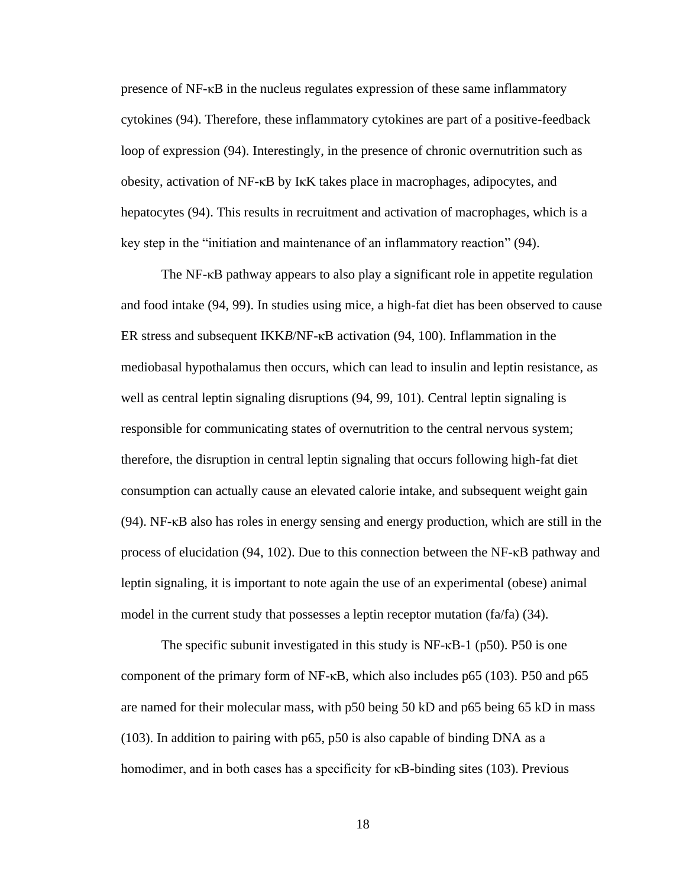presence of NF-κB in the nucleus regulates expression of these same inflammatory cytokines (94). Therefore, these inflammatory cytokines are part of a positive-feedback loop of expression (94). Interestingly, in the presence of chronic overnutrition such as obesity, activation of NF-κB by IκK takes place in macrophages, adipocytes, and hepatocytes (94). This results in recruitment and activation of macrophages, which is a key step in the "initiation and maintenance of an inflammatory reaction" (94).

The NF-κB pathway appears to also play a significant role in appetite regulation and food intake (94, 99). In studies using mice, a high-fat diet has been observed to cause ER stress and subsequent IKK*B*/NF-κB activation (94, 100). Inflammation in the mediobasal hypothalamus then occurs, which can lead to insulin and leptin resistance, as well as central leptin signaling disruptions (94, 99, 101). Central leptin signaling is responsible for communicating states of overnutrition to the central nervous system; therefore, the disruption in central leptin signaling that occurs following high-fat diet consumption can actually cause an elevated calorie intake, and subsequent weight gain (94). NF-κB also has roles in energy sensing and energy production, which are still in the process of elucidation (94, 102). Due to this connection between the NF-κB pathway and leptin signaling, it is important to note again the use of an experimental (obese) animal model in the current study that possesses a leptin receptor mutation (fa/fa) (34).

The specific subunit investigated in this study is NF-κB-1 (p50). P50 is one component of the primary form of NF-κB, which also includes p65 (103). P50 and p65 are named for their molecular mass, with p50 being 50 kD and p65 being 65 kD in mass (103). In addition to pairing with p65, p50 is also capable of binding DNA as a homodimer, and in both cases has a specificity for κB-binding sites (103). Previous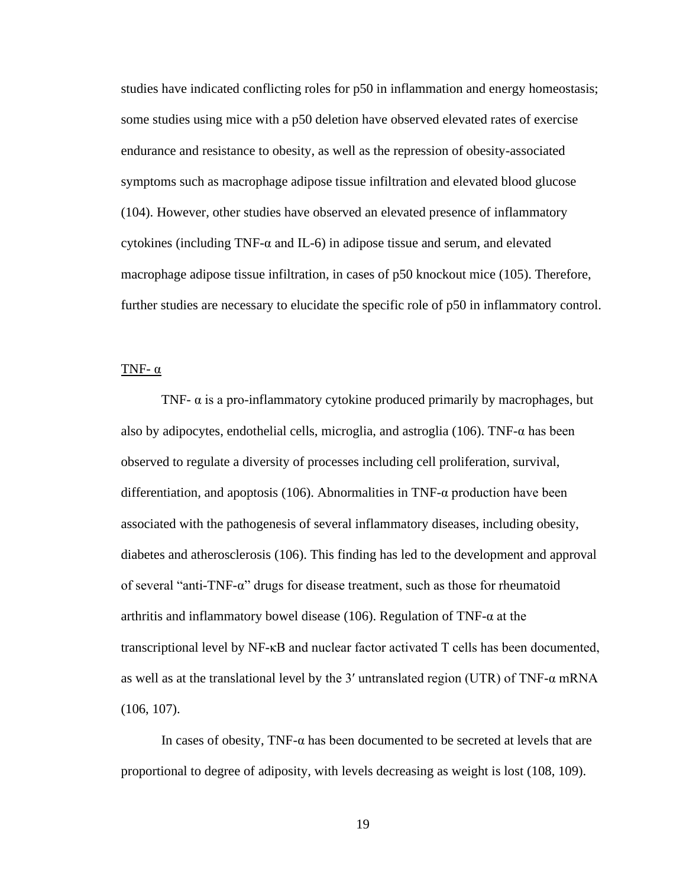studies have indicated conflicting roles for p50 in inflammation and energy homeostasis; some studies using mice with a p50 deletion have observed elevated rates of exercise endurance and resistance to obesity, as well as the repression of obesity-associated symptoms such as macrophage adipose tissue infiltration and elevated blood glucose (104). However, other studies have observed an elevated presence of inflammatory cytokines (including TNF- $\alpha$  and IL-6) in adipose tissue and serum, and elevated macrophage adipose tissue infiltration, in cases of p50 knockout mice (105). Therefore, further studies are necessary to elucidate the specific role of p50 in inflammatory control.

#### <span id="page-26-0"></span>TNF- $\alpha$

TNF- $\alpha$  is a pro-inflammatory cytokine produced primarily by macrophages, but also by adipocytes, endothelial cells, microglia, and astroglia (106). TNF-α has been observed to regulate a diversity of processes including cell proliferation, survival, differentiation, and apoptosis (106). Abnormalities in TNF- $\alpha$  production have been associated with the pathogenesis of several inflammatory diseases, including obesity, diabetes and atherosclerosis (106). This finding has led to the development and approval of several "anti-TNF-α" drugs for disease treatment, such as those for rheumatoid arthritis and inflammatory bowel disease (106). Regulation of TNF- $\alpha$  at the transcriptional level by NF-κB and nuclear factor activated T cells has been documented, as well as at the translational level by the 3' untranslated region (UTR) of TNF- $\alpha$  mRNA (106, 107).

In cases of obesity,  $TNF-\alpha$  has been documented to be secreted at levels that are proportional to degree of adiposity, with levels decreasing as weight is lost (108, 109).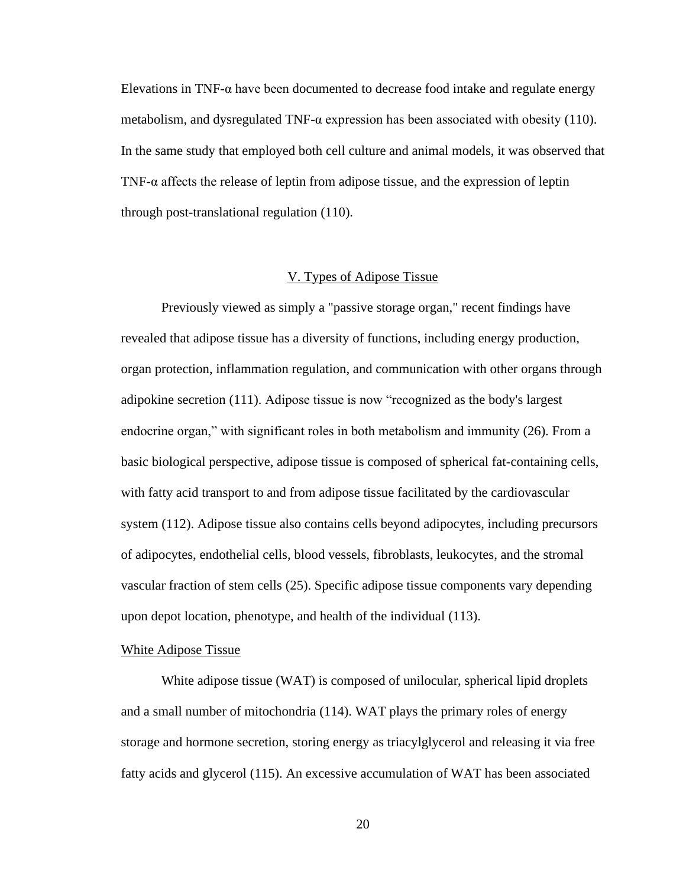Elevations in TNF- $\alpha$  have been documented to decrease food intake and regulate energy metabolism, and dysregulated TNF- $\alpha$  expression has been associated with obesity (110). In the same study that employed both cell culture and animal models, it was observed that TNF-α affects the release of leptin from adipose tissue, and the expression of leptin through post-translational regulation (110).

# V. Types of Adipose Tissue

<span id="page-27-0"></span>Previously viewed as simply a "passive storage organ," recent findings have revealed that adipose tissue has a diversity of functions, including energy production, organ protection, inflammation regulation, and communication with other organs through adipokine secretion (111). Adipose tissue is now "recognized as the body's largest endocrine organ," with significant roles in both metabolism and immunity (26). From a basic biological perspective, adipose tissue is composed of spherical fat-containing cells, with fatty acid transport to and from adipose tissue facilitated by the cardiovascular system (112). Adipose tissue also contains cells beyond adipocytes, including precursors of adipocytes, endothelial cells, blood vessels, fibroblasts, leukocytes, and the stromal vascular fraction of stem cells (25). Specific adipose tissue components vary depending upon depot location, phenotype, and health of the individual (113).

#### <span id="page-27-1"></span>White Adipose Tissue

White adipose tissue (WAT) is composed of unilocular, spherical lipid droplets and a small number of mitochondria (114). WAT plays the primary roles of energy storage and hormone secretion, storing energy as triacylglycerol and releasing it via free fatty acids and glycerol (115). An excessive accumulation of WAT has been associated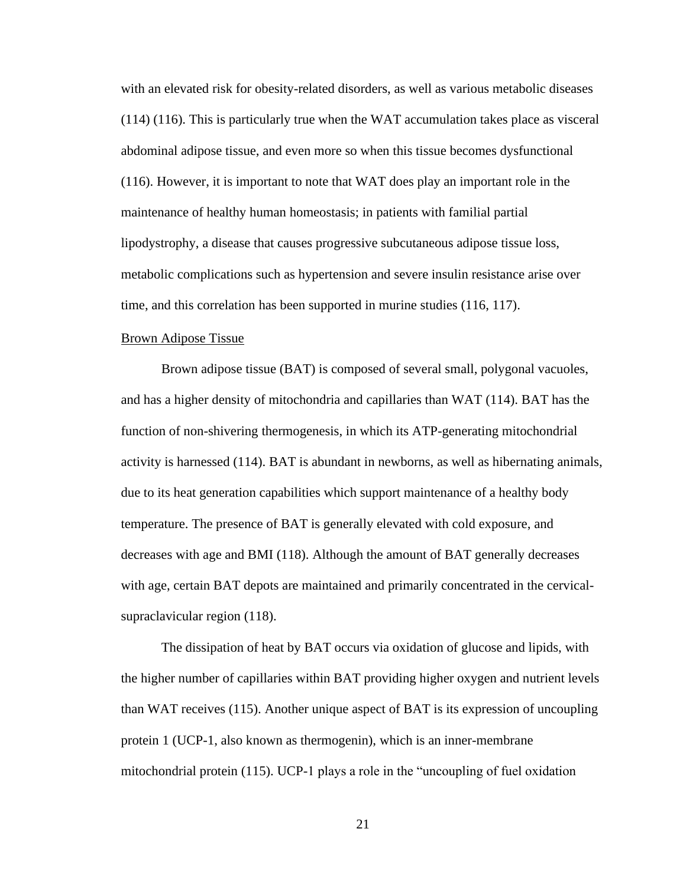with an elevated risk for obesity-related disorders, as well as various metabolic diseases (114) (116). This is particularly true when the WAT accumulation takes place as visceral abdominal adipose tissue, and even more so when this tissue becomes dysfunctional (116). However, it is important to note that WAT does play an important role in the maintenance of healthy human homeostasis; in patients with familial partial lipodystrophy, a disease that causes progressive subcutaneous adipose tissue loss, metabolic complications such as hypertension and severe insulin resistance arise over time, and this correlation has been supported in murine studies (116, 117).

### <span id="page-28-0"></span>Brown Adipose Tissue

Brown adipose tissue (BAT) is composed of several small, polygonal vacuoles, and has a higher density of mitochondria and capillaries than WAT (114). BAT has the function of non-shivering thermogenesis, in which its ATP-generating mitochondrial activity is harnessed (114). BAT is abundant in newborns, as well as hibernating animals, due to its heat generation capabilities which support maintenance of a healthy body temperature. The presence of BAT is generally elevated with cold exposure, and decreases with age and BMI (118). Although the amount of BAT generally decreases with age, certain BAT depots are maintained and primarily concentrated in the cervicalsupraclavicular region (118).

The dissipation of heat by BAT occurs via oxidation of glucose and lipids, with the higher number of capillaries within BAT providing higher oxygen and nutrient levels than WAT receives (115). Another unique aspect of BAT is its expression of uncoupling protein 1 (UCP-1, also known as thermogenin), which is an inner-membrane mitochondrial protein (115). UCP-1 plays a role in the "uncoupling of fuel oxidation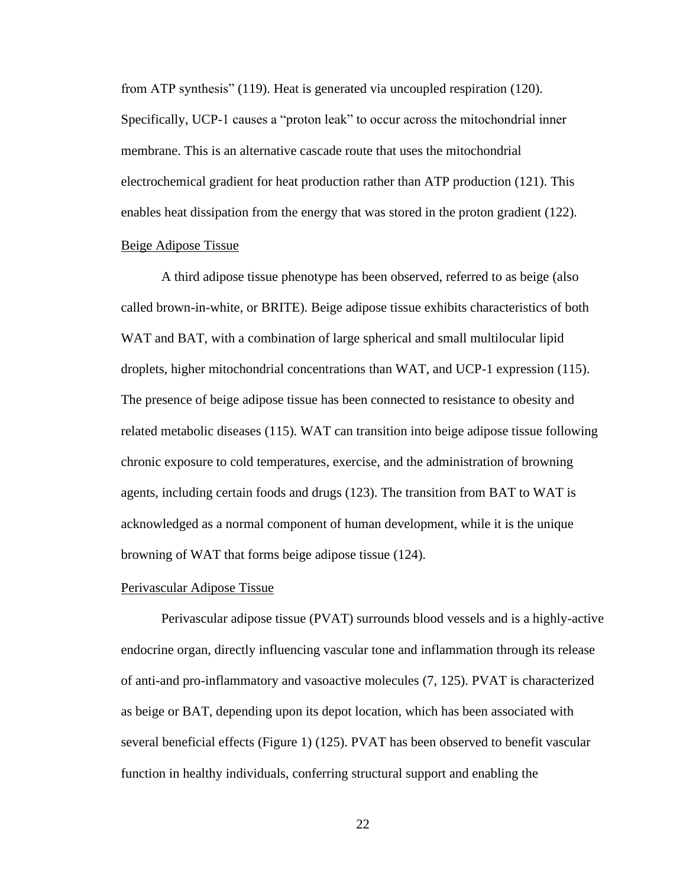from ATP synthesis" (119). Heat is generated via uncoupled respiration (120). Specifically, UCP-1 causes a "proton leak" to occur across the mitochondrial inner membrane. This is an alternative cascade route that uses the mitochondrial electrochemical gradient for heat production rather than ATP production (121). This enables heat dissipation from the energy that was stored in the proton gradient (122).

# <span id="page-29-0"></span>Beige Adipose Tissue

A third adipose tissue phenotype has been observed, referred to as beige (also called brown-in-white, or BRITE). Beige adipose tissue exhibits characteristics of both WAT and BAT, with a combination of large spherical and small multilocular lipid droplets, higher mitochondrial concentrations than WAT, and UCP-1 expression (115). The presence of beige adipose tissue has been connected to resistance to obesity and related metabolic diseases (115). WAT can transition into beige adipose tissue following chronic exposure to cold temperatures, exercise, and the administration of browning agents, including certain foods and drugs (123). The transition from BAT to WAT is acknowledged as a normal component of human development, while it is the unique browning of WAT that forms beige adipose tissue (124).

#### <span id="page-29-1"></span>Perivascular Adipose Tissue

Perivascular adipose tissue (PVAT) surrounds blood vessels and is a highly-active endocrine organ, directly influencing vascular tone and inflammation through its release of anti-and pro-inflammatory and vasoactive molecules (7, 125). PVAT is characterized as beige or BAT, depending upon its depot location, which has been associated with several beneficial effects (Figure 1) (125). PVAT has been observed to benefit vascular function in healthy individuals, conferring structural support and enabling the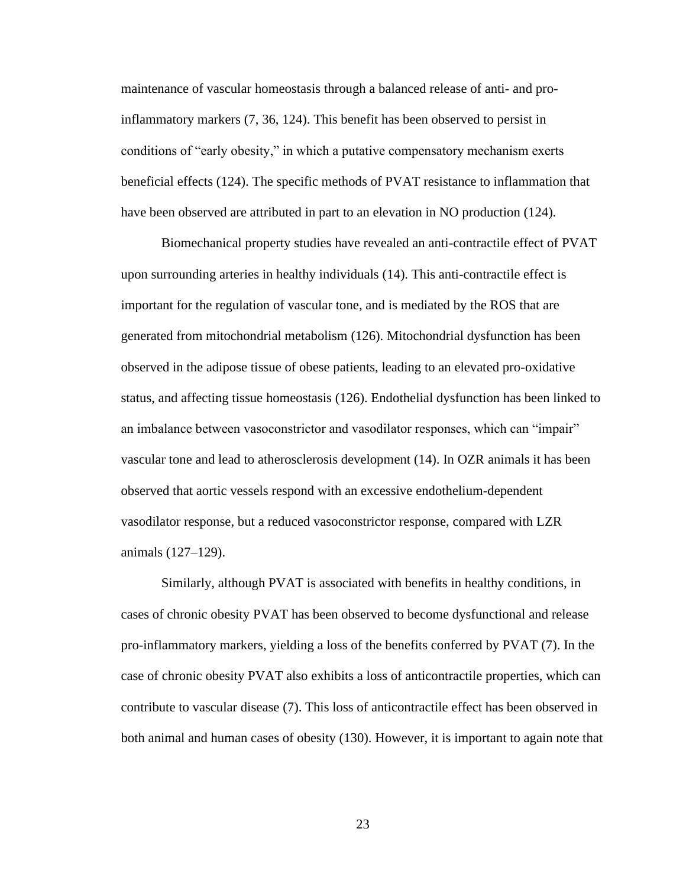maintenance of vascular homeostasis through a balanced release of anti- and proinflammatory markers (7, 36, 124). This benefit has been observed to persist in conditions of "early obesity," in which a putative compensatory mechanism exerts beneficial effects (124). The specific methods of PVAT resistance to inflammation that have been observed are attributed in part to an elevation in NO production (124).

Biomechanical property studies have revealed an anti-contractile effect of PVAT upon surrounding arteries in healthy individuals (14). This anti-contractile effect is important for the regulation of vascular tone, and is mediated by the ROS that are generated from mitochondrial metabolism (126). Mitochondrial dysfunction has been observed in the adipose tissue of obese patients, leading to an elevated pro-oxidative status, and affecting tissue homeostasis (126). Endothelial dysfunction has been linked to an imbalance between vasoconstrictor and vasodilator responses, which can "impair" vascular tone and lead to atherosclerosis development (14). In OZR animals it has been observed that aortic vessels respond with an excessive endothelium-dependent vasodilator response, but a reduced vasoconstrictor response, compared with LZR animals (127–129).

Similarly, although PVAT is associated with benefits in healthy conditions, in cases of chronic obesity PVAT has been observed to become dysfunctional and release pro-inflammatory markers, yielding a loss of the benefits conferred by PVAT (7). In the case of chronic obesity PVAT also exhibits a loss of anticontractile properties, which can contribute to vascular disease (7). This loss of anticontractile effect has been observed in both animal and human cases of obesity (130). However, it is important to again note that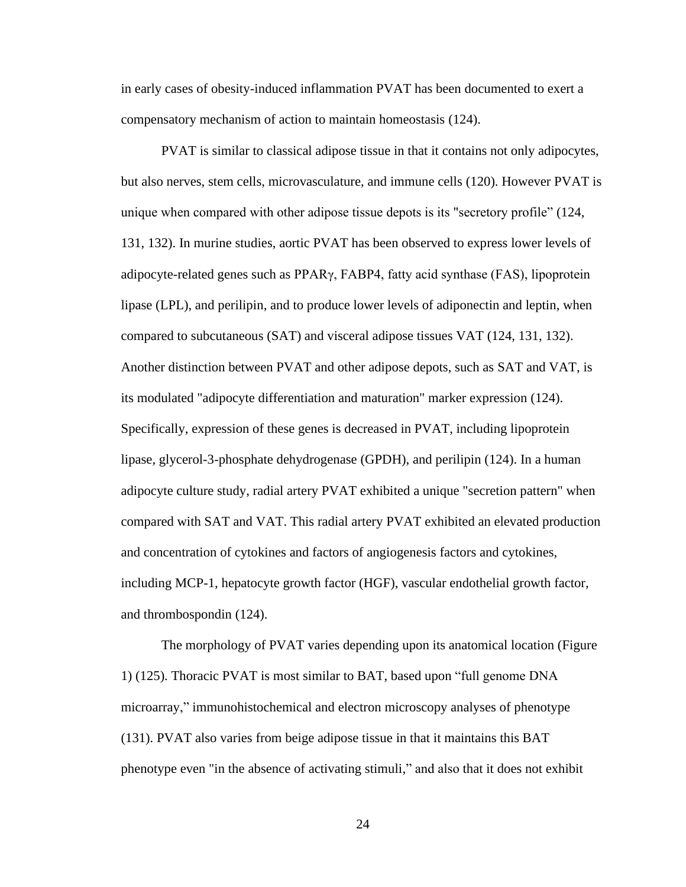in early cases of obesity-induced inflammation PVAT has been documented to exert a compensatory mechanism of action to maintain homeostasis (124).

PVAT is similar to classical adipose tissue in that it contains not only adipocytes, but also nerves, stem cells, microvasculature, and immune cells (120). However PVAT is unique when compared with other adipose tissue depots is its "secretory profile" (124, 131, 132). In murine studies, aortic PVAT has been observed to express lower levels of adipocyte-related genes such as PPARγ, FABP4, fatty acid synthase (FAS), lipoprotein lipase (LPL), and perilipin, and to produce lower levels of adiponectin and leptin, when compared to subcutaneous (SAT) and visceral adipose tissues VAT (124, 131, 132). Another distinction between PVAT and other adipose depots, such as SAT and VAT, is its modulated "adipocyte differentiation and maturation" marker expression (124). Specifically, expression of these genes is decreased in PVAT, including lipoprotein lipase, glycerol-3-phosphate dehydrogenase (GPDH), and perilipin (124). In a human adipocyte culture study, radial artery PVAT exhibited a unique "secretion pattern" when compared with SAT and VAT. This radial artery PVAT exhibited an elevated production and concentration of cytokines and factors of angiogenesis factors and cytokines, including MCP-1, hepatocyte growth factor (HGF), vascular endothelial growth factor, and thrombospondin (124).

The morphology of PVAT varies depending upon its anatomical location (Figure 1) (125). Thoracic PVAT is most similar to BAT, based upon "full genome DNA microarray," immunohistochemical and electron microscopy analyses of phenotype (131). PVAT also varies from beige adipose tissue in that it maintains this BAT phenotype even "in the absence of activating stimuli," and also that it does not exhibit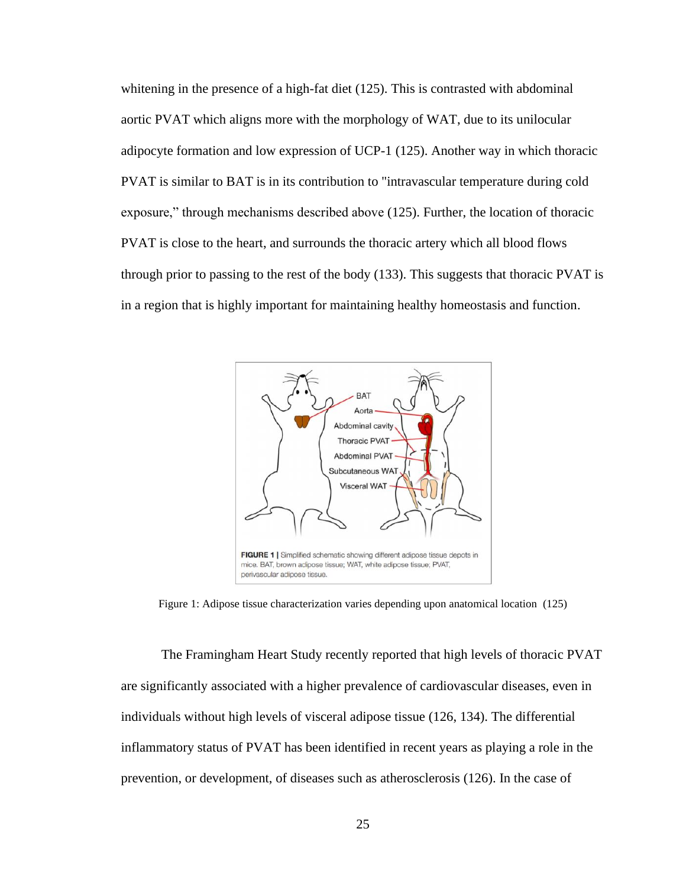whitening in the presence of a high-fat diet (125). This is contrasted with abdominal aortic PVAT which aligns more with the morphology of WAT, due to its unilocular adipocyte formation and low expression of UCP-1 (125). Another way in which thoracic PVAT is similar to BAT is in its contribution to "intravascular temperature during cold exposure," through mechanisms described above (125). Further, the location of thoracic PVAT is close to the heart, and surrounds the thoracic artery which all blood flows through prior to passing to the rest of the body (133). This suggests that thoracic PVAT is in a region that is highly important for maintaining healthy homeostasis and function.



<span id="page-32-0"></span>Figure 1: Adipose tissue characterization varies depending upon anatomical location (125)

The Framingham Heart Study recently reported that high levels of thoracic PVAT are significantly associated with a higher prevalence of cardiovascular diseases, even in individuals without high levels of visceral adipose tissue (126, 134). The differential inflammatory status of PVAT has been identified in recent years as playing a role in the prevention, or development, of diseases such as atherosclerosis (126). In the case of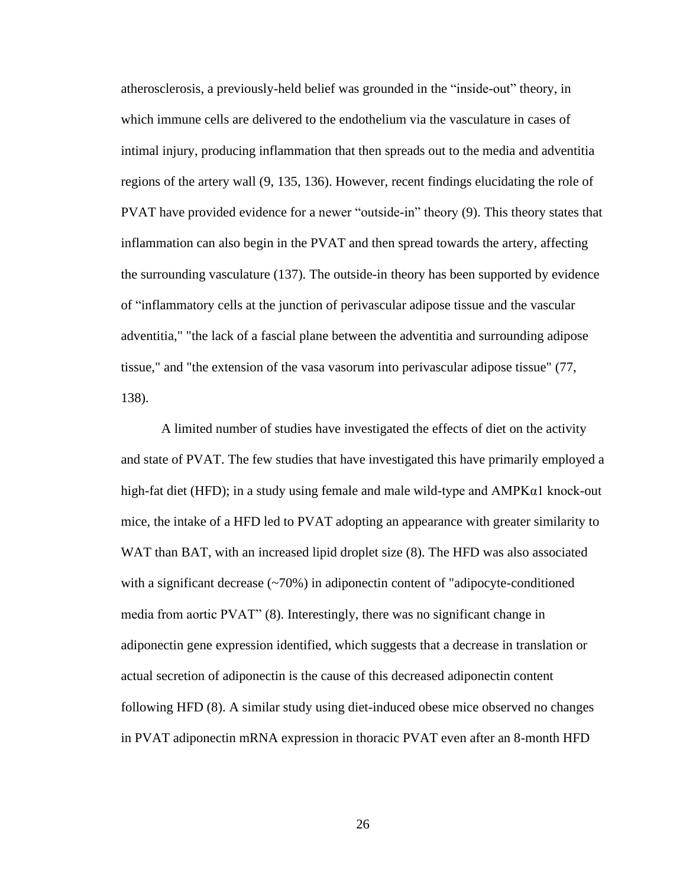atherosclerosis, a previously-held belief was grounded in the "inside-out" theory, in which immune cells are delivered to the endothelium via the vasculature in cases of intimal injury, producing inflammation that then spreads out to the media and adventitia regions of the artery wall (9, 135, 136). However, recent findings elucidating the role of PVAT have provided evidence for a newer "outside-in" theory (9). This theory states that inflammation can also begin in the PVAT and then spread towards the artery, affecting the surrounding vasculature (137). The outside-in theory has been supported by evidence of "inflammatory cells at the junction of perivascular adipose tissue and the vascular adventitia," "the lack of a fascial plane between the adventitia and surrounding adipose tissue," and "the extension of the vasa vasorum into perivascular adipose tissue" (77, 138).

A limited number of studies have investigated the effects of diet on the activity and state of PVAT. The few studies that have investigated this have primarily employed a high-fat diet (HFD); in a study using female and male wild-type and AMPKα1 knock-out mice, the intake of a HFD led to PVAT adopting an appearance with greater similarity to WAT than BAT, with an increased lipid droplet size  $(8)$ . The HFD was also associated with a significant decrease (~70%) in adiponectin content of "adipocyte-conditioned media from aortic PVAT" (8). Interestingly, there was no significant change in adiponectin gene expression identified, which suggests that a decrease in translation or actual secretion of adiponectin is the cause of this decreased adiponectin content following HFD (8). A similar study using diet-induced obese mice observed no changes in PVAT adiponectin mRNA expression in thoracic PVAT even after an 8-month HFD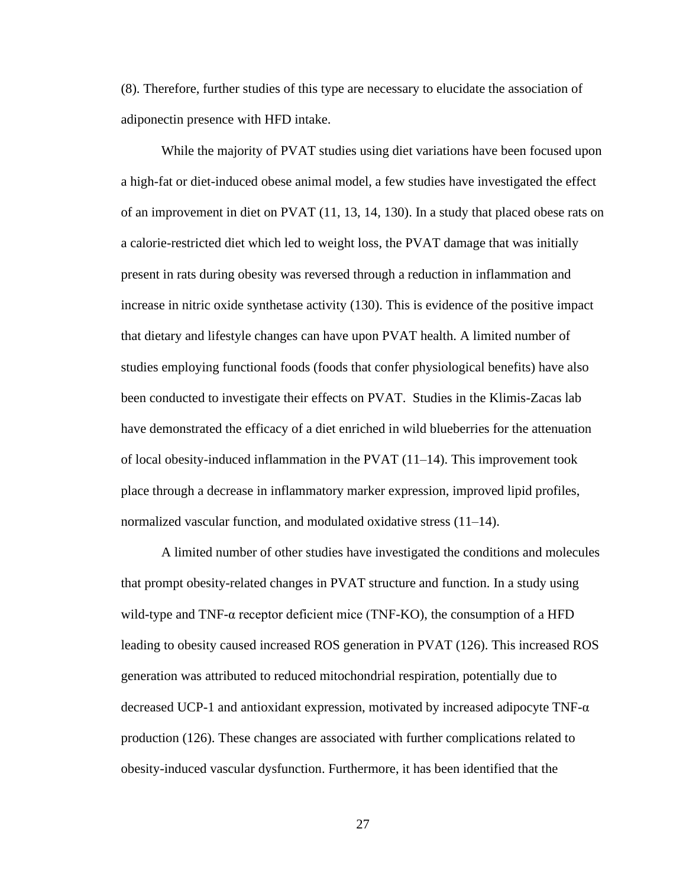(8). Therefore, further studies of this type are necessary to elucidate the association of adiponectin presence with HFD intake.

While the majority of PVAT studies using diet variations have been focused upon a high-fat or diet-induced obese animal model, a few studies have investigated the effect of an improvement in diet on PVAT (11, 13, 14, 130). In a study that placed obese rats on a calorie-restricted diet which led to weight loss, the PVAT damage that was initially present in rats during obesity was reversed through a reduction in inflammation and increase in nitric oxide synthetase activity (130). This is evidence of the positive impact that dietary and lifestyle changes can have upon PVAT health. A limited number of studies employing functional foods (foods that confer physiological benefits) have also been conducted to investigate their effects on PVAT. Studies in the Klimis-Zacas lab have demonstrated the efficacy of a diet enriched in wild blueberries for the attenuation of local obesity-induced inflammation in the PVAT (11–14). This improvement took place through a decrease in inflammatory marker expression, improved lipid profiles, normalized vascular function, and modulated oxidative stress (11–14).

A limited number of other studies have investigated the conditions and molecules that prompt obesity-related changes in PVAT structure and function. In a study using wild-type and  $TNF-\alpha$  receptor deficient mice (TNF-KO), the consumption of a HFD leading to obesity caused increased ROS generation in PVAT (126). This increased ROS generation was attributed to reduced mitochondrial respiration, potentially due to decreased UCP-1 and antioxidant expression, motivated by increased adipocyte  $TNF-\alpha$ production (126). These changes are associated with further complications related to obesity-induced vascular dysfunction. Furthermore, it has been identified that the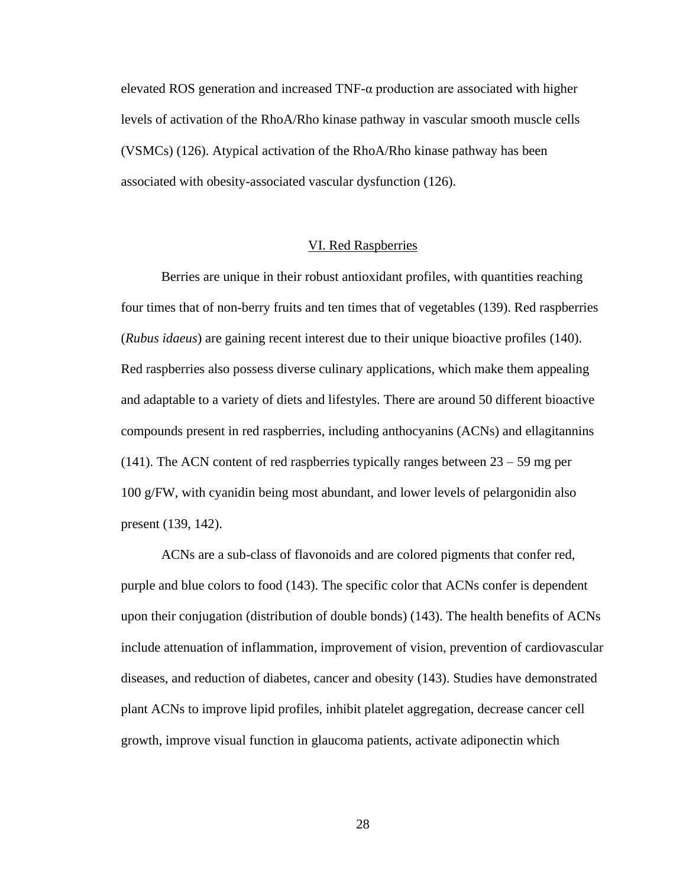elevated ROS generation and increased TNF-α production are associated with higher levels of activation of the RhoA/Rho kinase pathway in vascular smooth muscle cells (VSMCs) (126). Atypical activation of the RhoA/Rho kinase pathway has been associated with obesity-associated vascular dysfunction (126).

## VI. Red Raspberries

<span id="page-35-0"></span>Berries are unique in their robust antioxidant profiles, with quantities reaching four times that of non-berry fruits and ten times that of vegetables (139). Red raspberries (*Rubus idaeus*) are gaining recent interest due to their unique bioactive profiles (140). Red raspberries also possess diverse culinary applications, which make them appealing and adaptable to a variety of diets and lifestyles. There are around 50 different bioactive compounds present in red raspberries, including anthocyanins (ACNs) and ellagitannins (141). The ACN content of red raspberries typically ranges between  $23 - 59$  mg per 100 g/FW, with cyanidin being most abundant, and lower levels of pelargonidin also present (139, 142).

ACNs are a sub-class of flavonoids and are colored pigments that confer red, purple and blue colors to food (143). The specific color that ACNs confer is dependent upon their conjugation (distribution of double bonds) (143). The health benefits of ACNs include attenuation of inflammation, improvement of vision, prevention of cardiovascular diseases, and reduction of diabetes, cancer and obesity (143). Studies have demonstrated plant ACNs to improve lipid profiles, inhibit platelet aggregation, decrease cancer cell growth, improve visual function in glaucoma patients, activate adiponectin which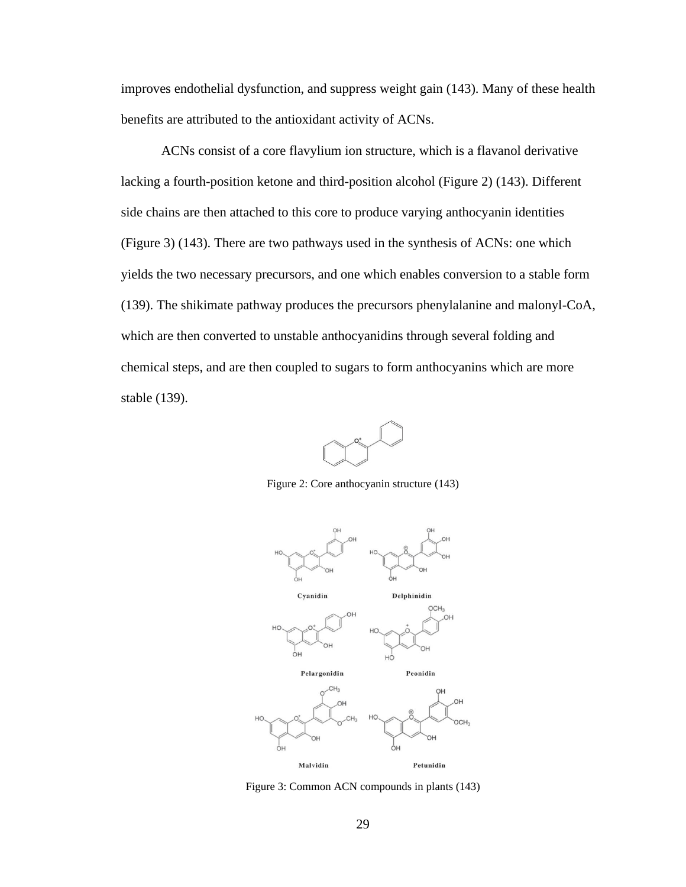improves endothelial dysfunction, and suppress weight gain (143). Many of these health benefits are attributed to the antioxidant activity of ACNs.

ACNs consist of a core flavylium ion structure, which is a flavanol derivative lacking a fourth-position ketone and third-position alcohol (Figure 2) (143). Different side chains are then attached to this core to produce varying anthocyanin identities (Figure 3) (143). There are two pathways used in the synthesis of ACNs: one which yields the two necessary precursors, and one which enables conversion to a stable form (139). The shikimate pathway produces the precursors phenylalanine and malonyl-CoA, which are then converted to unstable anthocyanidins through several folding and chemical steps, and are then coupled to sugars to form anthocyanins which are more stable (139).



Figure 2: Core anthocyanin structure (143)



Figure 3: Common ACN compounds in plants (143)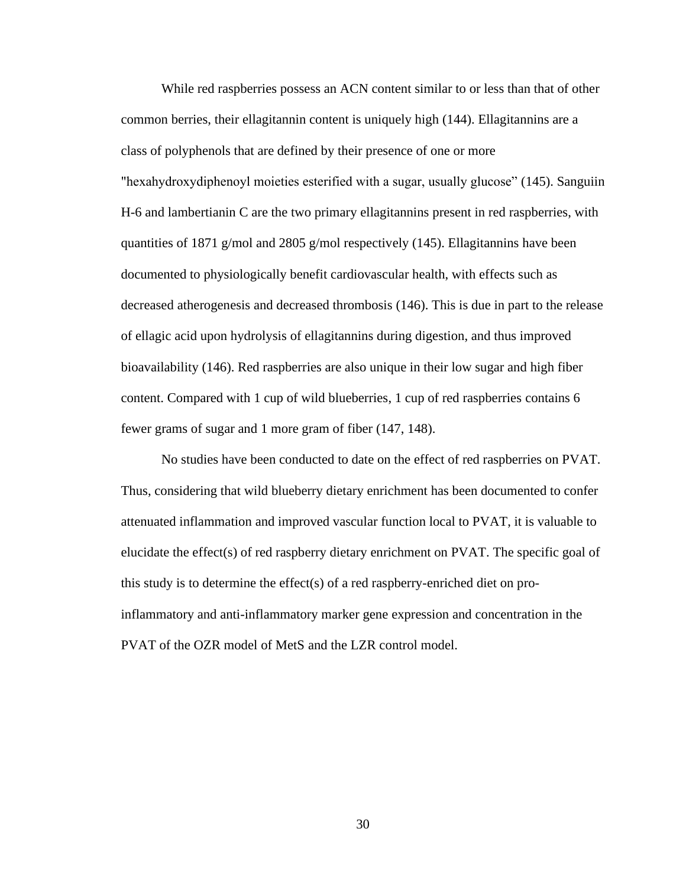While red raspberries possess an ACN content similar to or less than that of other common berries, their ellagitannin content is uniquely high (144). Ellagitannins are a class of polyphenols that are defined by their presence of one or more "hexahydroxydiphenoyl moieties esterified with a sugar, usually glucose" (145). Sanguiin H-6 and lambertianin C are the two primary ellagitannins present in red raspberries, with quantities of 1871 g/mol and 2805 g/mol respectively (145). Ellagitannins have been documented to physiologically benefit cardiovascular health, with effects such as decreased atherogenesis and decreased thrombosis (146). This is due in part to the release of ellagic acid upon hydrolysis of ellagitannins during digestion, and thus improved bioavailability (146). Red raspberries are also unique in their low sugar and high fiber content. Compared with 1 cup of wild blueberries, 1 cup of red raspberries contains 6 fewer grams of sugar and 1 more gram of fiber (147, 148).

No studies have been conducted to date on the effect of red raspberries on PVAT. Thus, considering that wild blueberry dietary enrichment has been documented to confer attenuated inflammation and improved vascular function local to PVAT, it is valuable to elucidate the effect(s) of red raspberry dietary enrichment on PVAT. The specific goal of this study is to determine the effect(s) of a red raspberry-enriched diet on proinflammatory and anti-inflammatory marker gene expression and concentration in the PVAT of the OZR model of MetS and the LZR control model.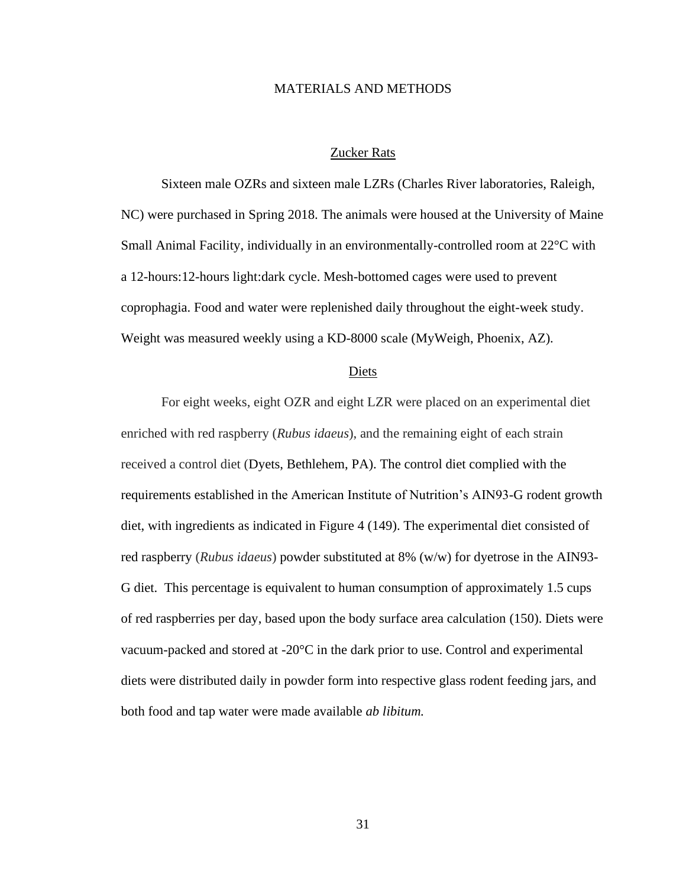### MATERIALS AND METHODS

### Zucker Rats

Sixteen male OZRs and sixteen male LZRs (Charles River laboratories, Raleigh, NC) were purchased in Spring 2018. The animals were housed at the University of Maine Small Animal Facility, individually in an environmentally-controlled room at 22°C with a 12-hours:12-hours light:dark cycle. Mesh-bottomed cages were used to prevent coprophagia. Food and water were replenished daily throughout the eight-week study. Weight was measured weekly using a KD-8000 scale (MyWeigh, Phoenix, AZ).

#### Diets

For eight weeks, eight OZR and eight LZR were placed on an experimental diet enriched with red raspberry (*Rubus idaeus*), and the remaining eight of each strain received a control diet (Dyets, Bethlehem, PA). The control diet complied with the requirements established in the American Institute of Nutrition's AIN93-G rodent growth diet, with ingredients as indicated in Figure 4 (149). The experimental diet consisted of red raspberry (*Rubus idaeus*) powder substituted at 8% (w/w) for dyetrose in the AIN93- G diet. This percentage is equivalent to human consumption of approximately 1.5 cups of red raspberries per day, based upon the body surface area calculation (150). Diets were vacuum-packed and stored at -20°C in the dark prior to use. Control and experimental diets were distributed daily in powder form into respective glass rodent feeding jars, and both food and tap water were made available *ab libitum.*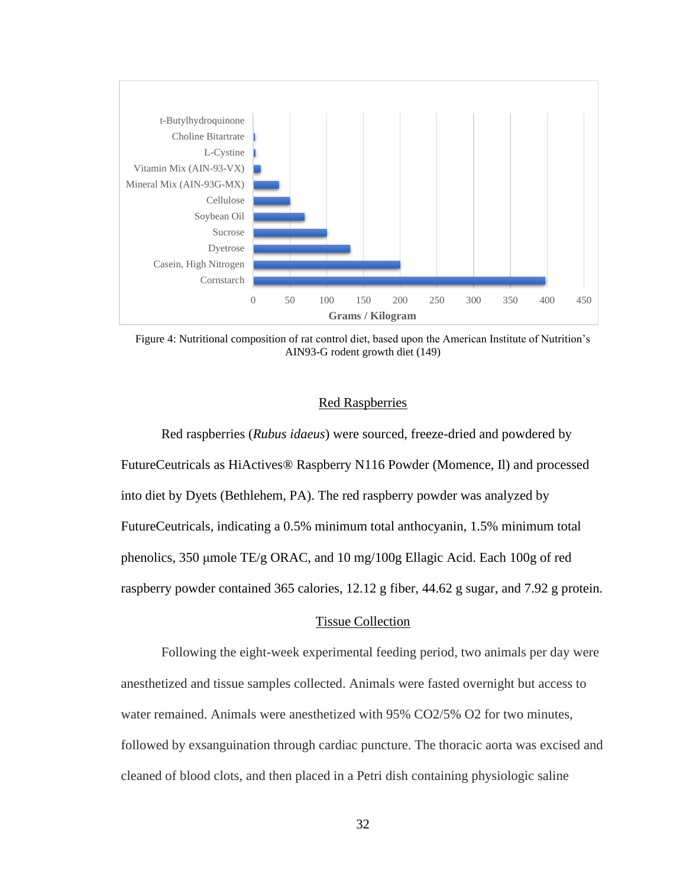

Figure 4: Nutritional composition of rat control diet, based upon the American Institute of Nutrition's AIN93-G rodent growth diet (149)

## Red Raspberries

Red raspberries (*Rubus idaeus*) were sourced, freeze-dried and powdered by FutureCeutricals as HiActives® Raspberry N116 Powder (Momence, Il) and processed into diet by Dyets (Bethlehem, PA). The red raspberry powder was analyzed by FutureCeutricals, indicating a 0.5% minimum total anthocyanin, 1.5% minimum total phenolics, 350 μmole TE/g ORAC, and 10 mg/100g Ellagic Acid. Each 100g of red raspberry powder contained 365 calories, 12.12 g fiber, 44.62 g sugar, and 7.92 g protein.

### Tissue Collection

Following the eight-week experimental feeding period, two animals per day were anesthetized and tissue samples collected. Animals were fasted overnight but access to water remained. Animals were anesthetized with 95% CO2/5% O2 for two minutes, followed by exsanguination through cardiac puncture. The thoracic aorta was excised and cleaned of blood clots, and then placed in a Petri dish containing physiologic saline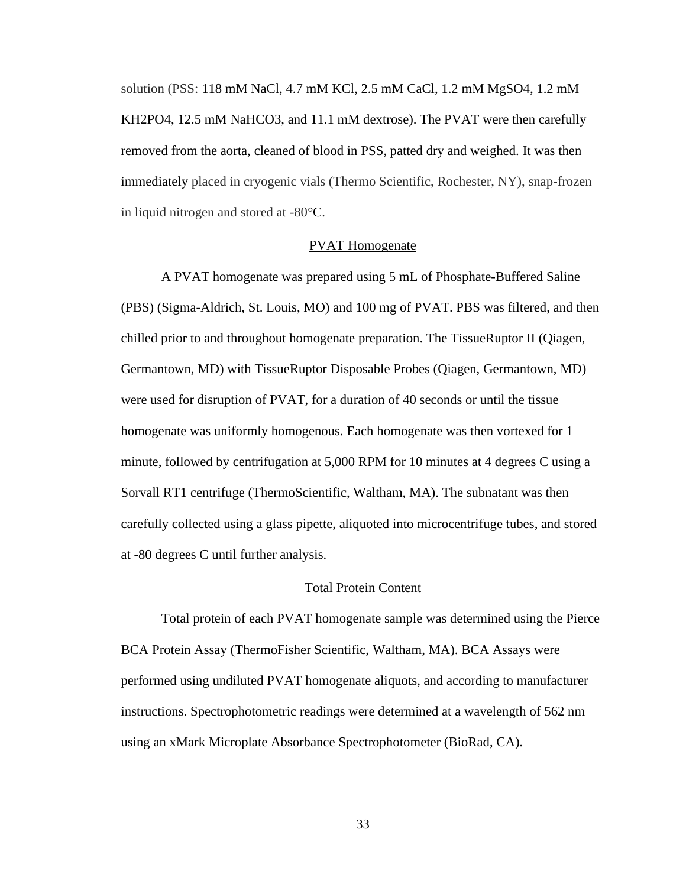solution (PSS: 118 mM NaCl, 4.7 mM KCl, 2.5 mM CaCl, 1.2 mM MgSO4, 1.2 mM KH2PO4, 12.5 mM NaHCO3, and 11.1 mM dextrose). The PVAT were then carefully removed from the aorta, cleaned of blood in PSS, patted dry and weighed. It was then immediately placed in cryogenic vials (Thermo Scientific, Rochester, NY), snap-frozen in liquid nitrogen and stored at -80°C.

## PVAT Homogenate

A PVAT homogenate was prepared using 5 mL of Phosphate-Buffered Saline (PBS) (Sigma-Aldrich, St. Louis, MO) and 100 mg of PVAT. PBS was filtered, and then chilled prior to and throughout homogenate preparation. The TissueRuptor II (Qiagen, Germantown, MD) with TissueRuptor Disposable Probes (Qiagen, Germantown, MD) were used for disruption of PVAT, for a duration of 40 seconds or until the tissue homogenate was uniformly homogenous. Each homogenate was then vortexed for 1 minute, followed by centrifugation at 5,000 RPM for 10 minutes at 4 degrees C using a Sorvall RT1 centrifuge (ThermoScientific, Waltham, MA). The subnatant was then carefully collected using a glass pipette, aliquoted into microcentrifuge tubes, and stored at -80 degrees C until further analysis.

### Total Protein Content

Total protein of each PVAT homogenate sample was determined using the Pierce BCA Protein Assay (ThermoFisher Scientific, Waltham, MA). BCA Assays were performed using undiluted PVAT homogenate aliquots, and according to manufacturer instructions. Spectrophotometric readings were determined at a wavelength of 562 nm using an xMark Microplate Absorbance Spectrophotometer (BioRad, CA).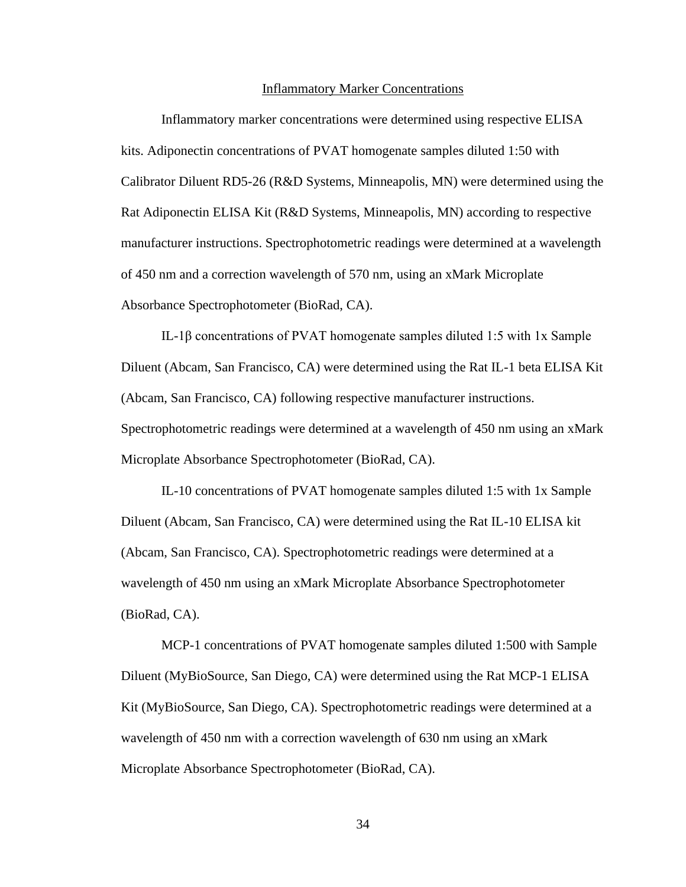### Inflammatory Marker Concentrations

Inflammatory marker concentrations were determined using respective ELISA kits. Adiponectin concentrations of PVAT homogenate samples diluted 1:50 with Calibrator Diluent RD5-26 (R&D Systems, Minneapolis, MN) were determined using the Rat Adiponectin ELISA Kit (R&D Systems, Minneapolis, MN) according to respective manufacturer instructions. Spectrophotometric readings were determined at a wavelength of 450 nm and a correction wavelength of 570 nm, using an xMark Microplate Absorbance Spectrophotometer (BioRad, CA).

IL-1β concentrations of PVAT homogenate samples diluted 1:5 with 1x Sample Diluent (Abcam, San Francisco, CA) were determined using the Rat IL-1 beta ELISA Kit (Abcam, San Francisco, CA) following respective manufacturer instructions. Spectrophotometric readings were determined at a wavelength of 450 nm using an xMark Microplate Absorbance Spectrophotometer (BioRad, CA).

IL-10 concentrations of PVAT homogenate samples diluted 1:5 with 1x Sample Diluent (Abcam, San Francisco, CA) were determined using the Rat IL-10 ELISA kit (Abcam, San Francisco, CA). Spectrophotometric readings were determined at a wavelength of 450 nm using an xMark Microplate Absorbance Spectrophotometer (BioRad, CA).

MCP-1 concentrations of PVAT homogenate samples diluted 1:500 with Sample Diluent (MyBioSource, San Diego, CA) were determined using the Rat MCP-1 ELISA Kit (MyBioSource, San Diego, CA). Spectrophotometric readings were determined at a wavelength of 450 nm with a correction wavelength of 630 nm using an xMark Microplate Absorbance Spectrophotometer (BioRad, CA).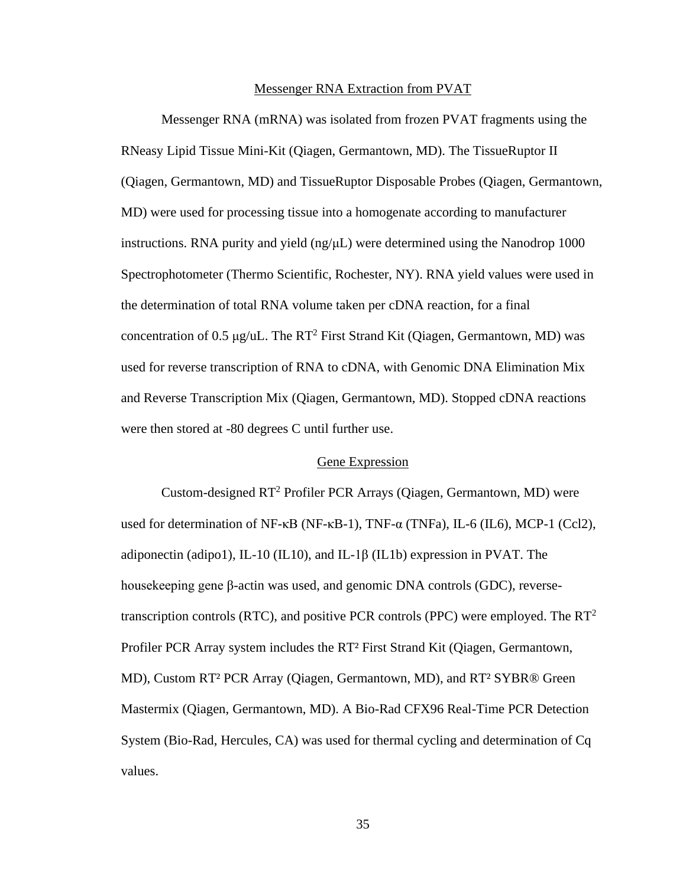### Messenger RNA Extraction from PVAT

Messenger RNA (mRNA) was isolated from frozen PVAT fragments using the RNeasy Lipid Tissue Mini-Kit (Qiagen, Germantown, MD). The TissueRuptor II (Qiagen, Germantown, MD) and TissueRuptor Disposable Probes (Qiagen, Germantown, MD) were used for processing tissue into a homogenate according to manufacturer instructions. RNA purity and yield  $(ng/\mu L)$  were determined using the Nanodrop 1000 Spectrophotometer (Thermo Scientific, Rochester, NY). RNA yield values were used in the determination of total RNA volume taken per cDNA reaction, for a final concentration of 0.5 μg/uL. The  $RT^2$  First Strand Kit (Oiagen, Germantown, MD) was used for reverse transcription of RNA to cDNA, with Genomic DNA Elimination Mix and Reverse Transcription Mix (Qiagen, Germantown, MD). Stopped cDNA reactions were then stored at -80 degrees C until further use.

## Gene Expression

Custom-designed  $RT^2$  Profiler PCR Arrays (Qiagen, Germantown, MD) were used for determination of NF- $\kappa$ B (NF- $\kappa$ B-1), TNF- $\alpha$  (TNFa), IL-6 (IL6), MCP-1 (Ccl2), adiponectin (adipo1), IL-10 (IL10), and IL-1 $\beta$  (IL1b) expression in PVAT. The housekeeping gene β-actin was used, and genomic DNA controls (GDC), reversetranscription controls (RTC), and positive PCR controls (PPC) were employed. The  $RT^2$ Profiler PCR Array system includes the RT² First Strand Kit (Qiagen, Germantown, MD), Custom RT² PCR Array (Qiagen, Germantown, MD), and RT² SYBR® Green Mastermix (Qiagen, Germantown, MD). A Bio-Rad CFX96 Real-Time PCR Detection System (Bio-Rad, Hercules, CA) was used for thermal cycling and determination of Cq values.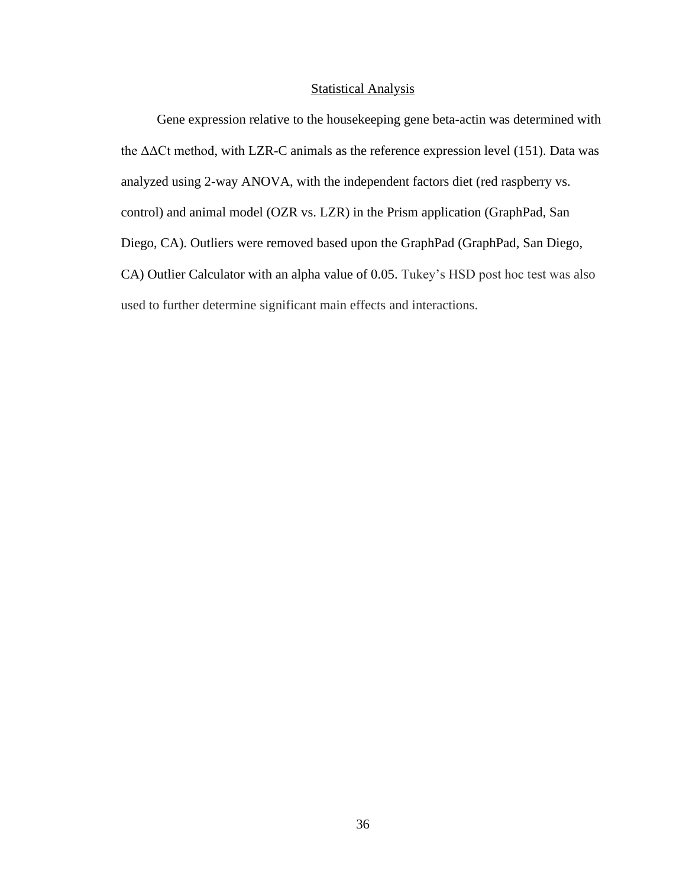### **Statistical Analysis**

Gene expression relative to the housekeeping gene beta-actin was determined with the ΔΔCt method, with LZR-C animals as the reference expression level (151). Data was analyzed using 2-way ANOVA, with the independent factors diet (red raspberry vs. control) and animal model (OZR vs. LZR) in the Prism application (GraphPad, San Diego, CA). Outliers were removed based upon the GraphPad (GraphPad, San Diego, CA) Outlier Calculator with an alpha value of 0.05. Tukey's HSD post hoc test was also used to further determine significant main effects and interactions.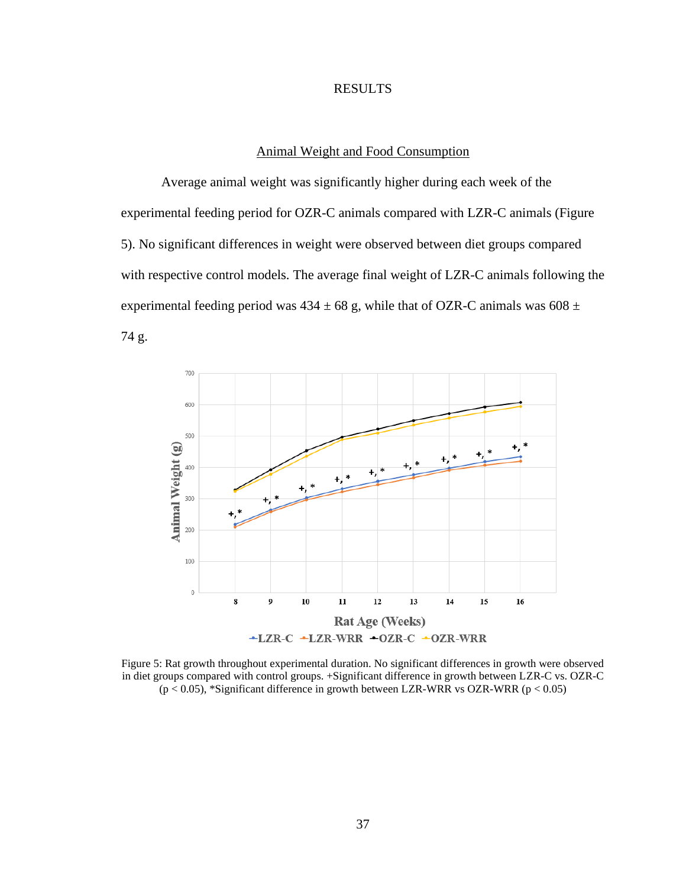## RESULTS

## Animal Weight and Food Consumption

Average animal weight was significantly higher during each week of the experimental feeding period for OZR-C animals compared with LZR-C animals (Figure 5). No significant differences in weight were observed between diet groups compared with respective control models. The average final weight of LZR-C animals following the experimental feeding period was  $434 \pm 68$  g, while that of OZR-C animals was  $608 \pm 10$ 74 g.



Figure 5: Rat growth throughout experimental duration. No significant differences in growth were observed in diet groups compared with control groups. +Significant difference in growth between LZR-C vs. OZR-C ( $p < 0.05$ ), \*Significant difference in growth between LZR-WRR vs OZR-WRR ( $p < 0.05$ )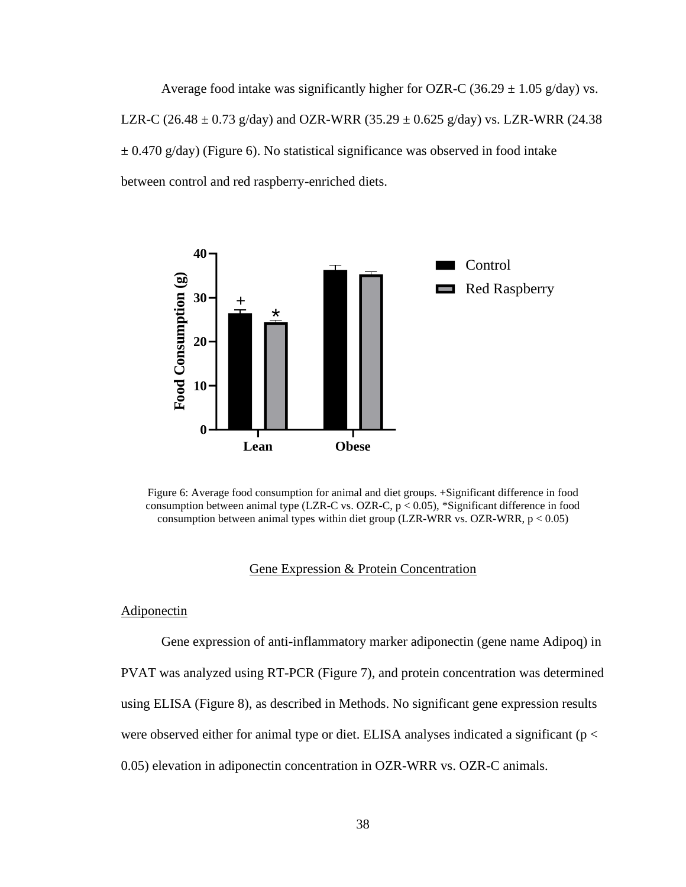Average food intake was significantly higher for OZR-C (36.29  $\pm$  1.05 g/day) vs. LZR-C (26.48  $\pm$  0.73 g/day) and OZR-WRR (35.29  $\pm$  0.625 g/day) vs. LZR-WRR (24.38  $\pm$  0.470 g/day) (Figure 6). No statistical significance was observed in food intake between control and red raspberry-enriched diets.



Figure 6: Average food consumption for animal and diet groups. +Significant difference in food consumption between animal type (LZR-C vs. OZR-C,  $p < 0.05$ ), \*Significant difference in food consumption between animal types within diet group (LZR-WRR vs. OZR-WRR,  $p < 0.05$ )

## Gene Expression & Protein Concentration

**Adiponectin** 

Gene expression of anti-inflammatory marker adiponectin (gene name Adipoq) in PVAT was analyzed using RT-PCR (Figure 7), and protein concentration was determined using ELISA (Figure 8), as described in Methods. No significant gene expression results were observed either for animal type or diet. ELISA analyses indicated a significant ( $p <$ 0.05) elevation in adiponectin concentration in OZR-WRR vs. OZR-C animals.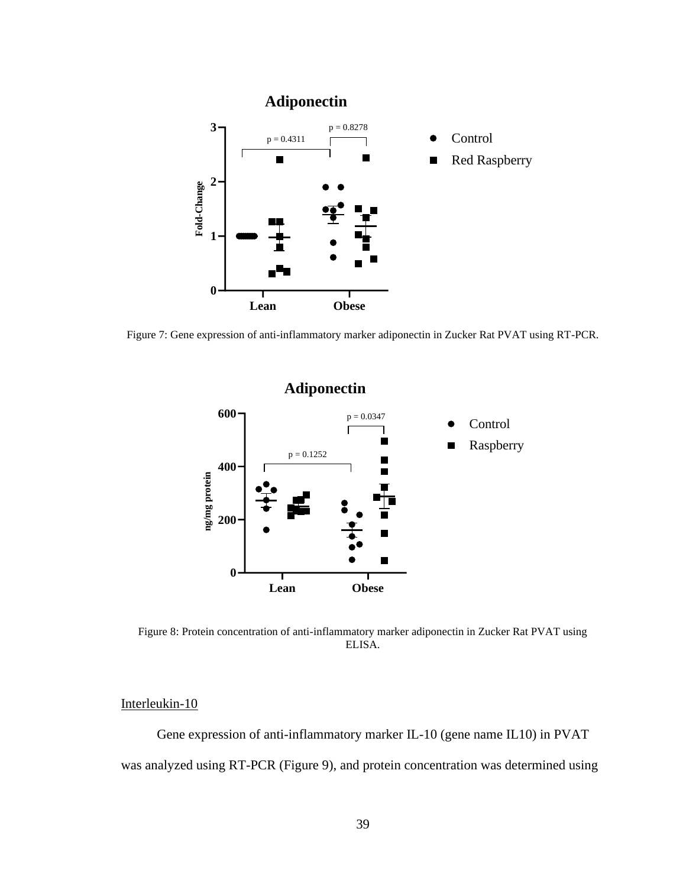

Figure 7: Gene expression of anti-inflammatory marker adiponectin in Zucker Rat PVAT using RT-PCR.



Figure 8: Protein concentration of anti-inflammatory marker adiponectin in Zucker Rat PVAT using ELISA.

# Interleukin-10

Gene expression of anti-inflammatory marker IL-10 (gene name IL10) in PVAT was analyzed using RT-PCR (Figure 9), and protein concentration was determined using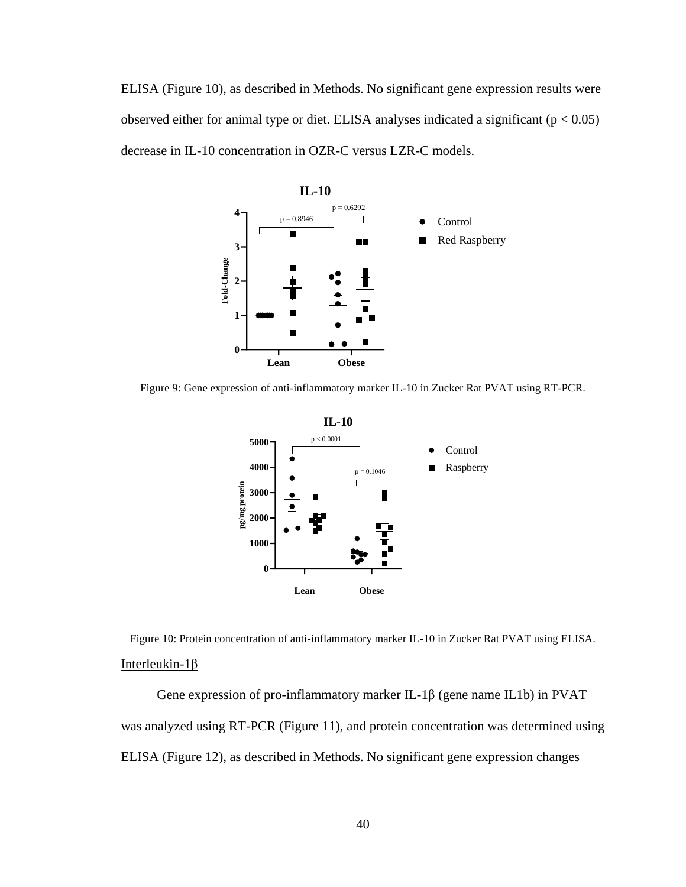ELISA (Figure 10), as described in Methods. No significant gene expression results were observed either for animal type or diet. ELISA analyses indicated a significant ( $p < 0.05$ ) decrease in IL-10 concentration in OZR-C versus LZR-C models.



Figure 9: Gene expression of anti-inflammatory marker IL-10 in Zucker Rat PVAT using RT-PCR.



Figure 10: Protein concentration of anti-inflammatory marker IL-10 in Zucker Rat PVAT using ELISA. Interleukin-1β

Gene expression of pro-inflammatory marker IL-1β (gene name IL1b) in PVAT was analyzed using RT-PCR (Figure 11), and protein concentration was determined using ELISA (Figure 12), as described in Methods. No significant gene expression changes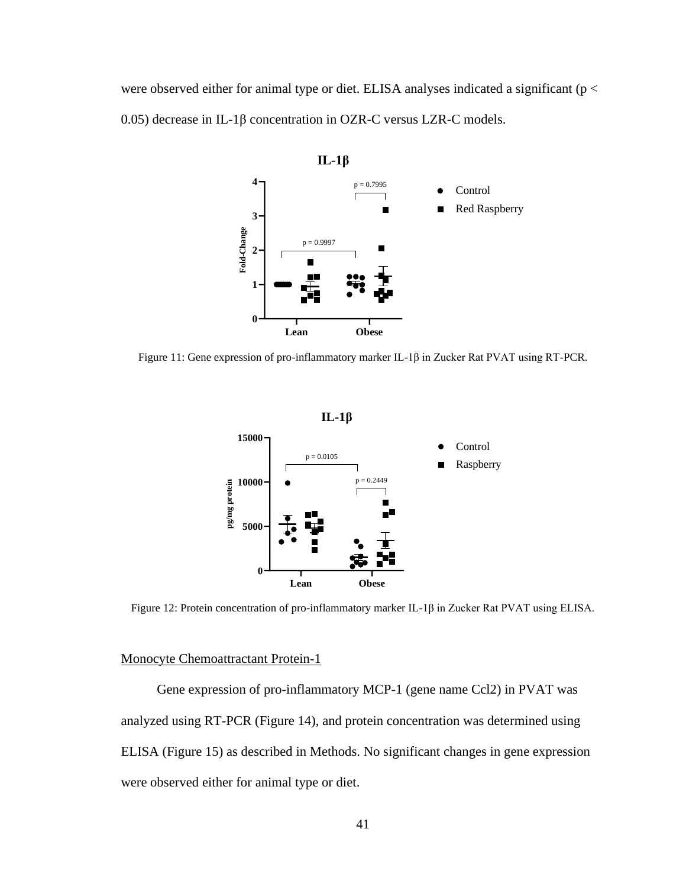were observed either for animal type or diet. ELISA analyses indicated a significant ( $p <$ 0.05) decrease in IL-1β concentration in OZR-C versus LZR-C models.



Figure 11: Gene expression of pro-inflammatory marker IL-1β in Zucker Rat PVAT using RT-PCR.





Figure 12: Protein concentration of pro-inflammatory marker IL-1β in Zucker Rat PVAT using ELISA.

## Monocyte Chemoattractant Protein-1

Gene expression of pro-inflammatory MCP-1 (gene name Ccl2) in PVAT was analyzed using RT-PCR (Figure 14), and protein concentration was determined using ELISA (Figure 15) as described in Methods. No significant changes in gene expression were observed either for animal type or diet.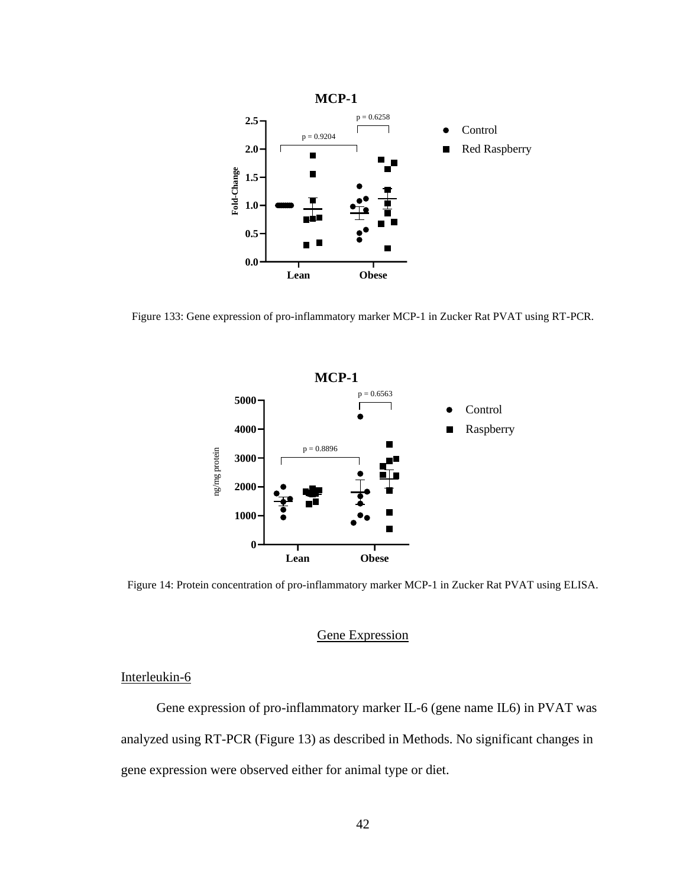

Figure 133: Gene expression of pro-inflammatory marker MCP-1 in Zucker Rat PVAT using RT-PCR.



Figure 14: Protein concentration of pro-inflammatory marker MCP-1 in Zucker Rat PVAT using ELISA.

## Gene Expression

## Interleukin-6

Gene expression of pro-inflammatory marker IL-6 (gene name IL6) in PVAT was analyzed using RT-PCR (Figure 13) as described in Methods. No significant changes in gene expression were observed either for animal type or diet.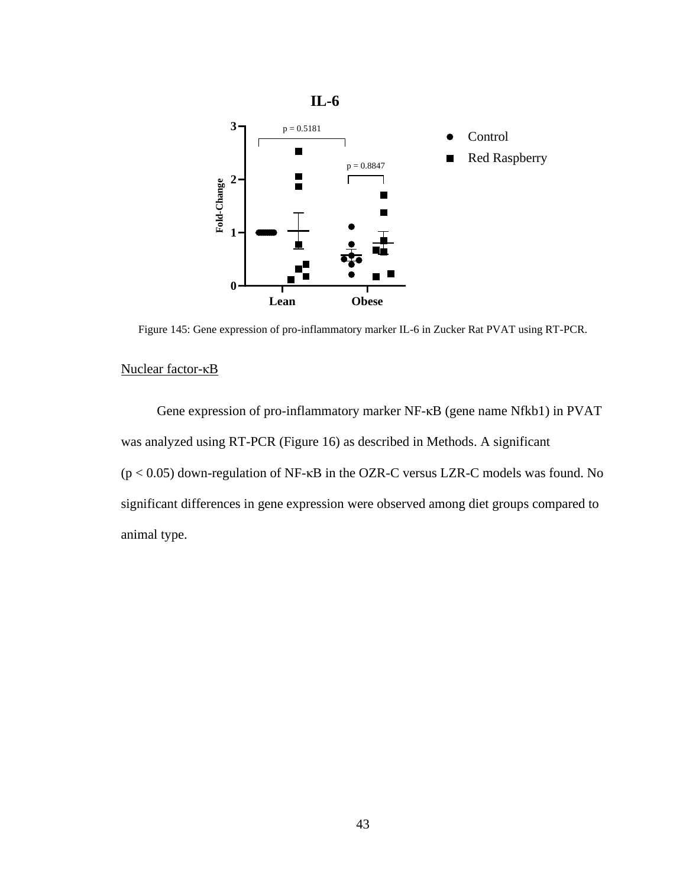

Figure 145: Gene expression of pro-inflammatory marker IL-6 in Zucker Rat PVAT using RT-PCR.

## Nuclear factor-κB

Gene expression of pro-inflammatory marker NF-κB (gene name Nfkb1) in PVAT was analyzed using RT-PCR (Figure 16) as described in Methods. A significant (p < 0.05) down-regulation of NF-κB in the OZR-C versus LZR-C models was found. No significant differences in gene expression were observed among diet groups compared to animal type.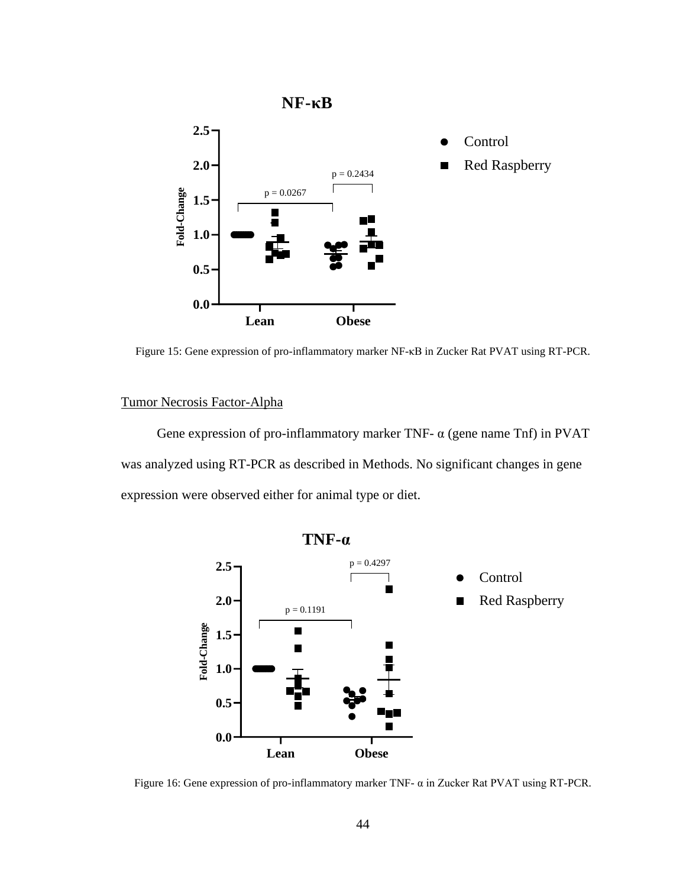

Figure 15: Gene expression of pro-inflammatory marker NF-κB in Zucker Rat PVAT using RT-PCR.

## Tumor Necrosis Factor-Alpha

Gene expression of pro-inflammatory marker TNF- $\alpha$  (gene name Tnf) in PVAT was analyzed using RT-PCR as described in Methods. No significant changes in gene expression were observed either for animal type or diet.



Figure 16: Gene expression of pro-inflammatory marker TNF- α in Zucker Rat PVAT using RT-PCR.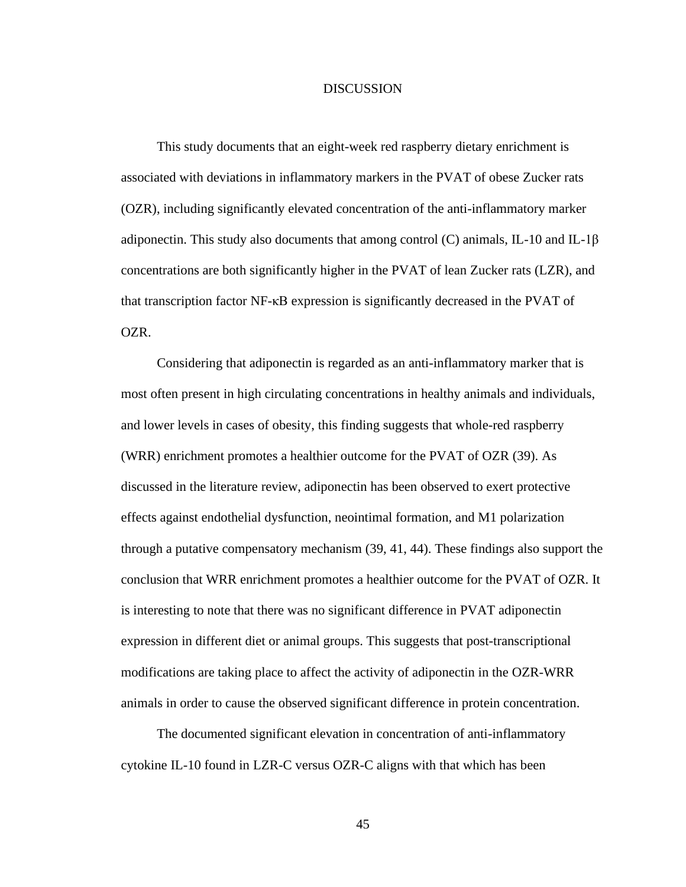### **DISCUSSION**

This study documents that an eight-week red raspberry dietary enrichment is associated with deviations in inflammatory markers in the PVAT of obese Zucker rats (OZR), including significantly elevated concentration of the anti-inflammatory marker adiponectin. This study also documents that among control (C) animals, IL-10 and IL-1 $\beta$ concentrations are both significantly higher in the PVAT of lean Zucker rats (LZR), and that transcription factor NF-κB expression is significantly decreased in the PVAT of OZR.

Considering that adiponectin is regarded as an anti-inflammatory marker that is most often present in high circulating concentrations in healthy animals and individuals, and lower levels in cases of obesity, this finding suggests that whole-red raspberry (WRR) enrichment promotes a healthier outcome for the PVAT of OZR (39). As discussed in the literature review, adiponectin has been observed to exert protective effects against endothelial dysfunction, neointimal formation, and M1 polarization through a putative compensatory mechanism (39, 41, 44). These findings also support the conclusion that WRR enrichment promotes a healthier outcome for the PVAT of OZR. It is interesting to note that there was no significant difference in PVAT adiponectin expression in different diet or animal groups. This suggests that post-transcriptional modifications are taking place to affect the activity of adiponectin in the OZR-WRR animals in order to cause the observed significant difference in protein concentration.

The documented significant elevation in concentration of anti-inflammatory cytokine IL-10 found in LZR-C versus OZR-C aligns with that which has been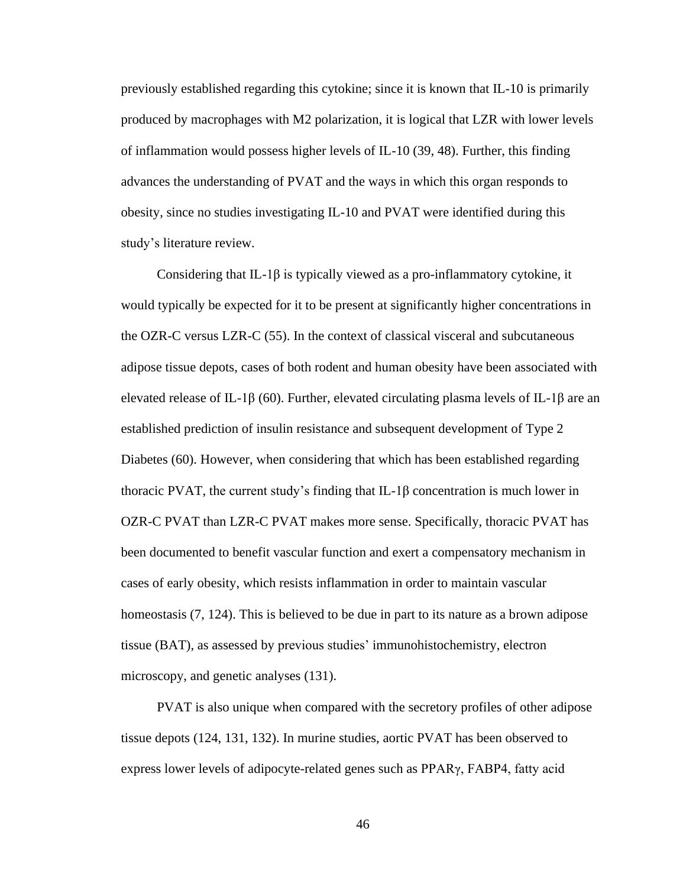previously established regarding this cytokine; since it is known that IL-10 is primarily produced by macrophages with M2 polarization, it is logical that LZR with lower levels of inflammation would possess higher levels of IL-10 (39, 48). Further, this finding advances the understanding of PVAT and the ways in which this organ responds to obesity, since no studies investigating IL-10 and PVAT were identified during this study's literature review.

Considering that IL-1 $\beta$  is typically viewed as a pro-inflammatory cytokine, it would typically be expected for it to be present at significantly higher concentrations in the OZR-C versus LZR-C (55). In the context of classical visceral and subcutaneous adipose tissue depots, cases of both rodent and human obesity have been associated with elevated release of IL-1β (60). Further, elevated circulating plasma levels of IL-1β are an established prediction of insulin resistance and subsequent development of Type 2 Diabetes (60). However, when considering that which has been established regarding thoracic PVAT, the current study's finding that IL-1 $\beta$  concentration is much lower in OZR-C PVAT than LZR-C PVAT makes more sense. Specifically, thoracic PVAT has been documented to benefit vascular function and exert a compensatory mechanism in cases of early obesity, which resists inflammation in order to maintain vascular homeostasis (7, 124). This is believed to be due in part to its nature as a brown adipose tissue (BAT), as assessed by previous studies' immunohistochemistry, electron microscopy, and genetic analyses (131).

PVAT is also unique when compared with the secretory profiles of other adipose tissue depots (124, 131, 132). In murine studies, aortic PVAT has been observed to express lower levels of adipocyte-related genes such as PPARγ, FABP4, fatty acid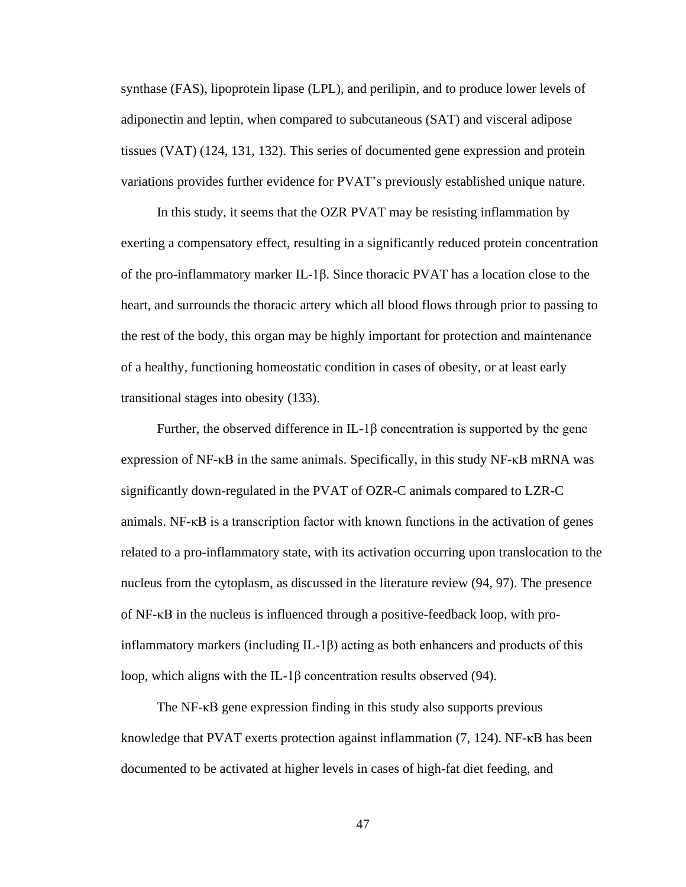synthase (FAS), lipoprotein lipase (LPL), and perilipin, and to produce lower levels of adiponectin and leptin, when compared to subcutaneous (SAT) and visceral adipose tissues (VAT) (124, 131, 132). This series of documented gene expression and protein variations provides further evidence for PVAT's previously established unique nature.

In this study, it seems that the OZR PVAT may be resisting inflammation by exerting a compensatory effect, resulting in a significantly reduced protein concentration of the pro-inflammatory marker IL-1β. Since thoracic PVAT has a location close to the heart, and surrounds the thoracic artery which all blood flows through prior to passing to the rest of the body, this organ may be highly important for protection and maintenance of a healthy, functioning homeostatic condition in cases of obesity, or at least early transitional stages into obesity (133).

Further, the observed difference in  $IL-1\beta$  concentration is supported by the gene expression of NF-κB in the same animals. Specifically, in this study NF-κB mRNA was significantly down-regulated in the PVAT of OZR-C animals compared to LZR-C animals.  $NF$ - $\kappa$ B is a transcription factor with known functions in the activation of genes related to a pro-inflammatory state, with its activation occurring upon translocation to the nucleus from the cytoplasm, as discussed in the literature review (94, 97). The presence of NF-κB in the nucleus is influenced through a positive-feedback loop, with proinflammatory markers (including  $IL-1\beta$ ) acting as both enhancers and products of this loop, which aligns with the IL-1β concentration results observed (94).

The NF-κB gene expression finding in this study also supports previous knowledge that PVAT exerts protection against inflammation (7, 124). NF-κB has been documented to be activated at higher levels in cases of high-fat diet feeding, and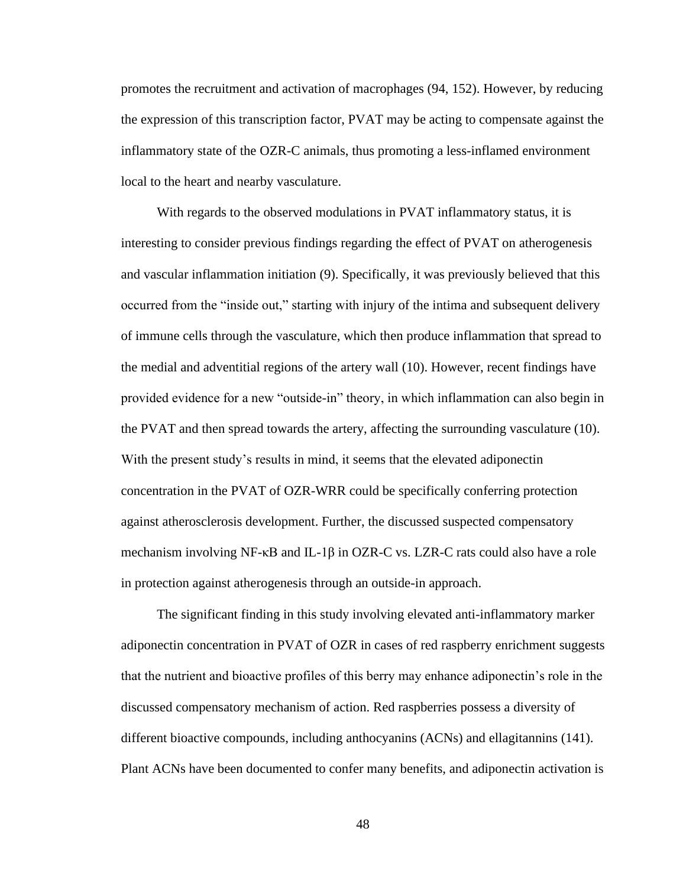promotes the recruitment and activation of macrophages (94, 152). However, by reducing the expression of this transcription factor, PVAT may be acting to compensate against the inflammatory state of the OZR-C animals, thus promoting a less-inflamed environment local to the heart and nearby vasculature.

With regards to the observed modulations in PVAT inflammatory status, it is interesting to consider previous findings regarding the effect of PVAT on atherogenesis and vascular inflammation initiation (9). Specifically, it was previously believed that this occurred from the "inside out," starting with injury of the intima and subsequent delivery of immune cells through the vasculature, which then produce inflammation that spread to the medial and adventitial regions of the artery wall (10). However, recent findings have provided evidence for a new "outside-in" theory, in which inflammation can also begin in the PVAT and then spread towards the artery, affecting the surrounding vasculature (10). With the present study's results in mind, it seems that the elevated adiponectin concentration in the PVAT of OZR-WRR could be specifically conferring protection against atherosclerosis development. Further, the discussed suspected compensatory mechanism involving NF- $\kappa$ B and IL-1 $\beta$  in OZR-C vs. LZR-C rats could also have a role in protection against atherogenesis through an outside-in approach.

The significant finding in this study involving elevated anti-inflammatory marker adiponectin concentration in PVAT of OZR in cases of red raspberry enrichment suggests that the nutrient and bioactive profiles of this berry may enhance adiponectin's role in the discussed compensatory mechanism of action. Red raspberries possess a diversity of different bioactive compounds, including anthocyanins (ACNs) and ellagitannins (141). Plant ACNs have been documented to confer many benefits, and adiponectin activation is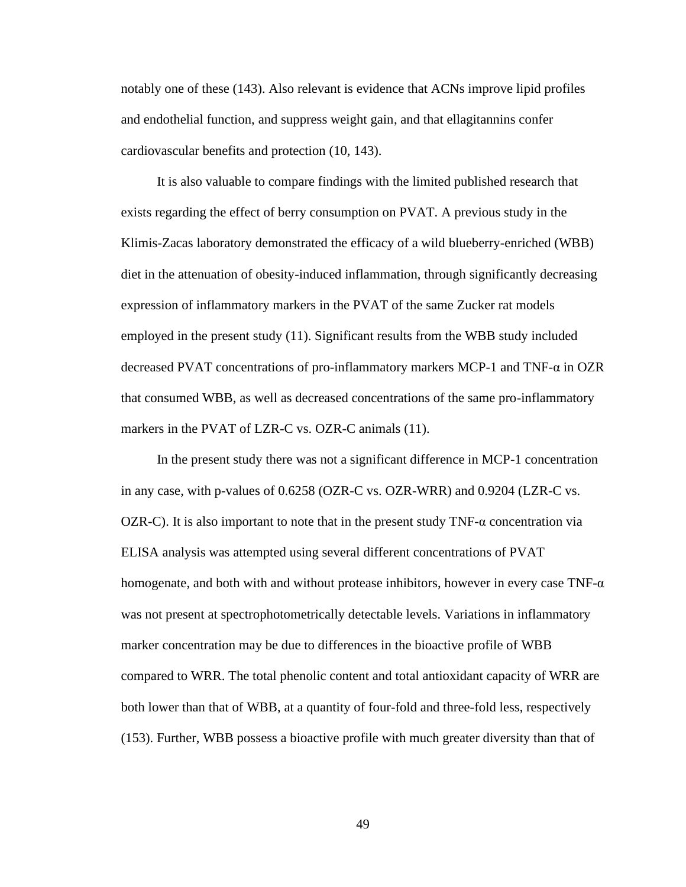notably one of these (143). Also relevant is evidence that ACNs improve lipid profiles and endothelial function, and suppress weight gain, and that ellagitannins confer cardiovascular benefits and protection (10, 143).

It is also valuable to compare findings with the limited published research that exists regarding the effect of berry consumption on PVAT. A previous study in the Klimis-Zacas laboratory demonstrated the efficacy of a wild blueberry-enriched (WBB) diet in the attenuation of obesity-induced inflammation, through significantly decreasing expression of inflammatory markers in the PVAT of the same Zucker rat models employed in the present study (11). Significant results from the WBB study included decreased PVAT concentrations of pro-inflammatory markers MCP-1 and TNF-α in OZR that consumed WBB, as well as decreased concentrations of the same pro-inflammatory markers in the PVAT of LZR-C vs. OZR-C animals (11).

In the present study there was not a significant difference in MCP-1 concentration in any case, with p-values of 0.6258 (OZR-C vs. OZR-WRR) and 0.9204 (LZR-C vs. OZR-C). It is also important to note that in the present study  $TNF-\alpha$  concentration via ELISA analysis was attempted using several different concentrations of PVAT homogenate, and both with and without protease inhibitors, however in every case  $TNF-\alpha$ was not present at spectrophotometrically detectable levels. Variations in inflammatory marker concentration may be due to differences in the bioactive profile of WBB compared to WRR. The total phenolic content and total antioxidant capacity of WRR are both lower than that of WBB, at a quantity of four-fold and three-fold less, respectively (153). Further, WBB possess a bioactive profile with much greater diversity than that of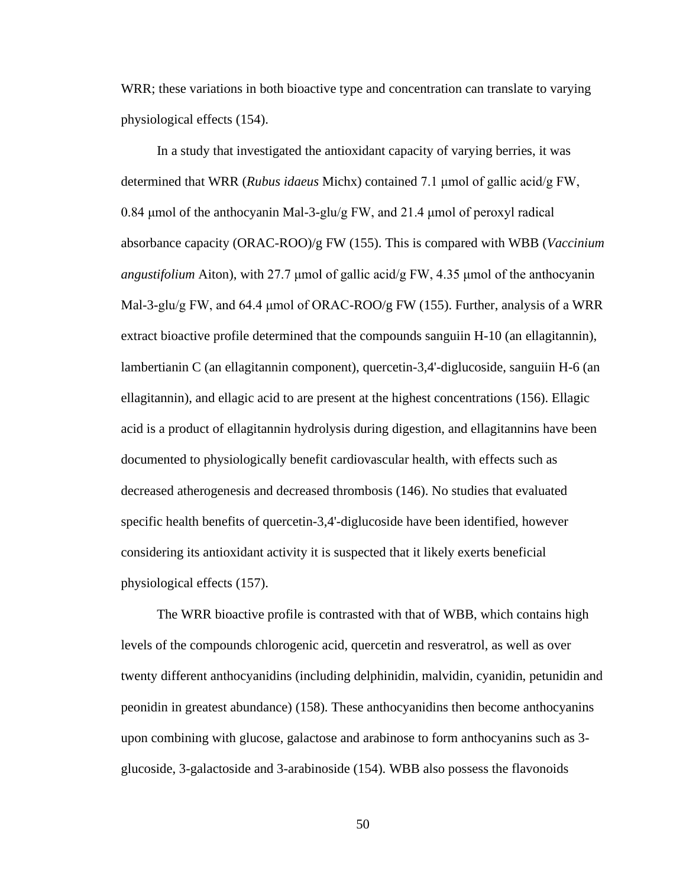WRR; these variations in both bioactive type and concentration can translate to varying physiological effects (154).

In a study that investigated the antioxidant capacity of varying berries, it was determined that WRR (*Rubus idaeus* Michx) contained 7.1 μmol of gallic acid/g FW, 0.84 μmol of the anthocyanin Mal-3-glu/g FW, and 21.4 μmol of peroxyl radical absorbance capacity (ORAC-ROO)/g FW (155). This is compared with WBB (*Vaccinium angustifolium* Aiton), with 27.7 μmol of gallic acid/g FW, 4.35 μmol of the anthocyanin Mal-3-glu/g FW, and 64.4 μmol of ORAC-ROO/g FW (155). Further, analysis of a WRR extract bioactive profile determined that the compounds sanguiin H-10 (an ellagitannin), lambertianin C (an ellagitannin component), quercetin-3,4'-diglucoside, sanguiin H-6 (an ellagitannin), and ellagic acid to are present at the highest concentrations (156). Ellagic acid is a product of ellagitannin hydrolysis during digestion, and ellagitannins have been documented to physiologically benefit cardiovascular health, with effects such as decreased atherogenesis and decreased thrombosis (146). No studies that evaluated specific health benefits of quercetin-3,4'-diglucoside have been identified, however considering its antioxidant activity it is suspected that it likely exerts beneficial physiological effects (157).

The WRR bioactive profile is contrasted with that of WBB, which contains high levels of the compounds chlorogenic acid, quercetin and resveratrol, as well as over twenty different anthocyanidins (including delphinidin, malvidin, cyanidin, petunidin and peonidin in greatest abundance) (158). These anthocyanidins then become anthocyanins upon combining with glucose, galactose and arabinose to form anthocyanins such as 3 glucoside, 3-galactoside and 3-arabinoside (154). WBB also possess the flavonoids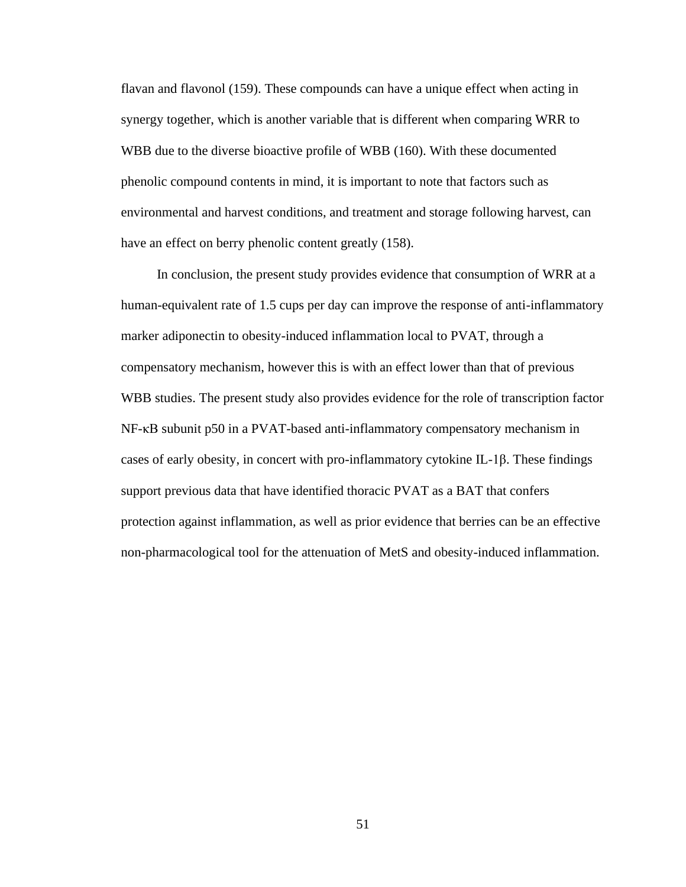flavan and flavonol (159). These compounds can have a unique effect when acting in synergy together, which is another variable that is different when comparing WRR to WBB due to the diverse bioactive profile of WBB (160). With these documented phenolic compound contents in mind, it is important to note that factors such as environmental and harvest conditions, and treatment and storage following harvest, can have an effect on berry phenolic content greatly  $(158)$ .

In conclusion, the present study provides evidence that consumption of WRR at a human-equivalent rate of 1.5 cups per day can improve the response of anti-inflammatory marker adiponectin to obesity-induced inflammation local to PVAT, through a compensatory mechanism, however this is with an effect lower than that of previous WBB studies. The present study also provides evidence for the role of transcription factor NF-κB subunit p50 in a PVAT-based anti-inflammatory compensatory mechanism in cases of early obesity, in concert with pro-inflammatory cytokine IL-1β. These findings support previous data that have identified thoracic PVAT as a BAT that confers protection against inflammation, as well as prior evidence that berries can be an effective non-pharmacological tool for the attenuation of MetS and obesity-induced inflammation.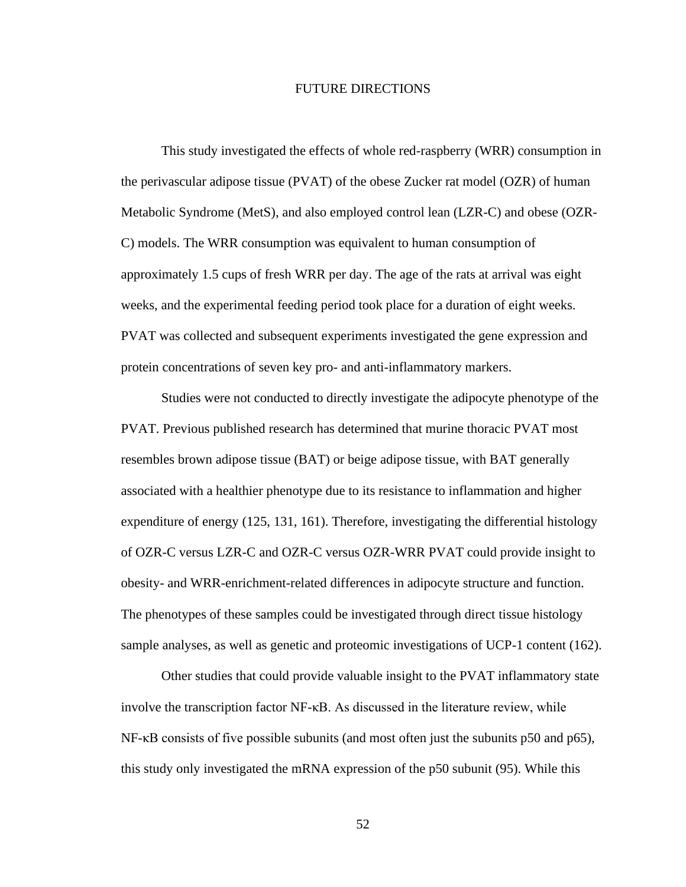### FUTURE DIRECTIONS

This study investigated the effects of whole red-raspberry (WRR) consumption in the perivascular adipose tissue (PVAT) of the obese Zucker rat model (OZR) of human Metabolic Syndrome (MetS), and also employed control lean (LZR-C) and obese (OZR-C) models. The WRR consumption was equivalent to human consumption of approximately 1.5 cups of fresh WRR per day. The age of the rats at arrival was eight weeks, and the experimental feeding period took place for a duration of eight weeks. PVAT was collected and subsequent experiments investigated the gene expression and protein concentrations of seven key pro- and anti-inflammatory markers.

Studies were not conducted to directly investigate the adipocyte phenotype of the PVAT. Previous published research has determined that murine thoracic PVAT most resembles brown adipose tissue (BAT) or beige adipose tissue, with BAT generally associated with a healthier phenotype due to its resistance to inflammation and higher expenditure of energy (125, 131, 161). Therefore, investigating the differential histology of OZR-C versus LZR-C and OZR-C versus OZR-WRR PVAT could provide insight to obesity- and WRR-enrichment-related differences in adipocyte structure and function. The phenotypes of these samples could be investigated through direct tissue histology sample analyses, as well as genetic and proteomic investigations of UCP-1 content (162).

Other studies that could provide valuable insight to the PVAT inflammatory state involve the transcription factor NF-κB. As discussed in the literature review, while NF-κB consists of five possible subunits (and most often just the subunits p50 and p65), this study only investigated the mRNA expression of the p50 subunit (95). While this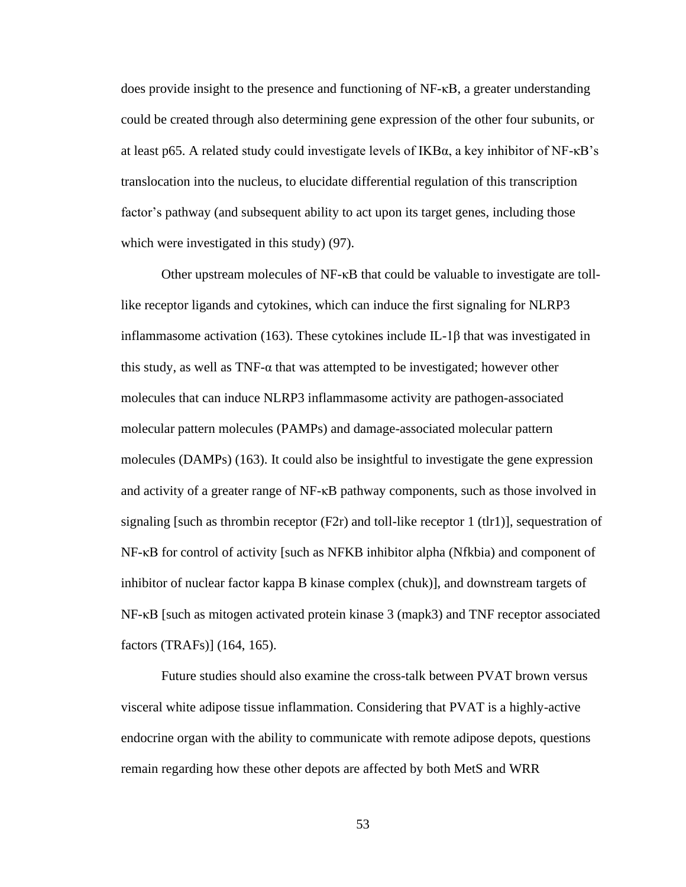does provide insight to the presence and functioning of NF-κB, a greater understanding could be created through also determining gene expression of the other four subunits, or at least p65. A related study could investigate levels of IKBα, a key inhibitor of NF-κB's translocation into the nucleus, to elucidate differential regulation of this transcription factor's pathway (and subsequent ability to act upon its target genes, including those which were investigated in this study) (97).

Other upstream molecules of NF-κB that could be valuable to investigate are tolllike receptor ligands and cytokines, which can induce the first signaling for NLRP3 inflammasome activation (163). These cytokines include IL-1 $\beta$  that was investigated in this study, as well as TNF-α that was attempted to be investigated; however other molecules that can induce NLRP3 inflammasome activity are pathogen-associated molecular pattern molecules (PAMPs) and damage-associated molecular pattern molecules (DAMPs) (163). It could also be insightful to investigate the gene expression and activity of a greater range of NF-κB pathway components, such as those involved in signaling [such as thrombin receptor (F2r) and toll-like receptor 1 (tlr1)], sequestration of NF-κB for control of activity [such as NFKB inhibitor alpha (Nfkbia) and component of inhibitor of nuclear factor kappa B kinase complex (chuk)], and downstream targets of NF-κB [such as mitogen activated protein kinase 3 (mapk3) and TNF receptor associated factors (TRAFs)] (164, 165).

Future studies should also examine the cross-talk between PVAT brown versus visceral white adipose tissue inflammation. Considering that PVAT is a highly-active endocrine organ with the ability to communicate with remote adipose depots, questions remain regarding how these other depots are affected by both MetS and WRR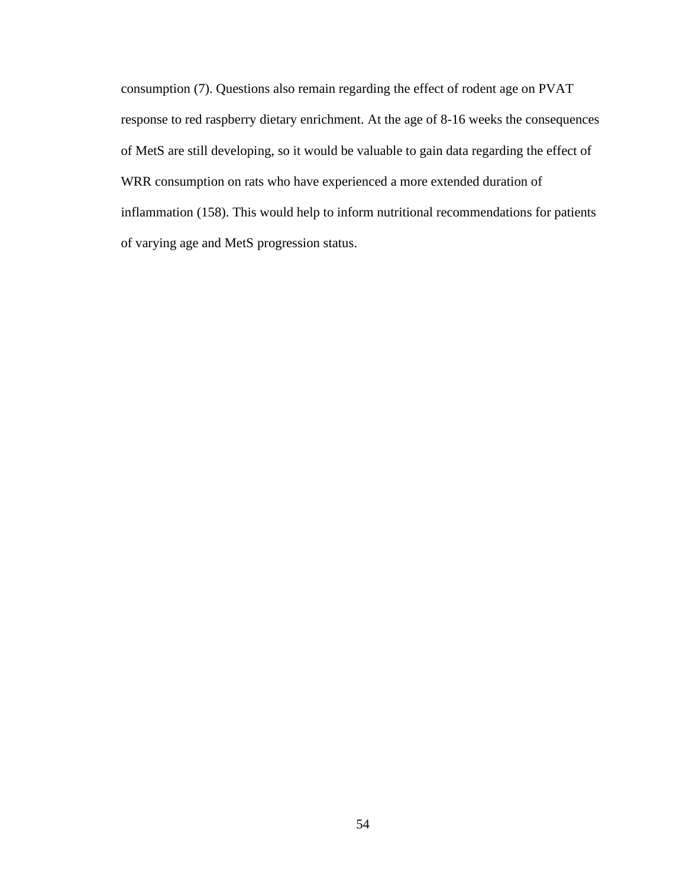consumption (7). Questions also remain regarding the effect of rodent age on PVAT response to red raspberry dietary enrichment. At the age of 8-16 weeks the consequences of MetS are still developing, so it would be valuable to gain data regarding the effect of WRR consumption on rats who have experienced a more extended duration of inflammation (158). This would help to inform nutritional recommendations for patients of varying age and MetS progression status.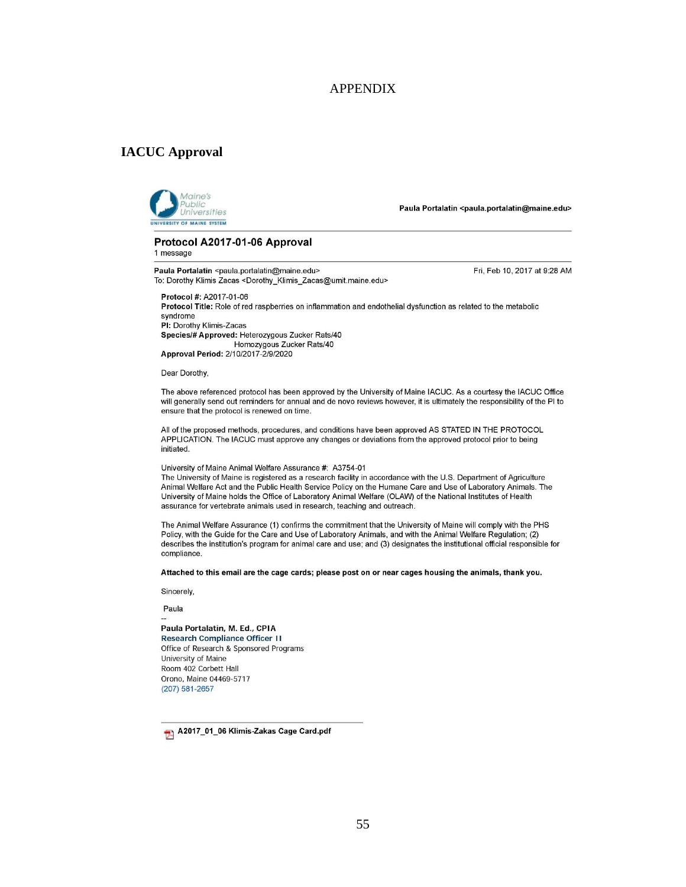### APPENDIX

### **IACUC Approval**



Paula Portalatin <paula.portalatin@maine.edu>

Protocol A2017-01-06 Approval 1 message

Paula Portalatin <paula.portalatin@maine.edu> To: Dorothy Klimis Zacas <Dorothy\_Klimis\_Zacas@umit.maine.edu> Fri, Feb 10, 2017 at 9:28 AM

Protocol #: A2017-01-06 Protocol Title: Role of red raspberries on inflammation and endothelial dysfunction as related to the metabolic syndrome PI: Dorothy Klimis-Zacas Species/# Approved: Heterozygous Zucker Rats/40 Homozygous Zucker Rats/40 Approval Period: 2/10/2017-2/9/2020

Dear Dorothy,

The above referenced protocol has been approved by the University of Maine IACUC. As a courtesy the IACUC Office will generally send out reminders for annual and de novo reviews however, it is ultimately the responsibility of the PI to ensure that the protocol is renewed on time.

All of the proposed methods, procedures, and conditions have been approved AS STATED IN THE PROTOCOL APPLICATION. The IACUC must approve any changes or deviations from the approved protocol prior to being initiated

#### University of Maine Animal Welfare Assurance #: A3754-01

The University of Maine is registered as a research facility in accordance with the U.S. Department of Agriculture Animal Welfare Act and the Public Health Service Policy on the Humane Care and Use of Laboratory Animals. The University of Maine holds the Office of Laboratory Animal Welfare (OLAW) of the National Institutes of Health assurance for vertebrate animals used in research, teaching and outreach.

The Animal Welfare Assurance (1) confirms the commitment that the University of Maine will comply with the PHS Policy, with the Guide for the Care and Use of Laboratory Animals, and with the Animal Welfare Regulation; (2) describes the institution's program for animal care and use; and (3) designates the institutional official responsible for compliance.

Attached to this email are the cage cards; please post on or near cages housing the animals, thank you.

Sincerely,

Paula

Paula Portalatin, M. Ed., CPIA **Research Compliance Officer II** Office of Research & Sponsored Programs University of Maine Room 402 Corbett Hall Orono, Maine 04469-5717 (207) 581-2657

A2017\_01\_06 Klimis-Zakas Cage Card.pdf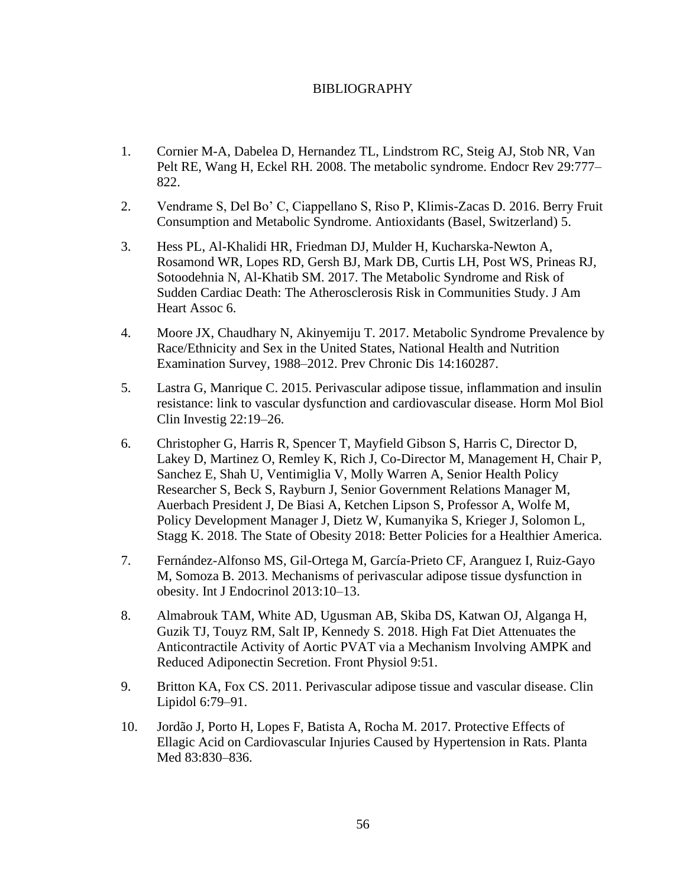## BIBLIOGRAPHY

- 1. Cornier M-A, Dabelea D, Hernandez TL, Lindstrom RC, Steig AJ, Stob NR, Van Pelt RE, Wang H, Eckel RH. 2008. The metabolic syndrome. Endocr Rev 29:777– 822.
- 2. Vendrame S, Del Bo' C, Ciappellano S, Riso P, Klimis-Zacas D. 2016. Berry Fruit Consumption and Metabolic Syndrome. Antioxidants (Basel, Switzerland) 5.
- 3. Hess PL, Al-Khalidi HR, Friedman DJ, Mulder H, Kucharska-Newton A, Rosamond WR, Lopes RD, Gersh BJ, Mark DB, Curtis LH, Post WS, Prineas RJ, Sotoodehnia N, Al-Khatib SM. 2017. The Metabolic Syndrome and Risk of Sudden Cardiac Death: The Atherosclerosis Risk in Communities Study. J Am Heart Assoc 6.
- 4. Moore JX, Chaudhary N, Akinyemiju T. 2017. Metabolic Syndrome Prevalence by Race/Ethnicity and Sex in the United States, National Health and Nutrition Examination Survey, 1988–2012. Prev Chronic Dis 14:160287.
- 5. Lastra G, Manrique C. 2015. Perivascular adipose tissue, inflammation and insulin resistance: link to vascular dysfunction and cardiovascular disease. Horm Mol Biol Clin Investig 22:19–26.
- 6. Christopher G, Harris R, Spencer T, Mayfield Gibson S, Harris C, Director D, Lakey D, Martinez O, Remley K, Rich J, Co-Director M, Management H, Chair P, Sanchez E, Shah U, Ventimiglia V, Molly Warren A, Senior Health Policy Researcher S, Beck S, Rayburn J, Senior Government Relations Manager M, Auerbach President J, De Biasi A, Ketchen Lipson S, Professor A, Wolfe M, Policy Development Manager J, Dietz W, Kumanyika S, Krieger J, Solomon L, Stagg K. 2018. The State of Obesity 2018: Better Policies for a Healthier America.
- 7. Fernández-Alfonso MS, Gil-Ortega M, García-Prieto CF, Aranguez I, Ruiz-Gayo M, Somoza B. 2013. Mechanisms of perivascular adipose tissue dysfunction in obesity. Int J Endocrinol 2013:10–13.
- 8. Almabrouk TAM, White AD, Ugusman AB, Skiba DS, Katwan OJ, Alganga H, Guzik TJ, Touyz RM, Salt IP, Kennedy S. 2018. High Fat Diet Attenuates the Anticontractile Activity of Aortic PVAT via a Mechanism Involving AMPK and Reduced Adiponectin Secretion. Front Physiol 9:51.
- 9. Britton KA, Fox CS. 2011. Perivascular adipose tissue and vascular disease. Clin Lipidol 6:79–91.
- 10. Jordão J, Porto H, Lopes F, Batista A, Rocha M. 2017. Protective Effects of Ellagic Acid on Cardiovascular Injuries Caused by Hypertension in Rats. Planta Med 83:830–836.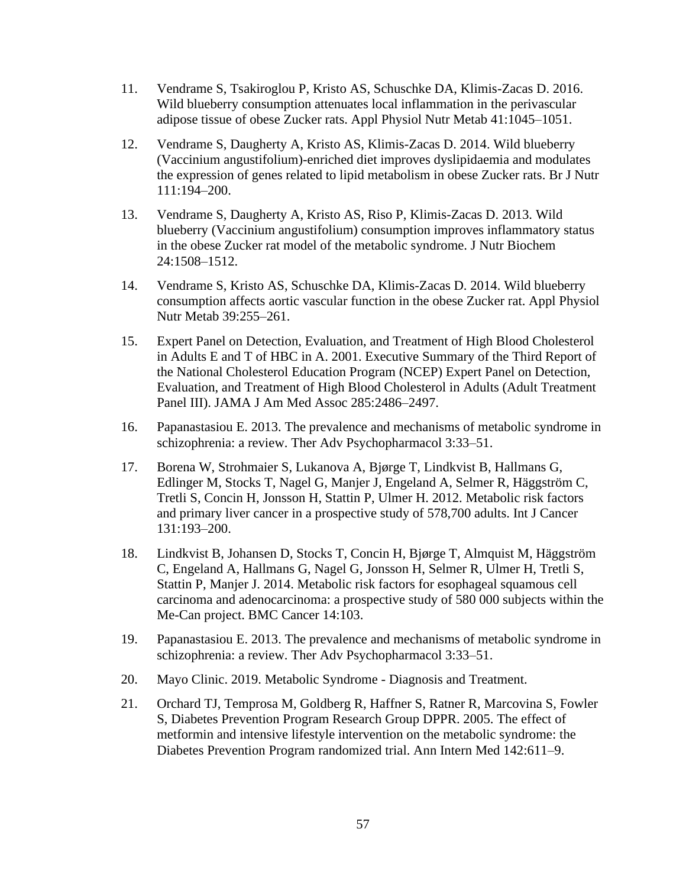- 11. Vendrame S, Tsakiroglou P, Kristo AS, Schuschke DA, Klimis-Zacas D. 2016. Wild blueberry consumption attenuates local inflammation in the perivascular adipose tissue of obese Zucker rats. Appl Physiol Nutr Metab 41:1045–1051.
- 12. Vendrame S, Daugherty A, Kristo AS, Klimis-Zacas D. 2014. Wild blueberry (Vaccinium angustifolium)-enriched diet improves dyslipidaemia and modulates the expression of genes related to lipid metabolism in obese Zucker rats. Br J Nutr 111:194–200.
- 13. Vendrame S, Daugherty A, Kristo AS, Riso P, Klimis-Zacas D. 2013. Wild blueberry (Vaccinium angustifolium) consumption improves inflammatory status in the obese Zucker rat model of the metabolic syndrome. J Nutr Biochem 24:1508–1512.
- 14. Vendrame S, Kristo AS, Schuschke DA, Klimis-Zacas D. 2014. Wild blueberry consumption affects aortic vascular function in the obese Zucker rat. Appl Physiol Nutr Metab 39:255–261.
- 15. Expert Panel on Detection, Evaluation, and Treatment of High Blood Cholesterol in Adults E and T of HBC in A. 2001. Executive Summary of the Third Report of the National Cholesterol Education Program (NCEP) Expert Panel on Detection, Evaluation, and Treatment of High Blood Cholesterol in Adults (Adult Treatment Panel III). JAMA J Am Med Assoc 285:2486–2497.
- 16. Papanastasiou E. 2013. The prevalence and mechanisms of metabolic syndrome in schizophrenia: a review. Ther Adv Psychopharmacol 3:33–51.
- 17. Borena W, Strohmaier S, Lukanova A, Bjørge T, Lindkvist B, Hallmans G, Edlinger M, Stocks T, Nagel G, Manjer J, Engeland A, Selmer R, Häggström C, Tretli S, Concin H, Jonsson H, Stattin P, Ulmer H. 2012. Metabolic risk factors and primary liver cancer in a prospective study of 578,700 adults. Int J Cancer 131:193–200.
- 18. Lindkvist B, Johansen D, Stocks T, Concin H, Bjørge T, Almquist M, Häggström C, Engeland A, Hallmans G, Nagel G, Jonsson H, Selmer R, Ulmer H, Tretli S, Stattin P, Manjer J. 2014. Metabolic risk factors for esophageal squamous cell carcinoma and adenocarcinoma: a prospective study of 580 000 subjects within the Me-Can project. BMC Cancer 14:103.
- 19. Papanastasiou E. 2013. The prevalence and mechanisms of metabolic syndrome in schizophrenia: a review. Ther Adv Psychopharmacol 3:33–51.
- 20. Mayo Clinic. 2019. Metabolic Syndrome Diagnosis and Treatment.
- 21. Orchard TJ, Temprosa M, Goldberg R, Haffner S, Ratner R, Marcovina S, Fowler S, Diabetes Prevention Program Research Group DPPR. 2005. The effect of metformin and intensive lifestyle intervention on the metabolic syndrome: the Diabetes Prevention Program randomized trial. Ann Intern Med 142:611–9.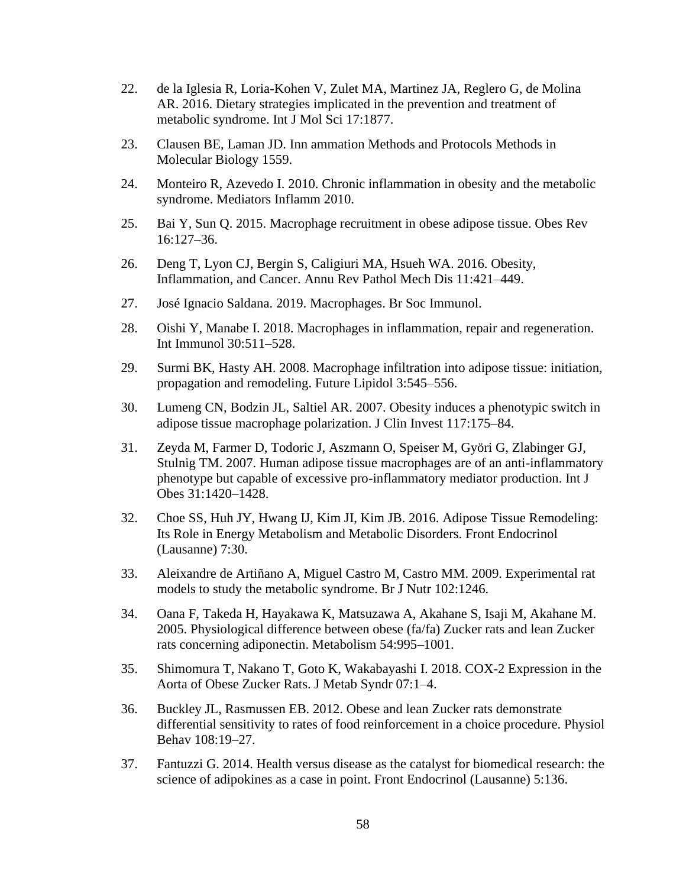- 22. de la Iglesia R, Loria-Kohen V, Zulet MA, Martinez JA, Reglero G, de Molina AR. 2016. Dietary strategies implicated in the prevention and treatment of metabolic syndrome. Int J Mol Sci 17:1877.
- 23. Clausen BE, Laman JD. Inn ammation Methods and Protocols Methods in Molecular Biology 1559.
- 24. Monteiro R, Azevedo I. 2010. Chronic inflammation in obesity and the metabolic syndrome. Mediators Inflamm 2010.
- 25. Bai Y, Sun Q. 2015. Macrophage recruitment in obese adipose tissue. Obes Rev 16:127–36.
- 26. Deng T, Lyon CJ, Bergin S, Caligiuri MA, Hsueh WA. 2016. Obesity, Inflammation, and Cancer. Annu Rev Pathol Mech Dis 11:421–449.
- 27. José Ignacio Saldana. 2019. Macrophages. Br Soc Immunol.
- 28. Oishi Y, Manabe I. 2018. Macrophages in inflammation, repair and regeneration. Int Immunol 30:511–528.
- 29. Surmi BK, Hasty AH. 2008. Macrophage infiltration into adipose tissue: initiation, propagation and remodeling. Future Lipidol 3:545–556.
- 30. Lumeng CN, Bodzin JL, Saltiel AR. 2007. Obesity induces a phenotypic switch in adipose tissue macrophage polarization. J Clin Invest 117:175–84.
- 31. Zeyda M, Farmer D, Todoric J, Aszmann O, Speiser M, Györi G, Zlabinger GJ, Stulnig TM. 2007. Human adipose tissue macrophages are of an anti-inflammatory phenotype but capable of excessive pro-inflammatory mediator production. Int J Obes 31:1420–1428.
- 32. Choe SS, Huh JY, Hwang IJ, Kim JI, Kim JB. 2016. Adipose Tissue Remodeling: Its Role in Energy Metabolism and Metabolic Disorders. Front Endocrinol (Lausanne) 7:30.
- 33. Aleixandre de Artiñano A, Miguel Castro M, Castro MM. 2009. Experimental rat models to study the metabolic syndrome. Br J Nutr 102:1246.
- 34. Oana F, Takeda H, Hayakawa K, Matsuzawa A, Akahane S, Isaji M, Akahane M. 2005. Physiological difference between obese (fa/fa) Zucker rats and lean Zucker rats concerning adiponectin. Metabolism 54:995–1001.
- 35. Shimomura T, Nakano T, Goto K, Wakabayashi I. 2018. COX-2 Expression in the Aorta of Obese Zucker Rats. J Metab Syndr 07:1–4.
- 36. Buckley JL, Rasmussen EB. 2012. Obese and lean Zucker rats demonstrate differential sensitivity to rates of food reinforcement in a choice procedure. Physiol Behav 108:19–27.
- 37. Fantuzzi G. 2014. Health versus disease as the catalyst for biomedical research: the science of adipokines as a case in point. Front Endocrinol (Lausanne) 5:136.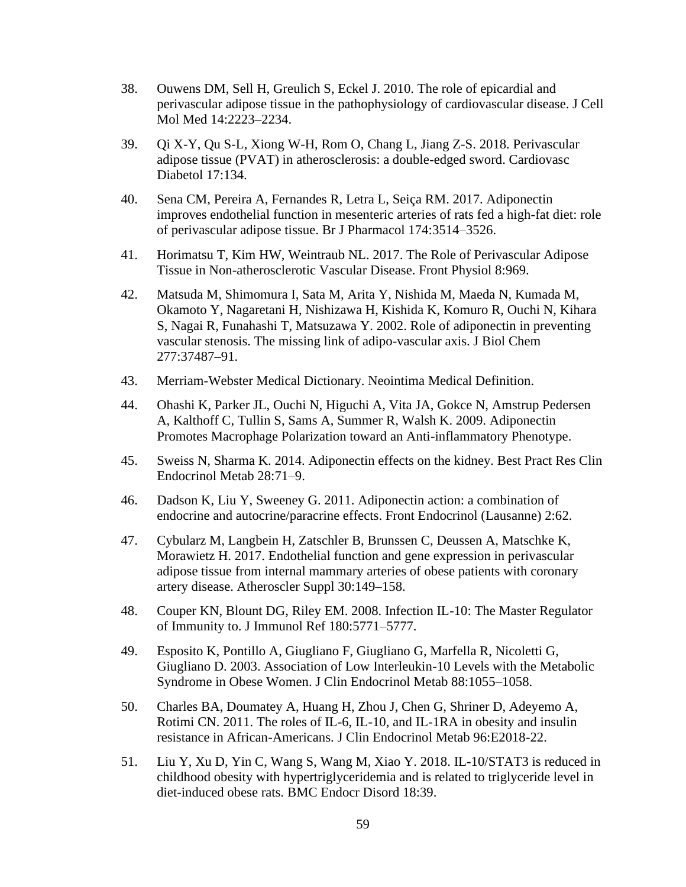- 38. Ouwens DM, Sell H, Greulich S, Eckel J. 2010. The role of epicardial and perivascular adipose tissue in the pathophysiology of cardiovascular disease. J Cell Mol Med 14:2223–2234.
- 39. Qi X-Y, Qu S-L, Xiong W-H, Rom O, Chang L, Jiang Z-S. 2018. Perivascular adipose tissue (PVAT) in atherosclerosis: a double-edged sword. Cardiovasc Diabetol 17:134.
- 40. Sena CM, Pereira A, Fernandes R, Letra L, Seiça RM. 2017. Adiponectin improves endothelial function in mesenteric arteries of rats fed a high-fat diet: role of perivascular adipose tissue. Br J Pharmacol 174:3514–3526.
- 41. Horimatsu T, Kim HW, Weintraub NL. 2017. The Role of Perivascular Adipose Tissue in Non-atherosclerotic Vascular Disease. Front Physiol 8:969.
- 42. Matsuda M, Shimomura I, Sata M, Arita Y, Nishida M, Maeda N, Kumada M, Okamoto Y, Nagaretani H, Nishizawa H, Kishida K, Komuro R, Ouchi N, Kihara S, Nagai R, Funahashi T, Matsuzawa Y. 2002. Role of adiponectin in preventing vascular stenosis. The missing link of adipo-vascular axis. J Biol Chem 277:37487–91.
- 43. Merriam-Webster Medical Dictionary. Neointima Medical Definition.
- 44. Ohashi K, Parker JL, Ouchi N, Higuchi A, Vita JA, Gokce N, Amstrup Pedersen A, Kalthoff C, Tullin S, Sams A, Summer R, Walsh K. 2009. Adiponectin Promotes Macrophage Polarization toward an Anti-inflammatory Phenotype.
- 45. Sweiss N, Sharma K. 2014. Adiponectin effects on the kidney. Best Pract Res Clin Endocrinol Metab 28:71–9.
- 46. Dadson K, Liu Y, Sweeney G. 2011. Adiponectin action: a combination of endocrine and autocrine/paracrine effects. Front Endocrinol (Lausanne) 2:62.
- 47. Cybularz M, Langbein H, Zatschler B, Brunssen C, Deussen A, Matschke K, Morawietz H. 2017. Endothelial function and gene expression in perivascular adipose tissue from internal mammary arteries of obese patients with coronary artery disease. Atheroscler Suppl 30:149–158.
- 48. Couper KN, Blount DG, Riley EM. 2008. Infection IL-10: The Master Regulator of Immunity to. J Immunol Ref 180:5771–5777.
- 49. Esposito K, Pontillo A, Giugliano F, Giugliano G, Marfella R, Nicoletti G, Giugliano D. 2003. Association of Low Interleukin-10 Levels with the Metabolic Syndrome in Obese Women. J Clin Endocrinol Metab 88:1055–1058.
- 50. Charles BA, Doumatey A, Huang H, Zhou J, Chen G, Shriner D, Adeyemo A, Rotimi CN. 2011. The roles of IL-6, IL-10, and IL-1RA in obesity and insulin resistance in African-Americans. J Clin Endocrinol Metab 96:E2018-22.
- 51. Liu Y, Xu D, Yin C, Wang S, Wang M, Xiao Y. 2018. IL-10/STAT3 is reduced in childhood obesity with hypertriglyceridemia and is related to triglyceride level in diet-induced obese rats. BMC Endocr Disord 18:39.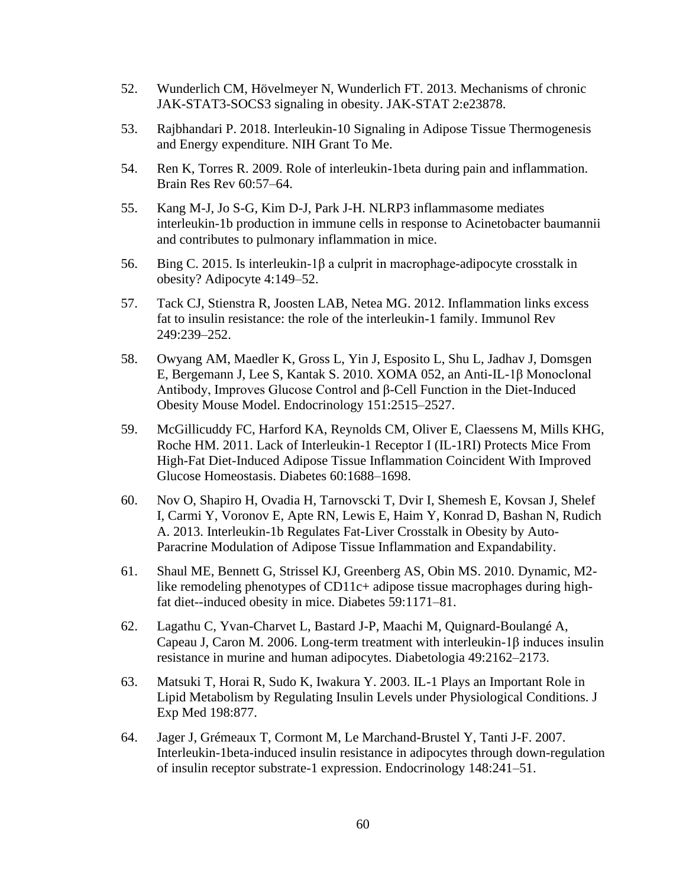- 52. Wunderlich CM, Hövelmeyer N, Wunderlich FT. 2013. Mechanisms of chronic JAK-STAT3-SOCS3 signaling in obesity. JAK-STAT 2:e23878.
- 53. Rajbhandari P. 2018. Interleukin-10 Signaling in Adipose Tissue Thermogenesis and Energy expenditure. NIH Grant To Me.
- 54. Ren K, Torres R. 2009. Role of interleukin-1beta during pain and inflammation. Brain Res Rev 60:57–64.
- 55. Kang M-J, Jo S-G, Kim D-J, Park J-H. NLRP3 inflammasome mediates interleukin-1b production in immune cells in response to Acinetobacter baumannii and contributes to pulmonary inflammation in mice.
- 56. Bing C. 2015. Is interleukin-1β a culprit in macrophage-adipocyte crosstalk in obesity? Adipocyte 4:149–52.
- 57. Tack CJ, Stienstra R, Joosten LAB, Netea MG. 2012. Inflammation links excess fat to insulin resistance: the role of the interleukin-1 family. Immunol Rev 249:239–252.
- 58. Owyang AM, Maedler K, Gross L, Yin J, Esposito L, Shu L, Jadhav J, Domsgen E, Bergemann J, Lee S, Kantak S. 2010. XOMA 052, an Anti-IL-1β Monoclonal Antibody, Improves Glucose Control and β-Cell Function in the Diet-Induced Obesity Mouse Model. Endocrinology 151:2515–2527.
- 59. McGillicuddy FC, Harford KA, Reynolds CM, Oliver E, Claessens M, Mills KHG, Roche HM. 2011. Lack of Interleukin-1 Receptor I (IL-1RI) Protects Mice From High-Fat Diet-Induced Adipose Tissue Inflammation Coincident With Improved Glucose Homeostasis. Diabetes 60:1688–1698.
- 60. Nov O, Shapiro H, Ovadia H, Tarnovscki T, Dvir I, Shemesh E, Kovsan J, Shelef I, Carmi Y, Voronov E, Apte RN, Lewis E, Haim Y, Konrad D, Bashan N, Rudich A. 2013. Interleukin-1b Regulates Fat-Liver Crosstalk in Obesity by Auto-Paracrine Modulation of Adipose Tissue Inflammation and Expandability.
- 61. Shaul ME, Bennett G, Strissel KJ, Greenberg AS, Obin MS. 2010. Dynamic, M2 like remodeling phenotypes of CD11c+ adipose tissue macrophages during highfat diet--induced obesity in mice. Diabetes 59:1171–81.
- 62. Lagathu C, Yvan-Charvet L, Bastard J-P, Maachi M, Quignard-Boulangé A, Capeau J, Caron M. 2006. Long-term treatment with interleukin-1β induces insulin resistance in murine and human adipocytes. Diabetologia 49:2162–2173.
- 63. Matsuki T, Horai R, Sudo K, Iwakura Y. 2003. IL-1 Plays an Important Role in Lipid Metabolism by Regulating Insulin Levels under Physiological Conditions. J Exp Med 198:877.
- 64. Jager J, Grémeaux T, Cormont M, Le Marchand-Brustel Y, Tanti J-F. 2007. Interleukin-1beta-induced insulin resistance in adipocytes through down-regulation of insulin receptor substrate-1 expression. Endocrinology 148:241–51.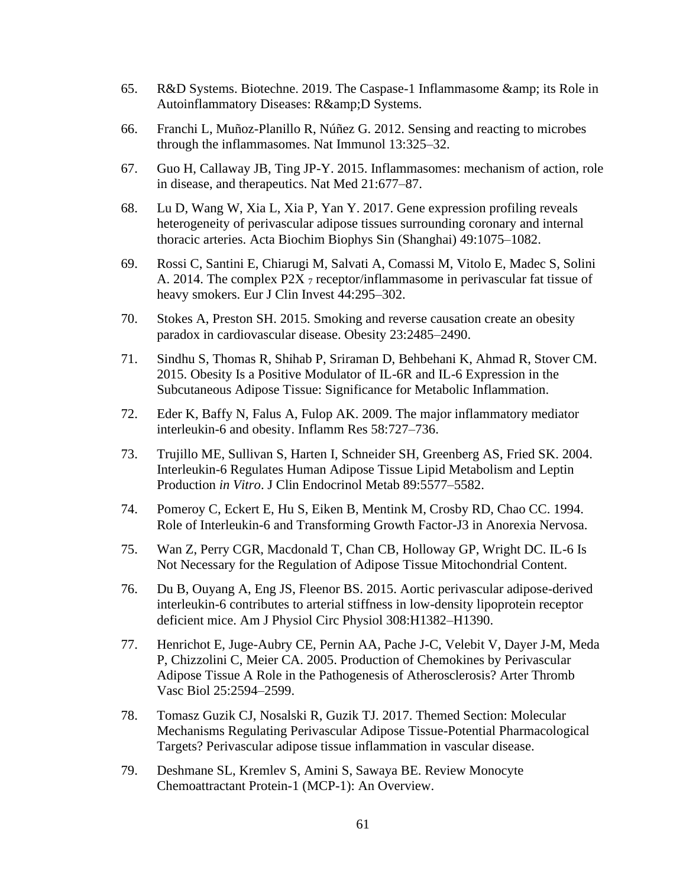- 65. R&D Systems. Biotechne. 2019. The Caspase-1 Inflammasome & amp; its Role in Autoinflammatory Diseases: R& D Systems.
- 66. Franchi L, Muñoz-Planillo R, Núñez G. 2012. Sensing and reacting to microbes through the inflammasomes. Nat Immunol 13:325–32.
- 67. Guo H, Callaway JB, Ting JP-Y. 2015. Inflammasomes: mechanism of action, role in disease, and therapeutics. Nat Med 21:677–87.
- 68. Lu D, Wang W, Xia L, Xia P, Yan Y. 2017. Gene expression profiling reveals heterogeneity of perivascular adipose tissues surrounding coronary and internal thoracic arteries. Acta Biochim Biophys Sin (Shanghai) 49:1075–1082.
- 69. Rossi C, Santini E, Chiarugi M, Salvati A, Comassi M, Vitolo E, Madec S, Solini A. 2014. The complex P2X  $_7$  receptor/inflammasome in perivascular fat tissue of heavy smokers. Eur J Clin Invest 44:295–302.
- 70. Stokes A, Preston SH. 2015. Smoking and reverse causation create an obesity paradox in cardiovascular disease. Obesity 23:2485–2490.
- 71. Sindhu S, Thomas R, Shihab P, Sriraman D, Behbehani K, Ahmad R, Stover CM. 2015. Obesity Is a Positive Modulator of IL-6R and IL-6 Expression in the Subcutaneous Adipose Tissue: Significance for Metabolic Inflammation.
- 72. Eder K, Baffy N, Falus A, Fulop AK. 2009. The major inflammatory mediator interleukin-6 and obesity. Inflamm Res 58:727–736.
- 73. Trujillo ME, Sullivan S, Harten I, Schneider SH, Greenberg AS, Fried SK. 2004. Interleukin-6 Regulates Human Adipose Tissue Lipid Metabolism and Leptin Production *in Vitro*. J Clin Endocrinol Metab 89:5577–5582.
- 74. Pomeroy C, Eckert E, Hu S, Eiken B, Mentink M, Crosby RD, Chao CC. 1994. Role of Interleukin-6 and Transforming Growth Factor-J3 in Anorexia Nervosa.
- 75. Wan Z, Perry CGR, Macdonald T, Chan CB, Holloway GP, Wright DC. IL-6 Is Not Necessary for the Regulation of Adipose Tissue Mitochondrial Content.
- 76. Du B, Ouyang A, Eng JS, Fleenor BS. 2015. Aortic perivascular adipose-derived interleukin-6 contributes to arterial stiffness in low-density lipoprotein receptor deficient mice. Am J Physiol Circ Physiol 308:H1382–H1390.
- 77. Henrichot E, Juge-Aubry CE, Pernin AA, Pache J-C, Velebit V, Dayer J-M, Meda P, Chizzolini C, Meier CA. 2005. Production of Chemokines by Perivascular Adipose Tissue A Role in the Pathogenesis of Atherosclerosis? Arter Thromb Vasc Biol 25:2594–2599.
- 78. Tomasz Guzik CJ, Nosalski R, Guzik TJ. 2017. Themed Section: Molecular Mechanisms Regulating Perivascular Adipose Tissue-Potential Pharmacological Targets? Perivascular adipose tissue inflammation in vascular disease.
- 79. Deshmane SL, Kremlev S, Amini S, Sawaya BE. Review Monocyte Chemoattractant Protein-1 (MCP-1): An Overview.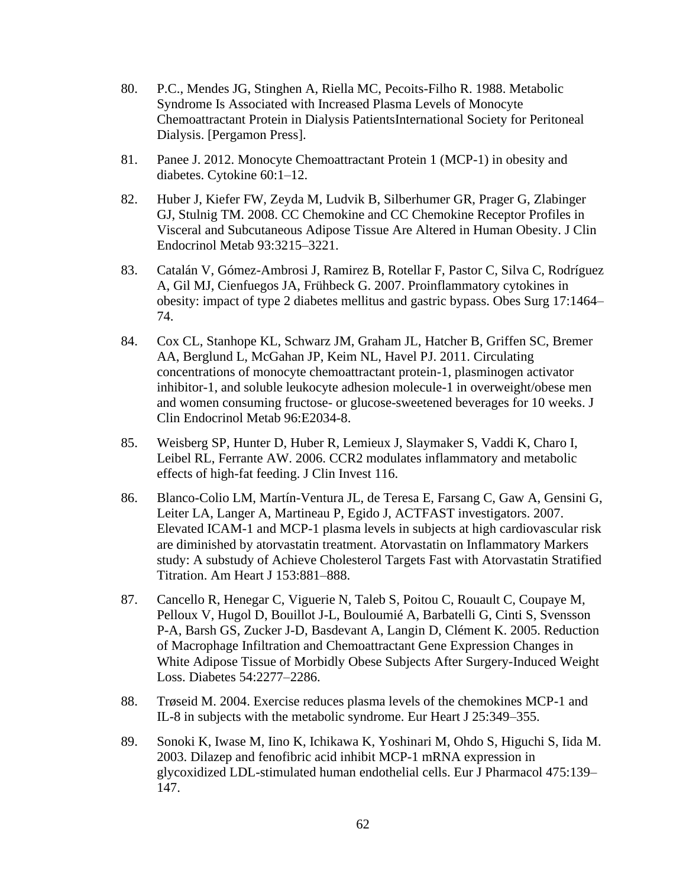- 80. P.C., Mendes JG, Stinghen A, Riella MC, Pecoits-Filho R. 1988. Metabolic Syndrome Is Associated with Increased Plasma Levels of Monocyte Chemoattractant Protein in Dialysis PatientsInternational Society for Peritoneal Dialysis. [Pergamon Press].
- 81. Panee J. 2012. Monocyte Chemoattractant Protein 1 (MCP-1) in obesity and diabetes. Cytokine 60:1–12.
- 82. Huber J, Kiefer FW, Zeyda M, Ludvik B, Silberhumer GR, Prager G, Zlabinger GJ, Stulnig TM. 2008. CC Chemokine and CC Chemokine Receptor Profiles in Visceral and Subcutaneous Adipose Tissue Are Altered in Human Obesity. J Clin Endocrinol Metab 93:3215–3221.
- 83. Catalán V, Gómez-Ambrosi J, Ramirez B, Rotellar F, Pastor C, Silva C, Rodríguez A, Gil MJ, Cienfuegos JA, Frühbeck G. 2007. Proinflammatory cytokines in obesity: impact of type 2 diabetes mellitus and gastric bypass. Obes Surg 17:1464– 74.
- 84. Cox CL, Stanhope KL, Schwarz JM, Graham JL, Hatcher B, Griffen SC, Bremer AA, Berglund L, McGahan JP, Keim NL, Havel PJ. 2011. Circulating concentrations of monocyte chemoattractant protein-1, plasminogen activator inhibitor-1, and soluble leukocyte adhesion molecule-1 in overweight/obese men and women consuming fructose- or glucose-sweetened beverages for 10 weeks. J Clin Endocrinol Metab 96:E2034-8.
- 85. Weisberg SP, Hunter D, Huber R, Lemieux J, Slaymaker S, Vaddi K, Charo I, Leibel RL, Ferrante AW. 2006. CCR2 modulates inflammatory and metabolic effects of high-fat feeding. J Clin Invest 116.
- 86. Blanco-Colio LM, Martín-Ventura JL, de Teresa E, Farsang C, Gaw A, Gensini G, Leiter LA, Langer A, Martineau P, Egido J, ACTFAST investigators. 2007. Elevated ICAM-1 and MCP-1 plasma levels in subjects at high cardiovascular risk are diminished by atorvastatin treatment. Atorvastatin on Inflammatory Markers study: A substudy of Achieve Cholesterol Targets Fast with Atorvastatin Stratified Titration. Am Heart J 153:881–888.
- 87. Cancello R, Henegar C, Viguerie N, Taleb S, Poitou C, Rouault C, Coupaye M, Pelloux V, Hugol D, Bouillot J-L, Bouloumié A, Barbatelli G, Cinti S, Svensson P-A, Barsh GS, Zucker J-D, Basdevant A, Langin D, Clément K. 2005. Reduction of Macrophage Infiltration and Chemoattractant Gene Expression Changes in White Adipose Tissue of Morbidly Obese Subjects After Surgery-Induced Weight Loss. Diabetes 54:2277–2286.
- 88. Trøseid M. 2004. Exercise reduces plasma levels of the chemokines MCP-1 and IL-8 in subjects with the metabolic syndrome. Eur Heart J 25:349–355.
- 89. Sonoki K, Iwase M, Iino K, Ichikawa K, Yoshinari M, Ohdo S, Higuchi S, Iida M. 2003. Dilazep and fenofibric acid inhibit MCP-1 mRNA expression in glycoxidized LDL-stimulated human endothelial cells. Eur J Pharmacol 475:139– 147.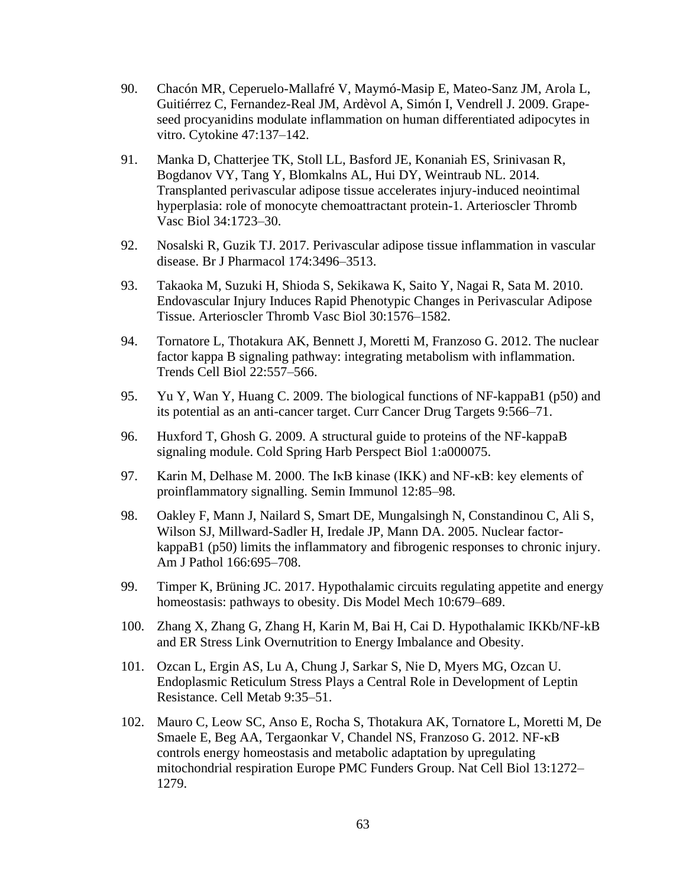- 90. Chacón MR, Ceperuelo-Mallafré V, Maymó-Masip E, Mateo-Sanz JM, Arola L, Guitiérrez C, Fernandez-Real JM, Ardèvol A, Simón I, Vendrell J. 2009. Grapeseed procyanidins modulate inflammation on human differentiated adipocytes in vitro. Cytokine 47:137–142.
- 91. Manka D, Chatterjee TK, Stoll LL, Basford JE, Konaniah ES, Srinivasan R, Bogdanov VY, Tang Y, Blomkalns AL, Hui DY, Weintraub NL. 2014. Transplanted perivascular adipose tissue accelerates injury-induced neointimal hyperplasia: role of monocyte chemoattractant protein-1. Arterioscler Thromb Vasc Biol 34:1723–30.
- 92. Nosalski R, Guzik TJ. 2017. Perivascular adipose tissue inflammation in vascular disease. Br J Pharmacol 174:3496–3513.
- 93. Takaoka M, Suzuki H, Shioda S, Sekikawa K, Saito Y, Nagai R, Sata M. 2010. Endovascular Injury Induces Rapid Phenotypic Changes in Perivascular Adipose Tissue. Arterioscler Thromb Vasc Biol 30:1576–1582.
- 94. Tornatore L, Thotakura AK, Bennett J, Moretti M, Franzoso G. 2012. The nuclear factor kappa B signaling pathway: integrating metabolism with inflammation. Trends Cell Biol 22:557–566.
- 95. Yu Y, Wan Y, Huang C. 2009. The biological functions of NF-kappaB1 (p50) and its potential as an anti-cancer target. Curr Cancer Drug Targets 9:566–71.
- 96. Huxford T, Ghosh G. 2009. A structural guide to proteins of the NF-kappaB signaling module. Cold Spring Harb Perspect Biol 1:a000075.
- 97. Karin M, Delhase M. 2000. The IκB kinase (IKK) and NF-κB: key elements of proinflammatory signalling. Semin Immunol 12:85–98.
- 98. Oakley F, Mann J, Nailard S, Smart DE, Mungalsingh N, Constandinou C, Ali S, Wilson SJ, Millward-Sadler H, Iredale JP, Mann DA. 2005. Nuclear factorkappaB1 (p50) limits the inflammatory and fibrogenic responses to chronic injury. Am J Pathol 166:695–708.
- 99. Timper K, Brüning JC. 2017. Hypothalamic circuits regulating appetite and energy homeostasis: pathways to obesity. Dis Model Mech 10:679–689.
- 100. Zhang X, Zhang G, Zhang H, Karin M, Bai H, Cai D. Hypothalamic IKKb/NF-kB and ER Stress Link Overnutrition to Energy Imbalance and Obesity.
- 101. Ozcan L, Ergin AS, Lu A, Chung J, Sarkar S, Nie D, Myers MG, Ozcan U. Endoplasmic Reticulum Stress Plays a Central Role in Development of Leptin Resistance. Cell Metab 9:35–51.
- 102. Mauro C, Leow SC, Anso E, Rocha S, Thotakura AK, Tornatore L, Moretti M, De Smaele E, Beg AA, Tergaonkar V, Chandel NS, Franzoso G. 2012. NF-κB controls energy homeostasis and metabolic adaptation by upregulating mitochondrial respiration Europe PMC Funders Group. Nat Cell Biol 13:1272– 1279.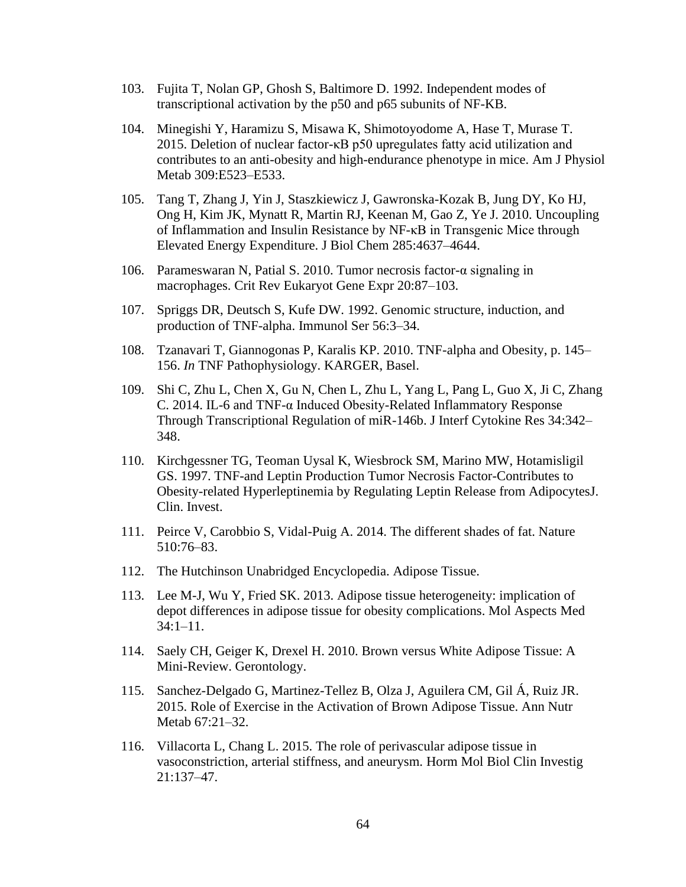- 103. Fujita T, Nolan GP, Ghosh S, Baltimore D. 1992. Independent modes of transcriptional activation by the p50 and p65 subunits of NF-KB.
- 104. Minegishi Y, Haramizu S, Misawa K, Shimotoyodome A, Hase T, Murase T. 2015. Deletion of nuclear factor-κB p50 upregulates fatty acid utilization and contributes to an anti-obesity and high-endurance phenotype in mice. Am J Physiol Metab 309:E523–E533.
- 105. Tang T, Zhang J, Yin J, Staszkiewicz J, Gawronska-Kozak B, Jung DY, Ko HJ, Ong H, Kim JK, Mynatt R, Martin RJ, Keenan M, Gao Z, Ye J. 2010. Uncoupling of Inflammation and Insulin Resistance by NF-κB in Transgenic Mice through Elevated Energy Expenditure. J Biol Chem 285:4637–4644.
- 106. Parameswaran N, Patial S. 2010. Tumor necrosis factor-α signaling in macrophages. Crit Rev Eukaryot Gene Expr 20:87–103.
- 107. Spriggs DR, Deutsch S, Kufe DW. 1992. Genomic structure, induction, and production of TNF-alpha. Immunol Ser 56:3–34.
- 108. Tzanavari T, Giannogonas P, Karalis KP. 2010. TNF-alpha and Obesity, p. 145– 156. *In* TNF Pathophysiology. KARGER, Basel.
- 109. Shi C, Zhu L, Chen X, Gu N, Chen L, Zhu L, Yang L, Pang L, Guo X, Ji C, Zhang C. 2014. IL-6 and TNF-α Induced Obesity-Related Inflammatory Response Through Transcriptional Regulation of miR-146b. J Interf Cytokine Res 34:342– 348.
- 110. Kirchgessner TG, Teoman Uysal K, Wiesbrock SM, Marino MW, Hotamisligil GS. 1997. TNF-and Leptin Production Tumor Necrosis Factor-Contributes to Obesity-related Hyperleptinemia by Regulating Leptin Release from AdipocytesJ. Clin. Invest.
- 111. Peirce V, Carobbio S, Vidal-Puig A. 2014. The different shades of fat. Nature 510:76–83.
- 112. The Hutchinson Unabridged Encyclopedia. Adipose Tissue.
- 113. Lee M-J, Wu Y, Fried SK. 2013. Adipose tissue heterogeneity: implication of depot differences in adipose tissue for obesity complications. Mol Aspects Med 34:1–11.
- 114. Saely CH, Geiger K, Drexel H. 2010. Brown versus White Adipose Tissue: A Mini-Review. Gerontology.
- 115. Sanchez-Delgado G, Martinez-Tellez B, Olza J, Aguilera CM, Gil Á, Ruiz JR. 2015. Role of Exercise in the Activation of Brown Adipose Tissue. Ann Nutr Metab 67:21–32.
- 116. Villacorta L, Chang L. 2015. The role of perivascular adipose tissue in vasoconstriction, arterial stiffness, and aneurysm. Horm Mol Biol Clin Investig 21:137–47.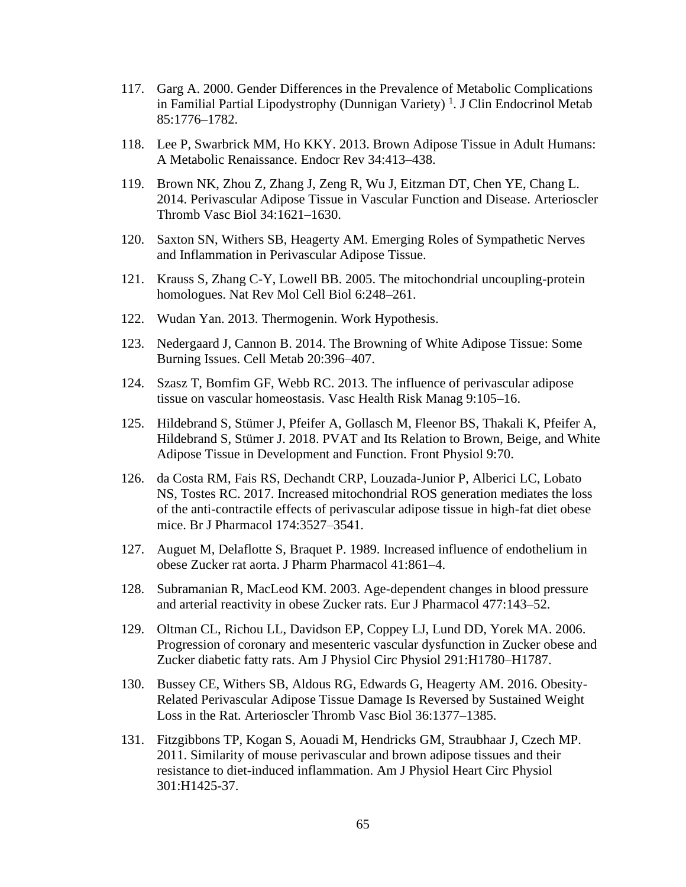- 117. Garg A. 2000. Gender Differences in the Prevalence of Metabolic Complications in Familial Partial Lipodystrophy (Dunnigan Variety)<sup>1</sup>. J Clin Endocrinol Metab 85:1776–1782.
- 118. Lee P, Swarbrick MM, Ho KKY. 2013. Brown Adipose Tissue in Adult Humans: A Metabolic Renaissance. Endocr Rev 34:413–438.
- 119. Brown NK, Zhou Z, Zhang J, Zeng R, Wu J, Eitzman DT, Chen YE, Chang L. 2014. Perivascular Adipose Tissue in Vascular Function and Disease. Arterioscler Thromb Vasc Biol 34:1621–1630.
- 120. Saxton SN, Withers SB, Heagerty AM. Emerging Roles of Sympathetic Nerves and Inflammation in Perivascular Adipose Tissue.
- 121. Krauss S, Zhang C-Y, Lowell BB. 2005. The mitochondrial uncoupling-protein homologues. Nat Rev Mol Cell Biol 6:248–261.
- 122. Wudan Yan. 2013. Thermogenin. Work Hypothesis.
- 123. Nedergaard J, Cannon B. 2014. The Browning of White Adipose Tissue: Some Burning Issues. Cell Metab 20:396–407.
- 124. Szasz T, Bomfim GF, Webb RC. 2013. The influence of perivascular adipose tissue on vascular homeostasis. Vasc Health Risk Manag 9:105–16.
- 125. Hildebrand S, Stümer J, Pfeifer A, Gollasch M, Fleenor BS, Thakali K, Pfeifer A, Hildebrand S, Stümer J. 2018. PVAT and Its Relation to Brown, Beige, and White Adipose Tissue in Development and Function. Front Physiol 9:70.
- 126. da Costa RM, Fais RS, Dechandt CRP, Louzada-Junior P, Alberici LC, Lobato NS, Tostes RC. 2017. Increased mitochondrial ROS generation mediates the loss of the anti-contractile effects of perivascular adipose tissue in high-fat diet obese mice. Br J Pharmacol 174:3527–3541.
- 127. Auguet M, Delaflotte S, Braquet P. 1989. Increased influence of endothelium in obese Zucker rat aorta. J Pharm Pharmacol 41:861–4.
- 128. Subramanian R, MacLeod KM. 2003. Age-dependent changes in blood pressure and arterial reactivity in obese Zucker rats. Eur J Pharmacol 477:143–52.
- 129. Oltman CL, Richou LL, Davidson EP, Coppey LJ, Lund DD, Yorek MA. 2006. Progression of coronary and mesenteric vascular dysfunction in Zucker obese and Zucker diabetic fatty rats. Am J Physiol Circ Physiol 291:H1780–H1787.
- 130. Bussey CE, Withers SB, Aldous RG, Edwards G, Heagerty AM. 2016. Obesity-Related Perivascular Adipose Tissue Damage Is Reversed by Sustained Weight Loss in the Rat. Arterioscler Thromb Vasc Biol 36:1377–1385.
- 131. Fitzgibbons TP, Kogan S, Aouadi M, Hendricks GM, Straubhaar J, Czech MP. 2011. Similarity of mouse perivascular and brown adipose tissues and their resistance to diet-induced inflammation. Am J Physiol Heart Circ Physiol 301:H1425-37.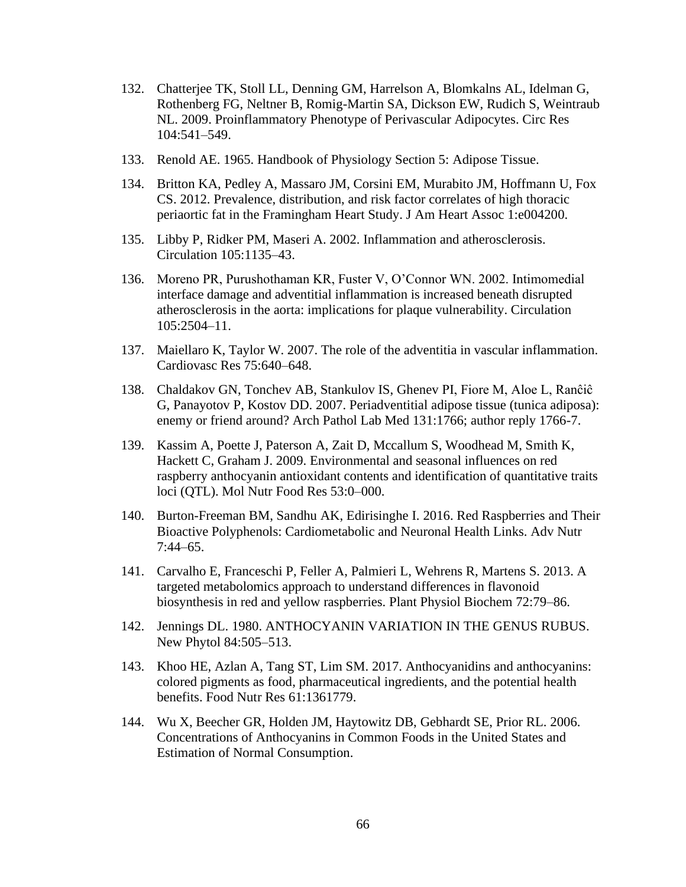- 132. Chatterjee TK, Stoll LL, Denning GM, Harrelson A, Blomkalns AL, Idelman G, Rothenberg FG, Neltner B, Romig-Martin SA, Dickson EW, Rudich S, Weintraub NL. 2009. Proinflammatory Phenotype of Perivascular Adipocytes. Circ Res 104:541–549.
- 133. Renold AE. 1965. Handbook of Physiology Section 5: Adipose Tissue.
- 134. Britton KA, Pedley A, Massaro JM, Corsini EM, Murabito JM, Hoffmann U, Fox CS. 2012. Prevalence, distribution, and risk factor correlates of high thoracic periaortic fat in the Framingham Heart Study. J Am Heart Assoc 1:e004200.
- 135. Libby P, Ridker PM, Maseri A. 2002. Inflammation and atherosclerosis. Circulation 105:1135–43.
- 136. Moreno PR, Purushothaman KR, Fuster V, O'Connor WN. 2002. Intimomedial interface damage and adventitial inflammation is increased beneath disrupted atherosclerosis in the aorta: implications for plaque vulnerability. Circulation 105:2504–11.
- 137. Maiellaro K, Taylor W. 2007. The role of the adventitia in vascular inflammation. Cardiovasc Res 75:640–648.
- 138. Chaldakov GN, Tonchev AB, Stankulov IS, Ghenev PI, Fiore M, Aloe L, Ranĉiĉ G, Panayotov P, Kostov DD. 2007. Periadventitial adipose tissue (tunica adiposa): enemy or friend around? Arch Pathol Lab Med 131:1766; author reply 1766-7.
- 139. Kassim A, Poette J, Paterson A, Zait D, Mccallum S, Woodhead M, Smith K, Hackett C, Graham J. 2009. Environmental and seasonal influences on red raspberry anthocyanin antioxidant contents and identification of quantitative traits loci (QTL). Mol Nutr Food Res 53:0–000.
- 140. Burton-Freeman BM, Sandhu AK, Edirisinghe I. 2016. Red Raspberries and Their Bioactive Polyphenols: Cardiometabolic and Neuronal Health Links. Adv Nutr 7:44–65.
- 141. Carvalho E, Franceschi P, Feller A, Palmieri L, Wehrens R, Martens S. 2013. A targeted metabolomics approach to understand differences in flavonoid biosynthesis in red and yellow raspberries. Plant Physiol Biochem 72:79–86.
- 142. Jennings DL. 1980. ANTHOCYANIN VARIATION IN THE GENUS RUBUS. New Phytol 84:505–513.
- 143. Khoo HE, Azlan A, Tang ST, Lim SM. 2017. Anthocyanidins and anthocyanins: colored pigments as food, pharmaceutical ingredients, and the potential health benefits. Food Nutr Res 61:1361779.
- 144. Wu X, Beecher GR, Holden JM, Haytowitz DB, Gebhardt SE, Prior RL. 2006. Concentrations of Anthocyanins in Common Foods in the United States and Estimation of Normal Consumption.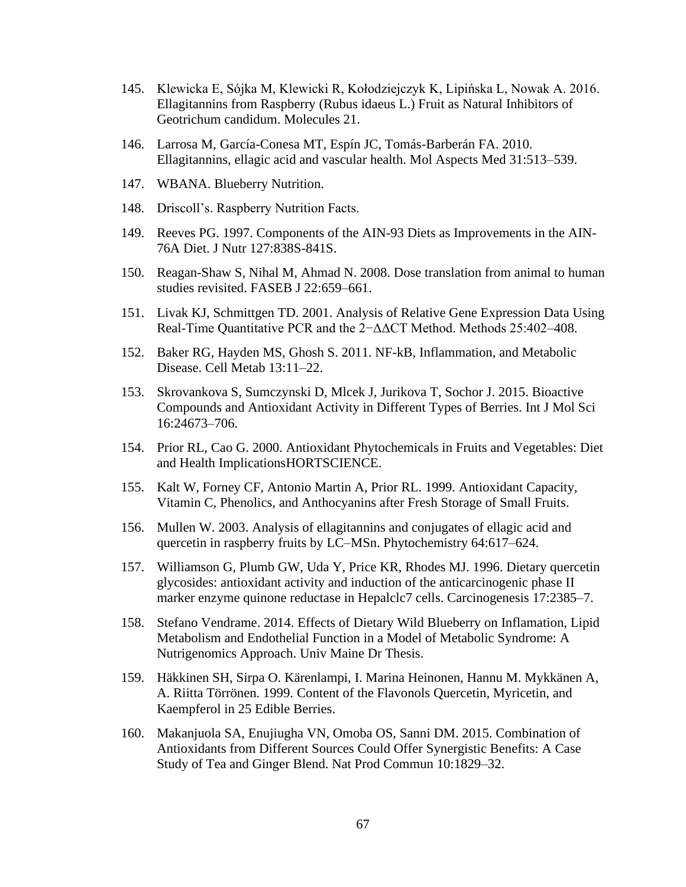- 145. Klewicka E, Sójka M, Klewicki R, Kołodziejczyk K, Lipińska L, Nowak A. 2016. Ellagitannins from Raspberry (Rubus idaeus L.) Fruit as Natural Inhibitors of Geotrichum candidum. Molecules 21.
- 146. Larrosa M, García-Conesa MT, Espín JC, Tomás-Barberán FA. 2010. Ellagitannins, ellagic acid and vascular health. Mol Aspects Med 31:513–539.
- 147. WBANA. Blueberry Nutrition.
- 148. Driscoll's. Raspberry Nutrition Facts.
- 149. Reeves PG. 1997. Components of the AIN-93 Diets as Improvements in the AIN-76A Diet. J Nutr 127:838S-841S.
- 150. Reagan-Shaw S, Nihal M, Ahmad N. 2008. Dose translation from animal to human studies revisited. FASEB J 22:659–661.
- 151. Livak KJ, Schmittgen TD. 2001. Analysis of Relative Gene Expression Data Using Real-Time Quantitative PCR and the 2−ΔΔCT Method. Methods 25:402–408.
- 152. Baker RG, Hayden MS, Ghosh S. 2011. NF-kB, Inflammation, and Metabolic Disease. Cell Metab 13:11–22.
- 153. Skrovankova S, Sumczynski D, Mlcek J, Jurikova T, Sochor J. 2015. Bioactive Compounds and Antioxidant Activity in Different Types of Berries. Int J Mol Sci 16:24673–706.
- 154. Prior RL, Cao G. 2000. Antioxidant Phytochemicals in Fruits and Vegetables: Diet and Health ImplicationsHORTSCIENCE.
- 155. Kalt W, Forney CF, Antonio Martin A, Prior RL. 1999. Antioxidant Capacity, Vitamin C, Phenolics, and Anthocyanins after Fresh Storage of Small Fruits.
- 156. Mullen W. 2003. Analysis of ellagitannins and conjugates of ellagic acid and quercetin in raspberry fruits by LC–MSn. Phytochemistry 64:617–624.
- 157. Williamson G, Plumb GW, Uda Y, Price KR, Rhodes MJ. 1996. Dietary quercetin glycosides: antioxidant activity and induction of the anticarcinogenic phase II marker enzyme quinone reductase in Hepalclc7 cells. Carcinogenesis 17:2385–7.
- 158. Stefano Vendrame. 2014. Effects of Dietary Wild Blueberry on Inflamation, Lipid Metabolism and Endothelial Function in a Model of Metabolic Syndrome: A Nutrigenomics Approach. Univ Maine Dr Thesis.
- 159. Häkkinen SH, Sirpa O. Kärenlampi, I. Marina Heinonen, Hannu M. Mykkänen A, A. Riitta Törrönen. 1999. Content of the Flavonols Quercetin, Myricetin, and Kaempferol in 25 Edible Berries.
- 160. Makanjuola SA, Enujiugha VN, Omoba OS, Sanni DM. 2015. Combination of Antioxidants from Different Sources Could Offer Synergistic Benefits: A Case Study of Tea and Ginger Blend. Nat Prod Commun 10:1829–32.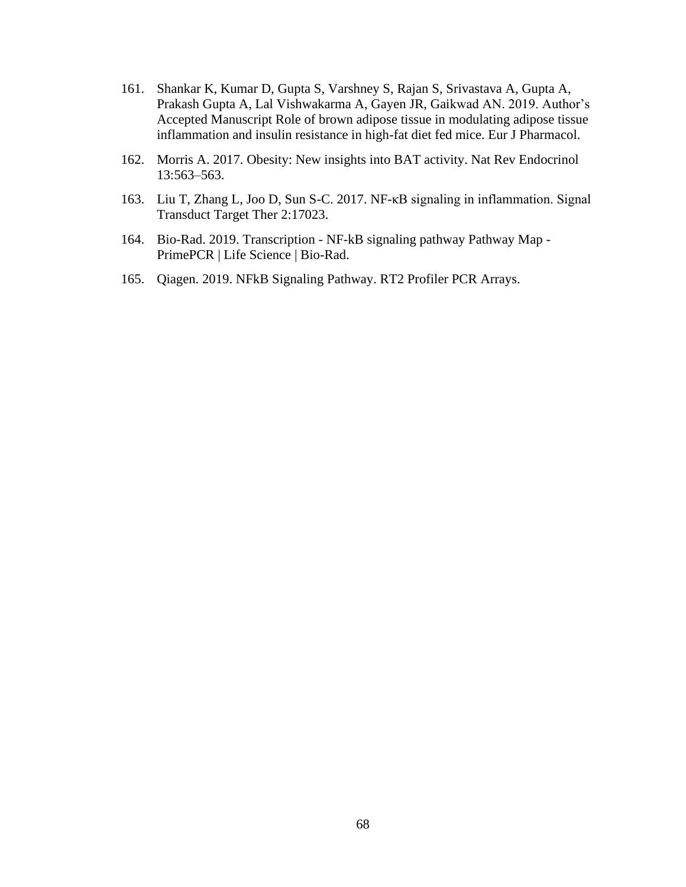- 161. Shankar K, Kumar D, Gupta S, Varshney S, Rajan S, Srivastava A, Gupta A, Prakash Gupta A, Lal Vishwakarma A, Gayen JR, Gaikwad AN. 2019. Author's Accepted Manuscript Role of brown adipose tissue in modulating adipose tissue inflammation and insulin resistance in high-fat diet fed mice. Eur J Pharmacol.
- 162. Morris A. 2017. Obesity: New insights into BAT activity. Nat Rev Endocrinol 13:563–563.
- 163. Liu T, Zhang L, Joo D, Sun S-C. 2017. NF-κB signaling in inflammation. Signal Transduct Target Ther 2:17023.
- 164. Bio-Rad. 2019. Transcription NF-kB signaling pathway Pathway Map PrimePCR | Life Science | Bio-Rad.
- 165. Qiagen. 2019. NFkB Signaling Pathway. RT2 Profiler PCR Arrays.